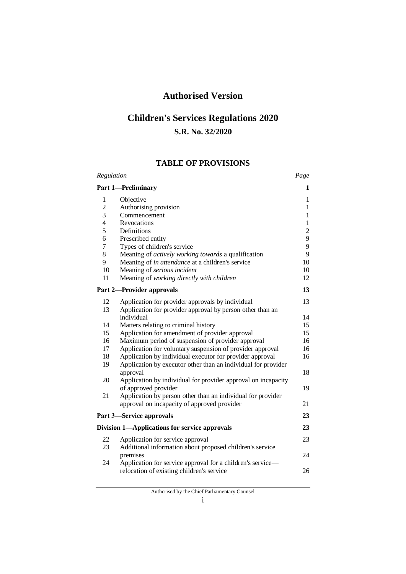# **Authorised Version**

# **Children's Services Regulations 2020**

**S.R. No. 32/2020**

# **TABLE OF PROVISIONS**

| <b>Part 1-Preliminary</b><br>1<br>1<br>Objective<br>$\mathbf{1}$<br>$\overline{c}$<br>Authorising provision<br>$\mathbf{1}$<br>3<br>$\mathbf{1}$<br>Commencement<br>$\mathbf{1}$<br>$\overline{4}$<br>Revocations<br>$\overline{c}$<br>5<br>Definitions<br>9<br>6<br>Prescribed entity<br>9<br>$\overline{7}$<br>Types of children's service<br>9<br>8<br>Meaning of <i>actively working towards</i> a qualification<br>9<br>Meaning of in attendance at a children's service<br>10<br>10<br>Meaning of serious incident<br>10<br>11<br>Meaning of working directly with children<br>12<br>13<br>Part 2-Provider approvals<br>12<br>13<br>Application for provider approvals by individual<br>13<br>Application for provider approval by person other than an<br>individual<br>14<br>14<br>15<br>Matters relating to criminal history<br>Application for amendment of provider approval<br>15<br>15<br>Maximum period of suspension of provider approval<br>16<br>16<br>Application for voluntary suspension of provider approval<br>17<br>16<br>Application by individual executor for provider approval<br>18<br>16<br>19<br>Application by executor other than an individual for provider<br>18<br>approval<br>20<br>Application by individual for provider approval on incapacity<br>of approved provider<br>19<br>21<br>Application by person other than an individual for provider<br>21<br>approval on incapacity of approved provider<br>23<br>Part 3—Service approvals<br>23<br>Division 1—Applications for service approvals<br>23<br>22<br>Application for service approval<br>23<br>Additional information about proposed children's service<br>premises<br>24<br>24<br>Application for service approval for a children's service- | Regulation |                                           | Page |
|------------------------------------------------------------------------------------------------------------------------------------------------------------------------------------------------------------------------------------------------------------------------------------------------------------------------------------------------------------------------------------------------------------------------------------------------------------------------------------------------------------------------------------------------------------------------------------------------------------------------------------------------------------------------------------------------------------------------------------------------------------------------------------------------------------------------------------------------------------------------------------------------------------------------------------------------------------------------------------------------------------------------------------------------------------------------------------------------------------------------------------------------------------------------------------------------------------------------------------------------------------------------------------------------------------------------------------------------------------------------------------------------------------------------------------------------------------------------------------------------------------------------------------------------------------------------------------------------------------------------------------------------------------------------------------------------------------------------------------------------|------------|-------------------------------------------|------|
|                                                                                                                                                                                                                                                                                                                                                                                                                                                                                                                                                                                                                                                                                                                                                                                                                                                                                                                                                                                                                                                                                                                                                                                                                                                                                                                                                                                                                                                                                                                                                                                                                                                                                                                                                |            |                                           |      |
|                                                                                                                                                                                                                                                                                                                                                                                                                                                                                                                                                                                                                                                                                                                                                                                                                                                                                                                                                                                                                                                                                                                                                                                                                                                                                                                                                                                                                                                                                                                                                                                                                                                                                                                                                |            |                                           |      |
|                                                                                                                                                                                                                                                                                                                                                                                                                                                                                                                                                                                                                                                                                                                                                                                                                                                                                                                                                                                                                                                                                                                                                                                                                                                                                                                                                                                                                                                                                                                                                                                                                                                                                                                                                |            |                                           |      |
|                                                                                                                                                                                                                                                                                                                                                                                                                                                                                                                                                                                                                                                                                                                                                                                                                                                                                                                                                                                                                                                                                                                                                                                                                                                                                                                                                                                                                                                                                                                                                                                                                                                                                                                                                |            |                                           |      |
|                                                                                                                                                                                                                                                                                                                                                                                                                                                                                                                                                                                                                                                                                                                                                                                                                                                                                                                                                                                                                                                                                                                                                                                                                                                                                                                                                                                                                                                                                                                                                                                                                                                                                                                                                |            |                                           |      |
|                                                                                                                                                                                                                                                                                                                                                                                                                                                                                                                                                                                                                                                                                                                                                                                                                                                                                                                                                                                                                                                                                                                                                                                                                                                                                                                                                                                                                                                                                                                                                                                                                                                                                                                                                |            |                                           |      |
|                                                                                                                                                                                                                                                                                                                                                                                                                                                                                                                                                                                                                                                                                                                                                                                                                                                                                                                                                                                                                                                                                                                                                                                                                                                                                                                                                                                                                                                                                                                                                                                                                                                                                                                                                |            |                                           |      |
|                                                                                                                                                                                                                                                                                                                                                                                                                                                                                                                                                                                                                                                                                                                                                                                                                                                                                                                                                                                                                                                                                                                                                                                                                                                                                                                                                                                                                                                                                                                                                                                                                                                                                                                                                |            |                                           |      |
|                                                                                                                                                                                                                                                                                                                                                                                                                                                                                                                                                                                                                                                                                                                                                                                                                                                                                                                                                                                                                                                                                                                                                                                                                                                                                                                                                                                                                                                                                                                                                                                                                                                                                                                                                |            |                                           |      |
|                                                                                                                                                                                                                                                                                                                                                                                                                                                                                                                                                                                                                                                                                                                                                                                                                                                                                                                                                                                                                                                                                                                                                                                                                                                                                                                                                                                                                                                                                                                                                                                                                                                                                                                                                |            |                                           |      |
|                                                                                                                                                                                                                                                                                                                                                                                                                                                                                                                                                                                                                                                                                                                                                                                                                                                                                                                                                                                                                                                                                                                                                                                                                                                                                                                                                                                                                                                                                                                                                                                                                                                                                                                                                |            |                                           |      |
|                                                                                                                                                                                                                                                                                                                                                                                                                                                                                                                                                                                                                                                                                                                                                                                                                                                                                                                                                                                                                                                                                                                                                                                                                                                                                                                                                                                                                                                                                                                                                                                                                                                                                                                                                |            |                                           |      |
|                                                                                                                                                                                                                                                                                                                                                                                                                                                                                                                                                                                                                                                                                                                                                                                                                                                                                                                                                                                                                                                                                                                                                                                                                                                                                                                                                                                                                                                                                                                                                                                                                                                                                                                                                |            |                                           |      |
|                                                                                                                                                                                                                                                                                                                                                                                                                                                                                                                                                                                                                                                                                                                                                                                                                                                                                                                                                                                                                                                                                                                                                                                                                                                                                                                                                                                                                                                                                                                                                                                                                                                                                                                                                |            |                                           |      |
|                                                                                                                                                                                                                                                                                                                                                                                                                                                                                                                                                                                                                                                                                                                                                                                                                                                                                                                                                                                                                                                                                                                                                                                                                                                                                                                                                                                                                                                                                                                                                                                                                                                                                                                                                |            |                                           |      |
|                                                                                                                                                                                                                                                                                                                                                                                                                                                                                                                                                                                                                                                                                                                                                                                                                                                                                                                                                                                                                                                                                                                                                                                                                                                                                                                                                                                                                                                                                                                                                                                                                                                                                                                                                |            |                                           |      |
|                                                                                                                                                                                                                                                                                                                                                                                                                                                                                                                                                                                                                                                                                                                                                                                                                                                                                                                                                                                                                                                                                                                                                                                                                                                                                                                                                                                                                                                                                                                                                                                                                                                                                                                                                |            |                                           |      |
|                                                                                                                                                                                                                                                                                                                                                                                                                                                                                                                                                                                                                                                                                                                                                                                                                                                                                                                                                                                                                                                                                                                                                                                                                                                                                                                                                                                                                                                                                                                                                                                                                                                                                                                                                |            |                                           |      |
|                                                                                                                                                                                                                                                                                                                                                                                                                                                                                                                                                                                                                                                                                                                                                                                                                                                                                                                                                                                                                                                                                                                                                                                                                                                                                                                                                                                                                                                                                                                                                                                                                                                                                                                                                |            |                                           |      |
|                                                                                                                                                                                                                                                                                                                                                                                                                                                                                                                                                                                                                                                                                                                                                                                                                                                                                                                                                                                                                                                                                                                                                                                                                                                                                                                                                                                                                                                                                                                                                                                                                                                                                                                                                |            |                                           |      |
|                                                                                                                                                                                                                                                                                                                                                                                                                                                                                                                                                                                                                                                                                                                                                                                                                                                                                                                                                                                                                                                                                                                                                                                                                                                                                                                                                                                                                                                                                                                                                                                                                                                                                                                                                |            |                                           |      |
|                                                                                                                                                                                                                                                                                                                                                                                                                                                                                                                                                                                                                                                                                                                                                                                                                                                                                                                                                                                                                                                                                                                                                                                                                                                                                                                                                                                                                                                                                                                                                                                                                                                                                                                                                |            |                                           |      |
|                                                                                                                                                                                                                                                                                                                                                                                                                                                                                                                                                                                                                                                                                                                                                                                                                                                                                                                                                                                                                                                                                                                                                                                                                                                                                                                                                                                                                                                                                                                                                                                                                                                                                                                                                |            |                                           |      |
|                                                                                                                                                                                                                                                                                                                                                                                                                                                                                                                                                                                                                                                                                                                                                                                                                                                                                                                                                                                                                                                                                                                                                                                                                                                                                                                                                                                                                                                                                                                                                                                                                                                                                                                                                |            |                                           |      |
|                                                                                                                                                                                                                                                                                                                                                                                                                                                                                                                                                                                                                                                                                                                                                                                                                                                                                                                                                                                                                                                                                                                                                                                                                                                                                                                                                                                                                                                                                                                                                                                                                                                                                                                                                |            |                                           |      |
|                                                                                                                                                                                                                                                                                                                                                                                                                                                                                                                                                                                                                                                                                                                                                                                                                                                                                                                                                                                                                                                                                                                                                                                                                                                                                                                                                                                                                                                                                                                                                                                                                                                                                                                                                |            |                                           |      |
|                                                                                                                                                                                                                                                                                                                                                                                                                                                                                                                                                                                                                                                                                                                                                                                                                                                                                                                                                                                                                                                                                                                                                                                                                                                                                                                                                                                                                                                                                                                                                                                                                                                                                                                                                |            |                                           |      |
|                                                                                                                                                                                                                                                                                                                                                                                                                                                                                                                                                                                                                                                                                                                                                                                                                                                                                                                                                                                                                                                                                                                                                                                                                                                                                                                                                                                                                                                                                                                                                                                                                                                                                                                                                |            |                                           |      |
|                                                                                                                                                                                                                                                                                                                                                                                                                                                                                                                                                                                                                                                                                                                                                                                                                                                                                                                                                                                                                                                                                                                                                                                                                                                                                                                                                                                                                                                                                                                                                                                                                                                                                                                                                |            |                                           |      |
|                                                                                                                                                                                                                                                                                                                                                                                                                                                                                                                                                                                                                                                                                                                                                                                                                                                                                                                                                                                                                                                                                                                                                                                                                                                                                                                                                                                                                                                                                                                                                                                                                                                                                                                                                |            |                                           |      |
|                                                                                                                                                                                                                                                                                                                                                                                                                                                                                                                                                                                                                                                                                                                                                                                                                                                                                                                                                                                                                                                                                                                                                                                                                                                                                                                                                                                                                                                                                                                                                                                                                                                                                                                                                |            |                                           |      |
|                                                                                                                                                                                                                                                                                                                                                                                                                                                                                                                                                                                                                                                                                                                                                                                                                                                                                                                                                                                                                                                                                                                                                                                                                                                                                                                                                                                                                                                                                                                                                                                                                                                                                                                                                |            | relocation of existing children's service | 26   |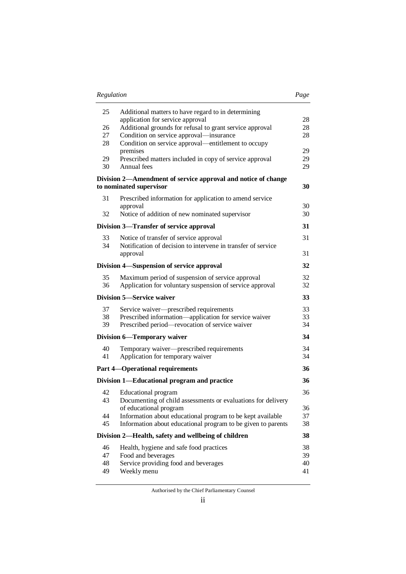| Regulation |                                                                                                                            | Page     |
|------------|----------------------------------------------------------------------------------------------------------------------------|----------|
| 25         | Additional matters to have regard to in determining                                                                        |          |
|            | application for service approval                                                                                           | 28       |
| 26         | Additional grounds for refusal to grant service approval                                                                   | 28       |
| 27<br>28   | Condition on service approval—insurance<br>Condition on service approval—entitlement to occupy                             | 28       |
|            | premises                                                                                                                   | 29       |
| 29         | Prescribed matters included in copy of service approval                                                                    | 29       |
| 30         | Annual fees                                                                                                                | 29       |
|            | Division 2-Amendment of service approval and notice of change<br>to nominated supervisor                                   | 30       |
| 31         |                                                                                                                            |          |
|            | Prescribed information for application to amend service<br>approval                                                        | 30       |
| 32         | Notice of addition of new nominated supervisor                                                                             | 30       |
|            | Division 3—Transfer of service approval                                                                                    | 31       |
| 33         | Notice of transfer of service approval                                                                                     | 31       |
| 34         | Notification of decision to intervene in transfer of service                                                               |          |
|            | approval                                                                                                                   | 31       |
|            | Division 4—Suspension of service approval                                                                                  | 32       |
| 35         | Maximum period of suspension of service approval                                                                           | 32       |
| 36         | Application for voluntary suspension of service approval                                                                   | 32       |
|            | <b>Division 5—Service waiver</b>                                                                                           | 33       |
| 37         | Service waiver-prescribed requirements                                                                                     | 33       |
| 38         | Prescribed information—application for service waiver                                                                      | 33       |
| 39         | Prescribed period-revocation of service waiver                                                                             | 34       |
|            | Division 6—Temporary waiver                                                                                                | 34       |
| 40         | Temporary waiver—prescribed requirements                                                                                   | 34       |
| 41         | Application for temporary waiver                                                                                           | 34       |
|            | <b>Part 4—Operational requirements</b>                                                                                     | 36       |
|            | Division 1—Educational program and practice                                                                                | 36       |
| 42         | <b>Educational</b> program                                                                                                 | 36       |
| 43         | Documenting of child assessments or evaluations for delivery                                                               |          |
|            | of educational program                                                                                                     | 36       |
| 44<br>45   | Information about educational program to be kept available<br>Information about educational program to be given to parents | 37<br>38 |
|            | Division 2-Health, safety and wellbeing of children                                                                        | 38       |
|            |                                                                                                                            |          |
| 46         | Health, hygiene and safe food practices                                                                                    | 38       |
| 47<br>48   | Food and beverages<br>Service providing food and beverages                                                                 | 39<br>40 |
| 49         | Weekly menu                                                                                                                | 41       |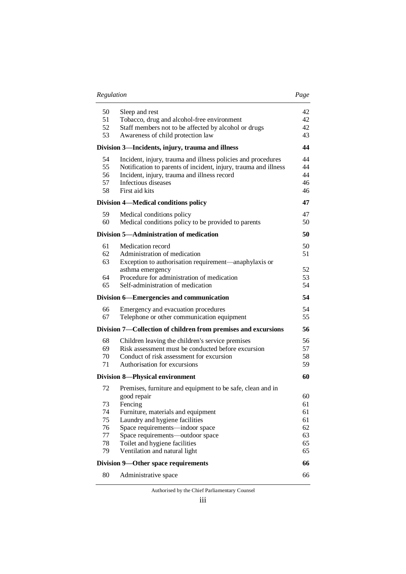| Regulation | Page |
|------------|------|
|            |      |

| 50       | Sleep and rest                                                            | 42       |
|----------|---------------------------------------------------------------------------|----------|
| 51       | Tobacco, drug and alcohol-free environment                                | 42       |
| 52       | Staff members not to be affected by alcohol or drugs                      | 42       |
| 53       | Awareness of child protection law                                         | 43       |
|          | Division 3—Incidents, injury, trauma and illness                          | 44       |
| 54       | Incident, injury, trauma and illness policies and procedures              | 44       |
| 55       | Notification to parents of incident, injury, trauma and illness           | 44       |
| 56       | Incident, injury, trauma and illness record                               | 44       |
| 57       | Infectious diseases                                                       | 46       |
| 58       | First aid kits                                                            | 46       |
|          | Division 4—Medical conditions policy                                      | 47       |
| 59       | Medical conditions policy                                                 | 47       |
| 60       | Medical conditions policy to be provided to parents                       | 50       |
|          | Division 5-Administration of medication                                   | 50       |
| 61       | Medication record                                                         | 50       |
| 62       | Administration of medication                                              | 51       |
| 63       | Exception to authorisation requirement—anaphylaxis or<br>asthma emergency | 52       |
| 64       | Procedure for administration of medication                                | 53       |
| 65       | Self-administration of medication                                         | 54       |
|          | Division 6—Emergencies and communication                                  | 54       |
| 66       | Emergency and evacuation procedures                                       | 54       |
| 67       | Telephone or other communication equipment                                | 55       |
|          | Division 7-Collection of children from premises and excursions            | 56       |
| 68       | Children leaving the children's service premises                          | 56       |
| 69       | Risk assessment must be conducted before excursion                        | 57       |
| 70       | Conduct of risk assessment for excursion                                  | 58       |
| 71       | Authorisation for excursions                                              | 59       |
|          | <b>Division 8-Physical environment</b>                                    | 60       |
| 72       | Premises, furniture and equipment to be safe, clean and in                |          |
|          | good repair                                                               | 60       |
| 73       | Fencing                                                                   | 61       |
| 74       | Furniture, materials and equipment                                        | 61       |
| 75       | Laundry and hygiene facilities                                            | 61       |
| 76       | Space requirements—indoor space                                           | 62       |
| 77       | Space requirements-outdoor space                                          | 63       |
| 78<br>79 | Toilet and hygiene facilities<br>Ventilation and natural light            | 65<br>65 |
|          |                                                                           |          |
|          | Division 9-Other space requirements                                       | 66       |
| 80       | Administrative space                                                      | 66       |
|          |                                                                           |          |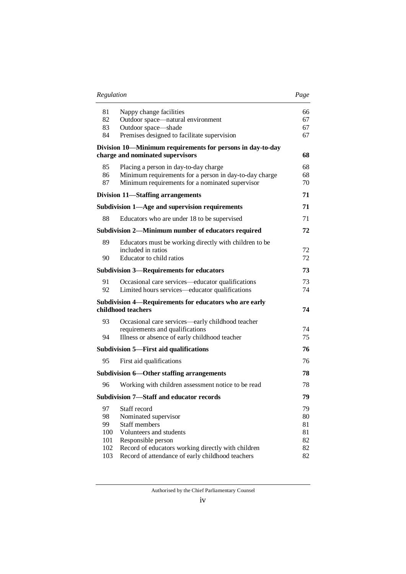| Regulation | Page |
|------------|------|
|            |      |

|--|

| 81<br>82<br>83<br>84                       | Nappy change facilities<br>Outdoor space-natural environment<br>Outdoor space-shade<br>Premises designed to facilitate supervision                                                                               | 66<br>67<br>67<br>67                   |
|--------------------------------------------|------------------------------------------------------------------------------------------------------------------------------------------------------------------------------------------------------------------|----------------------------------------|
|                                            | Division 10-Minimum requirements for persons in day-to-day<br>charge and nominated supervisors                                                                                                                   | 68                                     |
| 85<br>86<br>87                             | Placing a person in day-to-day charge<br>Minimum requirements for a person in day-to-day charge<br>Minimum requirements for a nominated supervisor                                                               | 68<br>68<br>70                         |
|                                            | Division 11—Staffing arrangements                                                                                                                                                                                | 71                                     |
|                                            | Subdivision 1—Age and supervision requirements                                                                                                                                                                   | 71                                     |
| 88                                         | Educators who are under 18 to be supervised                                                                                                                                                                      | 71                                     |
|                                            | Subdivision 2—Minimum number of educators required                                                                                                                                                               | 72                                     |
| 89<br>90                                   | Educators must be working directly with children to be<br>included in ratios<br>Educator to child ratios                                                                                                         | 72<br>72                               |
|                                            | <b>Subdivision 3-Requirements for educators</b>                                                                                                                                                                  | 73                                     |
| 91<br>92                                   | Occasional care services—educator qualifications<br>Limited hours services—educator qualifications                                                                                                               | 73<br>74                               |
|                                            | Subdivision 4—Requirements for educators who are early<br>childhood teachers                                                                                                                                     | 74                                     |
| 93<br>94                                   | Occasional care services—early childhood teacher<br>requirements and qualifications<br>Illness or absence of early childhood teacher                                                                             | 74<br>75                               |
|                                            | <b>Subdivision 5—First aid qualifications</b>                                                                                                                                                                    | 76                                     |
| 95                                         | First aid qualifications                                                                                                                                                                                         | 76                                     |
|                                            | <b>Subdivision 6—Other staffing arrangements</b>                                                                                                                                                                 | 78                                     |
| 96                                         | Working with children assessment notice to be read                                                                                                                                                               | 78                                     |
|                                            | <b>Subdivision 7—Staff and educator records</b>                                                                                                                                                                  | 79                                     |
| 97<br>98<br>99<br>100<br>101<br>102<br>103 | Staff record<br>Nominated supervisor<br>Staff members<br>Volunteers and students<br>Responsible person<br>Record of educators working directly with children<br>Record of attendance of early childhood teachers | 79<br>80<br>81<br>81<br>82<br>82<br>82 |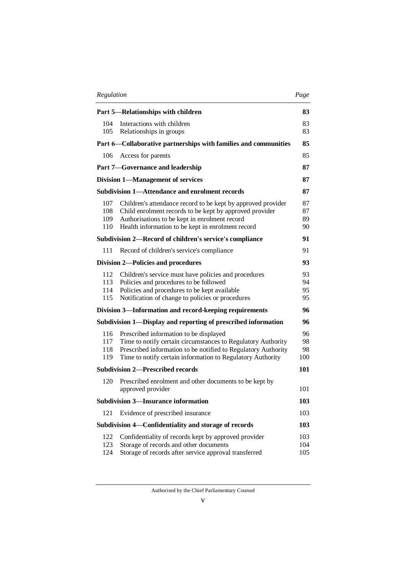| Regulation | Page |
|------------|------|
|            |      |

|--|

|                                            | Part 5-Relationships with children                                                                                                                                                                                                    | 83                    |
|--------------------------------------------|---------------------------------------------------------------------------------------------------------------------------------------------------------------------------------------------------------------------------------------|-----------------------|
| 104<br>105                                 | Interactions with children<br>Relationships in groups                                                                                                                                                                                 | 83<br>83              |
|                                            | Part 6—Collaborative partnerships with families and communities                                                                                                                                                                       | 85                    |
| 106                                        | Access for parents                                                                                                                                                                                                                    | 85                    |
|                                            | Part 7-Governance and leadership                                                                                                                                                                                                      | 87                    |
|                                            | Division 1—Management of services                                                                                                                                                                                                     | 87                    |
|                                            | Subdivision 1—Attendance and enrolment records                                                                                                                                                                                        | 87                    |
| 107<br>108<br>109<br>110                   | Children's attendance record to be kept by approved provider<br>Child enrolment records to be kept by approved provider<br>Authorisations to be kept in enrolment record<br>Health information to be kept in enrolment record         | 87<br>87<br>89<br>90  |
|                                            | Subdivision 2-Record of children's service's compliance                                                                                                                                                                               | 91                    |
| 111                                        | Record of children's service's compliance                                                                                                                                                                                             | 91                    |
|                                            | Division 2-Policies and procedures                                                                                                                                                                                                    | 93                    |
| 112<br>113<br>114<br>115                   | Children's service must have policies and procedures<br>Policies and procedures to be followed<br>Policies and procedures to be kept available<br>Notification of change to policies or procedures                                    | 93<br>94<br>95<br>95  |
|                                            | Division 3-Information and record-keeping requirements                                                                                                                                                                                | 96                    |
|                                            | Subdivision 1—Display and reporting of prescribed information                                                                                                                                                                         | 96                    |
| 116<br>117<br>118<br>119                   | Prescribed information to be displayed<br>Time to notify certain circumstances to Regulatory Authority<br>Prescribed information to be notified to Regulatory Authority<br>Time to notify certain information to Regulatory Authority | 96<br>98<br>98<br>100 |
|                                            | <b>Subdivision 2—Prescribed records</b>                                                                                                                                                                                               | 101                   |
| 120                                        | Prescribed enrolment and other documents to be kept by<br>approved provider                                                                                                                                                           | 101                   |
| <b>Subdivision 3—Insurance information</b> |                                                                                                                                                                                                                                       | 103                   |
| 121                                        | Evidence of prescribed insurance                                                                                                                                                                                                      | 103                   |
|                                            | Subdivision 4-Confidentiality and storage of records                                                                                                                                                                                  | 103                   |
| 122<br>123<br>124                          | Confidentiality of records kept by approved provider<br>Storage of records and other documents<br>Storage of records after service approval transferred                                                                               | 103<br>104<br>105     |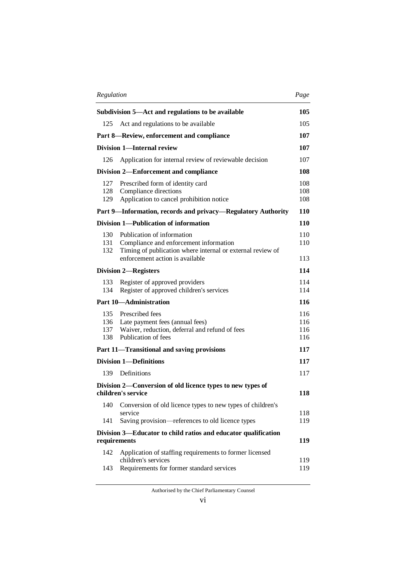| Subdivision 5—Act and regulations to be available<br>105<br>105<br>Act and regulations to be available<br>125<br>107<br>Part 8-Review, enforcement and compliance<br>Division 1-Internal review<br>107<br>Application for internal review of reviewable decision<br>107<br>126<br>Division 2-Enforcement and compliance<br>108<br>108<br>127<br>Prescribed form of identity card<br>108<br>128<br>Compliance directions<br>129<br>Application to cancel prohibition notice<br>108<br>110<br>Part 9-Information, records and privacy-Regulatory Authority<br>Division 1—Publication of information<br>110<br>110<br>130<br>Publication of information<br>Compliance and enforcement information<br>131<br>110<br>132<br>Timing of publication where internal or external review of<br>enforcement action is available<br>113<br>114<br><b>Division 2-Registers</b><br>114<br>133<br>Register of approved providers<br>Register of approved children's services<br>134<br>114<br>Part 10-Administration<br>116<br>135<br>Prescribed fees<br>116<br>136<br>Late payment fees (annual fees)<br>116<br>Waiver, reduction, deferral and refund of fees<br>137<br>116<br>Publication of fees<br>138<br>116<br>Part 11—Transitional and saving provisions<br>117<br><b>Division 1-Definitions</b><br>117<br>139<br>Definitions<br>117<br>Division 2—Conversion of old licence types to new types of<br>children's service<br>118<br>Conversion of old licence types to new types of children's<br>140<br>service<br>118<br>Saving provision—references to old licence types<br>141<br>119<br>Division 3—Educator to child ratios and educator qualification<br>requirements<br>119<br>Application of staffing requirements to former licensed<br>142<br>children's services<br>119 | Regulation |                                           | Page |
|----------------------------------------------------------------------------------------------------------------------------------------------------------------------------------------------------------------------------------------------------------------------------------------------------------------------------------------------------------------------------------------------------------------------------------------------------------------------------------------------------------------------------------------------------------------------------------------------------------------------------------------------------------------------------------------------------------------------------------------------------------------------------------------------------------------------------------------------------------------------------------------------------------------------------------------------------------------------------------------------------------------------------------------------------------------------------------------------------------------------------------------------------------------------------------------------------------------------------------------------------------------------------------------------------------------------------------------------------------------------------------------------------------------------------------------------------------------------------------------------------------------------------------------------------------------------------------------------------------------------------------------------------------------------------------------------------------------------------------------------------------------------------|------------|-------------------------------------------|------|
|                                                                                                                                                                                                                                                                                                                                                                                                                                                                                                                                                                                                                                                                                                                                                                                                                                                                                                                                                                                                                                                                                                                                                                                                                                                                                                                                                                                                                                                                                                                                                                                                                                                                                                                                                                            |            |                                           |      |
|                                                                                                                                                                                                                                                                                                                                                                                                                                                                                                                                                                                                                                                                                                                                                                                                                                                                                                                                                                                                                                                                                                                                                                                                                                                                                                                                                                                                                                                                                                                                                                                                                                                                                                                                                                            |            |                                           |      |
|                                                                                                                                                                                                                                                                                                                                                                                                                                                                                                                                                                                                                                                                                                                                                                                                                                                                                                                                                                                                                                                                                                                                                                                                                                                                                                                                                                                                                                                                                                                                                                                                                                                                                                                                                                            |            |                                           |      |
|                                                                                                                                                                                                                                                                                                                                                                                                                                                                                                                                                                                                                                                                                                                                                                                                                                                                                                                                                                                                                                                                                                                                                                                                                                                                                                                                                                                                                                                                                                                                                                                                                                                                                                                                                                            |            |                                           |      |
|                                                                                                                                                                                                                                                                                                                                                                                                                                                                                                                                                                                                                                                                                                                                                                                                                                                                                                                                                                                                                                                                                                                                                                                                                                                                                                                                                                                                                                                                                                                                                                                                                                                                                                                                                                            |            |                                           |      |
|                                                                                                                                                                                                                                                                                                                                                                                                                                                                                                                                                                                                                                                                                                                                                                                                                                                                                                                                                                                                                                                                                                                                                                                                                                                                                                                                                                                                                                                                                                                                                                                                                                                                                                                                                                            |            |                                           |      |
|                                                                                                                                                                                                                                                                                                                                                                                                                                                                                                                                                                                                                                                                                                                                                                                                                                                                                                                                                                                                                                                                                                                                                                                                                                                                                                                                                                                                                                                                                                                                                                                                                                                                                                                                                                            |            |                                           |      |
|                                                                                                                                                                                                                                                                                                                                                                                                                                                                                                                                                                                                                                                                                                                                                                                                                                                                                                                                                                                                                                                                                                                                                                                                                                                                                                                                                                                                                                                                                                                                                                                                                                                                                                                                                                            |            |                                           |      |
|                                                                                                                                                                                                                                                                                                                                                                                                                                                                                                                                                                                                                                                                                                                                                                                                                                                                                                                                                                                                                                                                                                                                                                                                                                                                                                                                                                                                                                                                                                                                                                                                                                                                                                                                                                            |            |                                           |      |
|                                                                                                                                                                                                                                                                                                                                                                                                                                                                                                                                                                                                                                                                                                                                                                                                                                                                                                                                                                                                                                                                                                                                                                                                                                                                                                                                                                                                                                                                                                                                                                                                                                                                                                                                                                            |            |                                           |      |
|                                                                                                                                                                                                                                                                                                                                                                                                                                                                                                                                                                                                                                                                                                                                                                                                                                                                                                                                                                                                                                                                                                                                                                                                                                                                                                                                                                                                                                                                                                                                                                                                                                                                                                                                                                            |            |                                           |      |
|                                                                                                                                                                                                                                                                                                                                                                                                                                                                                                                                                                                                                                                                                                                                                                                                                                                                                                                                                                                                                                                                                                                                                                                                                                                                                                                                                                                                                                                                                                                                                                                                                                                                                                                                                                            |            |                                           |      |
|                                                                                                                                                                                                                                                                                                                                                                                                                                                                                                                                                                                                                                                                                                                                                                                                                                                                                                                                                                                                                                                                                                                                                                                                                                                                                                                                                                                                                                                                                                                                                                                                                                                                                                                                                                            |            |                                           |      |
|                                                                                                                                                                                                                                                                                                                                                                                                                                                                                                                                                                                                                                                                                                                                                                                                                                                                                                                                                                                                                                                                                                                                                                                                                                                                                                                                                                                                                                                                                                                                                                                                                                                                                                                                                                            |            |                                           |      |
|                                                                                                                                                                                                                                                                                                                                                                                                                                                                                                                                                                                                                                                                                                                                                                                                                                                                                                                                                                                                                                                                                                                                                                                                                                                                                                                                                                                                                                                                                                                                                                                                                                                                                                                                                                            |            |                                           |      |
|                                                                                                                                                                                                                                                                                                                                                                                                                                                                                                                                                                                                                                                                                                                                                                                                                                                                                                                                                                                                                                                                                                                                                                                                                                                                                                                                                                                                                                                                                                                                                                                                                                                                                                                                                                            |            |                                           |      |
|                                                                                                                                                                                                                                                                                                                                                                                                                                                                                                                                                                                                                                                                                                                                                                                                                                                                                                                                                                                                                                                                                                                                                                                                                                                                                                                                                                                                                                                                                                                                                                                                                                                                                                                                                                            |            |                                           |      |
|                                                                                                                                                                                                                                                                                                                                                                                                                                                                                                                                                                                                                                                                                                                                                                                                                                                                                                                                                                                                                                                                                                                                                                                                                                                                                                                                                                                                                                                                                                                                                                                                                                                                                                                                                                            |            |                                           |      |
|                                                                                                                                                                                                                                                                                                                                                                                                                                                                                                                                                                                                                                                                                                                                                                                                                                                                                                                                                                                                                                                                                                                                                                                                                                                                                                                                                                                                                                                                                                                                                                                                                                                                                                                                                                            |            |                                           |      |
|                                                                                                                                                                                                                                                                                                                                                                                                                                                                                                                                                                                                                                                                                                                                                                                                                                                                                                                                                                                                                                                                                                                                                                                                                                                                                                                                                                                                                                                                                                                                                                                                                                                                                                                                                                            |            |                                           |      |
|                                                                                                                                                                                                                                                                                                                                                                                                                                                                                                                                                                                                                                                                                                                                                                                                                                                                                                                                                                                                                                                                                                                                                                                                                                                                                                                                                                                                                                                                                                                                                                                                                                                                                                                                                                            |            |                                           |      |
|                                                                                                                                                                                                                                                                                                                                                                                                                                                                                                                                                                                                                                                                                                                                                                                                                                                                                                                                                                                                                                                                                                                                                                                                                                                                                                                                                                                                                                                                                                                                                                                                                                                                                                                                                                            |            |                                           |      |
|                                                                                                                                                                                                                                                                                                                                                                                                                                                                                                                                                                                                                                                                                                                                                                                                                                                                                                                                                                                                                                                                                                                                                                                                                                                                                                                                                                                                                                                                                                                                                                                                                                                                                                                                                                            |            |                                           |      |
|                                                                                                                                                                                                                                                                                                                                                                                                                                                                                                                                                                                                                                                                                                                                                                                                                                                                                                                                                                                                                                                                                                                                                                                                                                                                                                                                                                                                                                                                                                                                                                                                                                                                                                                                                                            |            |                                           |      |
|                                                                                                                                                                                                                                                                                                                                                                                                                                                                                                                                                                                                                                                                                                                                                                                                                                                                                                                                                                                                                                                                                                                                                                                                                                                                                                                                                                                                                                                                                                                                                                                                                                                                                                                                                                            |            |                                           |      |
|                                                                                                                                                                                                                                                                                                                                                                                                                                                                                                                                                                                                                                                                                                                                                                                                                                                                                                                                                                                                                                                                                                                                                                                                                                                                                                                                                                                                                                                                                                                                                                                                                                                                                                                                                                            |            |                                           |      |
|                                                                                                                                                                                                                                                                                                                                                                                                                                                                                                                                                                                                                                                                                                                                                                                                                                                                                                                                                                                                                                                                                                                                                                                                                                                                                                                                                                                                                                                                                                                                                                                                                                                                                                                                                                            |            |                                           |      |
|                                                                                                                                                                                                                                                                                                                                                                                                                                                                                                                                                                                                                                                                                                                                                                                                                                                                                                                                                                                                                                                                                                                                                                                                                                                                                                                                                                                                                                                                                                                                                                                                                                                                                                                                                                            |            |                                           |      |
|                                                                                                                                                                                                                                                                                                                                                                                                                                                                                                                                                                                                                                                                                                                                                                                                                                                                                                                                                                                                                                                                                                                                                                                                                                                                                                                                                                                                                                                                                                                                                                                                                                                                                                                                                                            |            |                                           |      |
|                                                                                                                                                                                                                                                                                                                                                                                                                                                                                                                                                                                                                                                                                                                                                                                                                                                                                                                                                                                                                                                                                                                                                                                                                                                                                                                                                                                                                                                                                                                                                                                                                                                                                                                                                                            |            |                                           |      |
|                                                                                                                                                                                                                                                                                                                                                                                                                                                                                                                                                                                                                                                                                                                                                                                                                                                                                                                                                                                                                                                                                                                                                                                                                                                                                                                                                                                                                                                                                                                                                                                                                                                                                                                                                                            |            |                                           |      |
|                                                                                                                                                                                                                                                                                                                                                                                                                                                                                                                                                                                                                                                                                                                                                                                                                                                                                                                                                                                                                                                                                                                                                                                                                                                                                                                                                                                                                                                                                                                                                                                                                                                                                                                                                                            |            |                                           |      |
|                                                                                                                                                                                                                                                                                                                                                                                                                                                                                                                                                                                                                                                                                                                                                                                                                                                                                                                                                                                                                                                                                                                                                                                                                                                                                                                                                                                                                                                                                                                                                                                                                                                                                                                                                                            |            |                                           |      |
|                                                                                                                                                                                                                                                                                                                                                                                                                                                                                                                                                                                                                                                                                                                                                                                                                                                                                                                                                                                                                                                                                                                                                                                                                                                                                                                                                                                                                                                                                                                                                                                                                                                                                                                                                                            | 143        | Requirements for former standard services | 119  |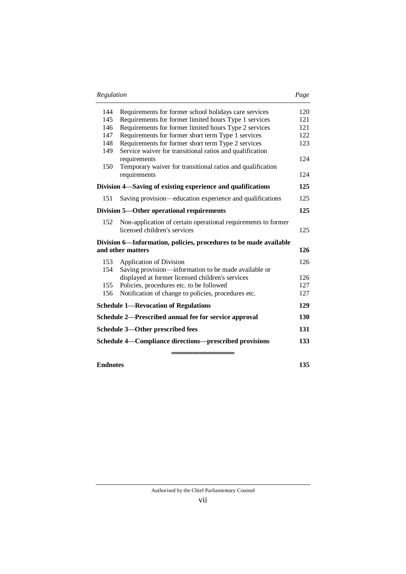| Regulation | Page |
|------------|------|
|            |      |

| 144                                                                                    | Requirements for former school holidays care services                                         | 120 |
|----------------------------------------------------------------------------------------|-----------------------------------------------------------------------------------------------|-----|
| 145                                                                                    | Requirements for former limited hours Type 1 services                                         | 121 |
| 146                                                                                    | Requirements for former limited hours Type 2 services                                         | 121 |
| 147                                                                                    | Requirements for former short term Type 1 services                                            | 122 |
| 148                                                                                    | Requirements for former short term Type 2 services                                            | 123 |
| 149                                                                                    | Service waiver for transitional ratios and qualification<br>requirements                      | 124 |
| 150                                                                                    | Temporary waiver for transitional ratios and qualification<br>requirements                    | 124 |
| Division 4—Saving of existing experience and qualifications                            |                                                                                               | 125 |
| 151                                                                                    | Saving provision—education experience and qualifications                                      | 125 |
| Division 5—Other operational requirements                                              |                                                                                               | 125 |
| 152                                                                                    | Non-application of certain operational requirements to former<br>licensed children's services | 125 |
| Division 6—Information, policies, procedures to be made available<br>and other matters |                                                                                               | 126 |
|                                                                                        |                                                                                               |     |
| 153<br>154                                                                             | <b>Application of Division</b><br>Saving provision—information to be made available or        | 126 |
|                                                                                        | displayed at former licensed children's services                                              | 126 |
| 155                                                                                    | Policies, procedures etc. to be followed                                                      | 127 |
| 156                                                                                    | Notification of change to policies, procedures etc.                                           | 127 |
| <b>Schedule 1-Revocation of Regulations</b>                                            |                                                                                               | 129 |
| Schedule 2-Prescribed annual fee for service approval                                  |                                                                                               | 130 |
| Schedule 3-Other prescribed fees                                                       |                                                                                               | 131 |
| Schedule 4—Compliance directions—prescribed provisions                                 |                                                                                               | 133 |
|                                                                                        |                                                                                               |     |

# **Endnotes 135**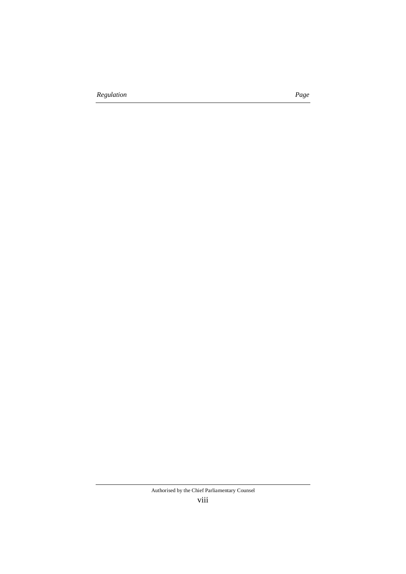Authorised by the Chief Parliamentary Counsel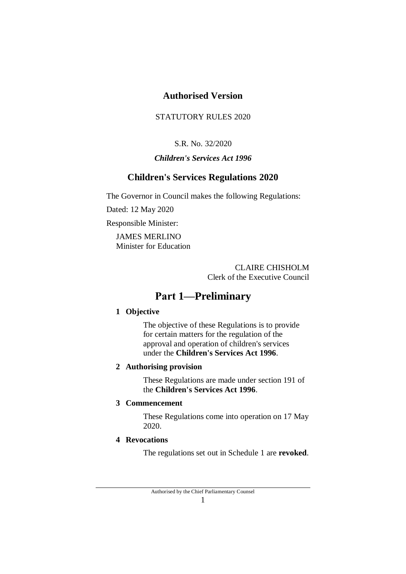# **Authorised Version**

## STATUTORY RULES 2020

### S.R. No. 32/2020

# *Children's Services Act 1996*

# **Children's Services Regulations 2020**

The Governor in Council makes the following Regulations:

Dated: 12 May 2020

Responsible Minister:

JAMES MERLINO Minister for Education

> CLAIRE CHISHOLM Clerk of the Executive Council

# **Part 1—Preliminary**

# **1 Objective**

The objective of these Regulations is to provide for certain matters for the regulation of the approval and operation of children's services under the **Children's Services Act 1996**.

### **2 Authorising provision**

These Regulations are made under section 191 of the **Children's Services Act 1996**.

#### **3 Commencement**

These Regulations come into operation on 17 May 2020.

## **4 Revocations**

The regulations set out in Schedule 1 are **revoked**.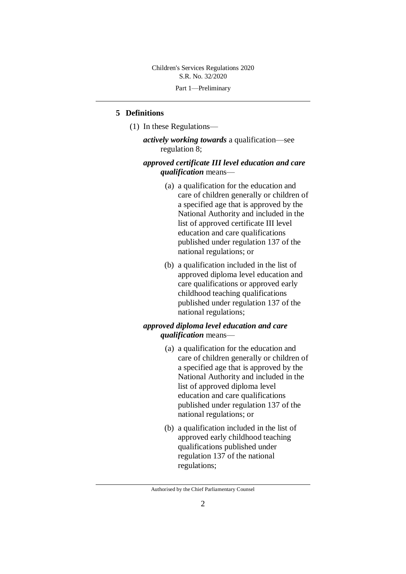Part 1—Preliminary

## **5 Definitions**

(1) In these Regulations—

## *actively working towards* a qualification—see regulation 8;

## *approved certificate III level education and care qualification* means—

- (a) a qualification for the education and care of children generally or children of a specified age that is approved by the National Authority and included in the list of approved certificate III level education and care qualifications published under regulation 137 of the national regulations; or
- (b) a qualification included in the list of approved diploma level education and care qualifications or approved early childhood teaching qualifications published under regulation 137 of the national regulations;

## *approved diploma level education and care qualification* means—

- (a) a qualification for the education and care of children generally or children of a specified age that is approved by the National Authority and included in the list of approved diploma level education and care qualifications published under regulation 137 of the national regulations; or
- (b) a qualification included in the list of approved early childhood teaching qualifications published under regulation 137 of the national regulations;

Authorised by the Chief Parliamentary Counsel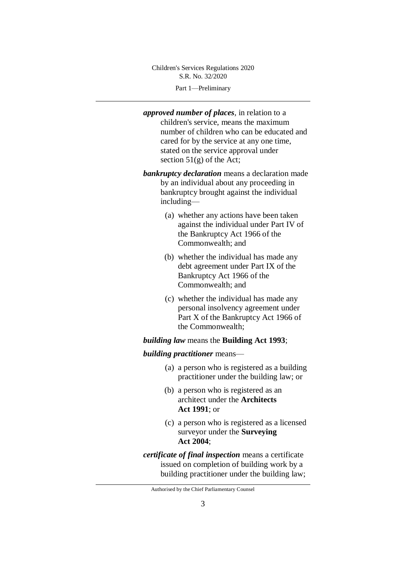Part 1—Preliminary

*approved number of places*, in relation to a children's service, means the maximum number of children who can be educated and cared for by the service at any one time, stated on the service approval under section 51(g) of the Act;

*bankruptcy declaration* means a declaration made by an individual about any proceeding in bankruptcy brought against the individual including—

- (a) whether any actions have been taken against the individual under Part IV of the Bankruptcy Act 1966 of the Commonwealth; and
- (b) whether the individual has made any debt agreement under Part IX of the Bankruptcy Act 1966 of the Commonwealth; and
- (c) whether the individual has made any personal insolvency agreement under Part X of the Bankruptcy Act 1966 of the Commonwealth;

### *building law* means the **Building Act 1993**;

## *building practitioner* means—

- (a) a person who is registered as a building practitioner under the building law; or
- (b) a person who is registered as an architect under the **Architects Act 1991**; or
- (c) a person who is registered as a licensed surveyor under the **Surveying Act 2004**;
- *certificate of final inspection* means a certificate issued on completion of building work by a building practitioner under the building law;

Authorised by the Chief Parliamentary Counsel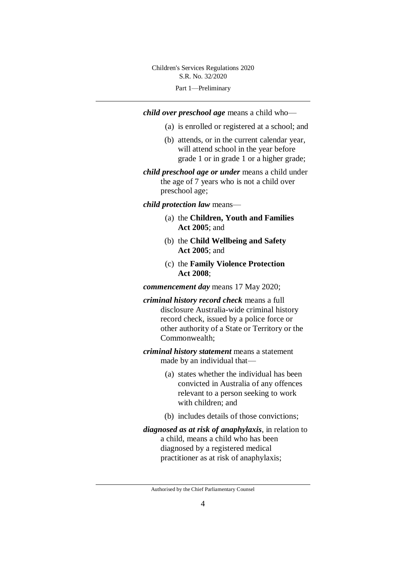Part 1—Preliminary

*child over preschool age* means a child who—

- (a) is enrolled or registered at a school; and
- (b) attends, or in the current calendar year, will attend school in the year before grade 1 or in grade 1 or a higher grade;

*child preschool age or under* means a child under the age of 7 years who is not a child over preschool age;

*child protection law* means—

- (a) the **Children, Youth and Families Act 2005**; and
- (b) the **Child Wellbeing and Safety Act 2005**; and
- (c) the **Family Violence Protection Act 2008**;

*commencement day* means 17 May 2020;

*criminal history record check* means a full disclosure Australia-wide criminal history record check, issued by a police force or other authority of a State or Territory or the Commonwealth;

*criminal history statement* means a statement made by an individual that—

- (a) states whether the individual has been convicted in Australia of any offences relevant to a person seeking to work with children; and
- (b) includes details of those convictions;

*diagnosed as at risk of anaphylaxis*, in relation to a child, means a child who has been diagnosed by a registered medical practitioner as at risk of anaphylaxis;

Authorised by the Chief Parliamentary Counsel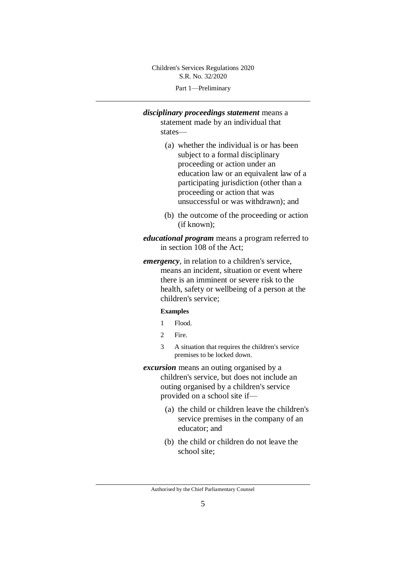Part 1—Preliminary

### *disciplinary proceedings statement* means a statement made by an individual that states—

- (a) whether the individual is or has been subject to a formal disciplinary proceeding or action under an education law or an equivalent law of a participating jurisdiction (other than a proceeding or action that was unsuccessful or was withdrawn); and
- (b) the outcome of the proceeding or action (if known);
- *educational program* means a program referred to in section 108 of the Act;
- *emergency*, in relation to a children's service, means an incident, situation or event where there is an imminent or severe risk to the health, safety or wellbeing of a person at the children's service;

### **Examples**

- 1 Flood.
- 2 Fire.
- 3 A situation that requires the children's service premises to be locked down.
- *excursion* means an outing organised by a children's service, but does not include an outing organised by a children's service provided on a school site if—
	- (a) the child or children leave the children's service premises in the company of an educator; and
	- (b) the child or children do not leave the school site;

Authorised by the Chief Parliamentary Counsel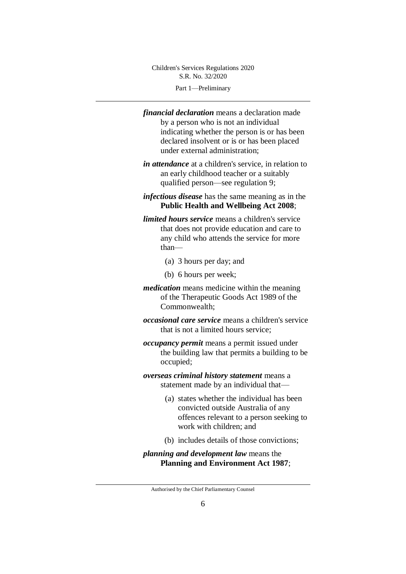Part 1—Preliminary

*financial declaration* means a declaration made by a person who is not an individual indicating whether the person is or has been declared insolvent or is or has been placed under external administration;

- *in attendance* at a children's service, in relation to an early childhood teacher or a suitably qualified person—see regulation 9;
- *infectious disease* has the same meaning as in the **Public Health and Wellbeing Act 2008**;
- *limited hours service* means a children's service that does not provide education and care to any child who attends the service for more than—
	- (a) 3 hours per day; and
	- (b) 6 hours per week;
- *medication* means medicine within the meaning of the Therapeutic Goods Act 1989 of the Commonwealth;
- *occasional care service* means a children's service that is not a limited hours service;
- *occupancy permit* means a permit issued under the building law that permits a building to be occupied;
- *overseas criminal history statement* means a statement made by an individual that—
	- (a) states whether the individual has been convicted outside Australia of any offences relevant to a person seeking to work with children; and
	- (b) includes details of those convictions;

*planning and development law* means the **Planning and Environment Act 1987**;

Authorised by the Chief Parliamentary Counsel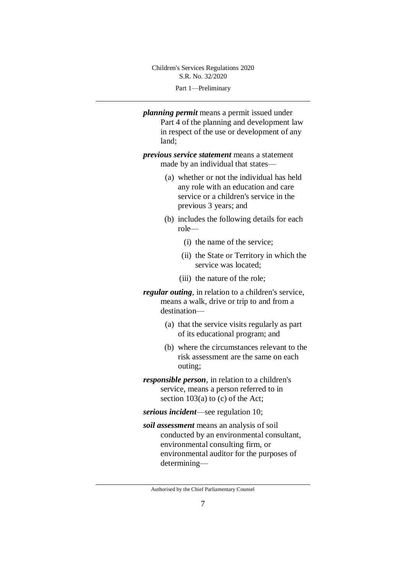Part 1—Preliminary

*planning permit* means a permit issued under Part 4 of the planning and development law in respect of the use or development of any land;

*previous service statement* means a statement made by an individual that states—

- (a) whether or not the individual has held any role with an education and care service or a children's service in the previous 3 years; and
- (b) includes the following details for each role—
	- (i) the name of the service;
	- (ii) the State or Territory in which the service was located;
	- (iii) the nature of the role;
- *regular outing*, in relation to a children's service, means a walk, drive or trip to and from a destination—
	- (a) that the service visits regularly as part of its educational program; and
	- (b) where the circumstances relevant to the risk assessment are the same on each outing;
- *responsible person*, in relation to a children's service, means a person referred to in section 103(a) to (c) of the Act;

*serious incident*—see regulation 10;

*soil assessment* means an analysis of soil conducted by an environmental consultant, environmental consulting firm, or environmental auditor for the purposes of determining—

Authorised by the Chief Parliamentary Counsel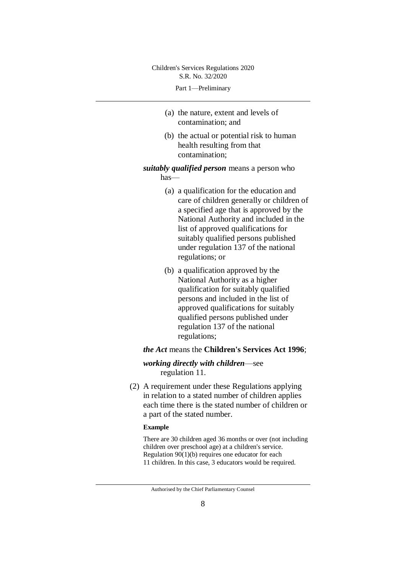#### Part 1—Preliminary

- (a) the nature, extent and levels of contamination; and
- (b) the actual or potential risk to human health resulting from that contamination;

#### *suitably qualified person* means a person who has—

- (a) a qualification for the education and care of children generally or children of a specified age that is approved by the National Authority and included in the list of approved qualifications for suitably qualified persons published under regulation 137 of the national regulations; or
- (b) a qualification approved by the National Authority as a higher qualification for suitably qualified persons and included in the list of approved qualifications for suitably qualified persons published under regulation 137 of the national regulations;

# *the Act* means the **Children's Services Act 1996**;

## *working directly with children*—see regulation 11.

(2) A requirement under these Regulations applying in relation to a stated number of children applies each time there is the stated number of children or a part of the stated number.

### **Example**

There are 30 children aged 36 months or over (not including children over preschool age) at a children's service. Regulation 90(1)(b) requires one educator for each 11 children. In this case, 3 educators would be required.

Authorised by the Chief Parliamentary Counsel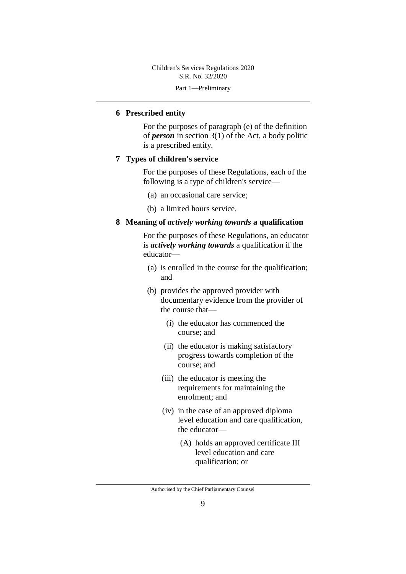Part 1—Preliminary

## **6 Prescribed entity**

For the purposes of paragraph (e) of the definition of *person* in section 3(1) of the Act, a body politic is a prescribed entity.

### **7 Types of children's service**

For the purposes of these Regulations, each of the following is a type of children's service—

- (a) an occasional care service;
- (b) a limited hours service.

## **8 Meaning of** *actively working towards* **a qualification**

For the purposes of these Regulations, an educator is *actively working towards* a qualification if the educator—

- (a) is enrolled in the course for the qualification; and
- (b) provides the approved provider with documentary evidence from the provider of the course that—
	- (i) the educator has commenced the course; and
	- (ii) the educator is making satisfactory progress towards completion of the course; and
	- (iii) the educator is meeting the requirements for maintaining the enrolment; and
	- (iv) in the case of an approved diploma level education and care qualification, the educator—
		- (A) holds an approved certificate III level education and care qualification; or

Authorised by the Chief Parliamentary Counsel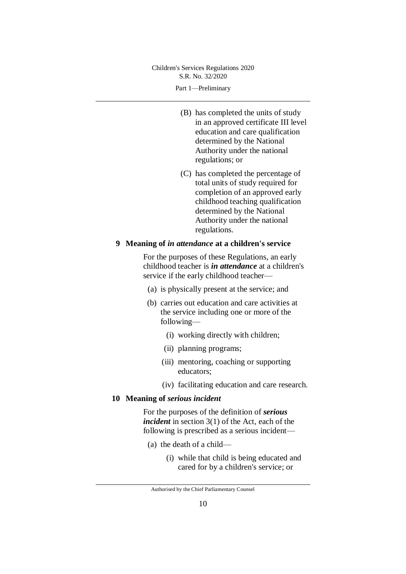Part 1—Preliminary

- (B) has completed the units of study in an approved certificate III level education and care qualification determined by the National Authority under the national regulations; or
- (C) has completed the percentage of total units of study required for completion of an approved early childhood teaching qualification determined by the National Authority under the national regulations.

## **9 Meaning of** *in attendance* **at a children's service**

For the purposes of these Regulations, an early childhood teacher is *in attendance* at a children's service if the early childhood teacher—

- (a) is physically present at the service; and
- (b) carries out education and care activities at the service including one or more of the following—
	- (i) working directly with children;
	- (ii) planning programs;
	- (iii) mentoring, coaching or supporting educators;
	- (iv) facilitating education and care research.

## **10 Meaning of** *serious incident*

For the purposes of the definition of *serious incident* in section 3(1) of the Act, each of the following is prescribed as a serious incident—

- (a) the death of a child—
	- (i) while that child is being educated and cared for by a children's service; or

Authorised by the Chief Parliamentary Counsel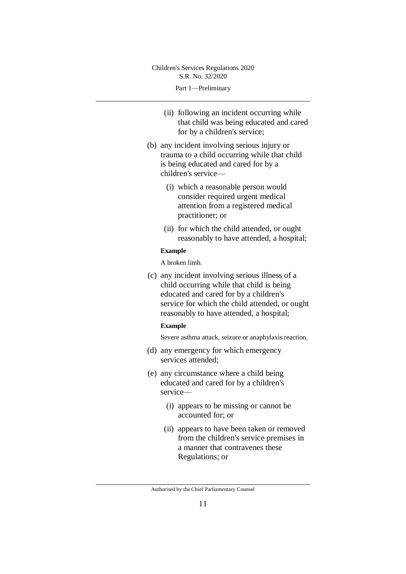Part 1—Preliminary

- (ii) following an incident occurring while that child was being educated and cared for by a children's service;
- (b) any incident involving serious injury or trauma to a child occurring while that child is being educated and cared for by a children's service—
	- (i) which a reasonable person would consider required urgent medical attention from a registered medical practitioner; or
	- (ii) for which the child attended, or ought reasonably to have attended, a hospital;

### **Example**

A broken limb.

(c) any incident involving serious illness of a child occurring while that child is being educated and cared for by a children's service for which the child attended, or ought reasonably to have attended, a hospital;

### **Example**

Severe asthma attack, seizure or anaphylaxis reaction.

- (d) any emergency for which emergency services attended;
- (e) any circumstance where a child being educated and cared for by a children's service—
	- (i) appears to be missing or cannot be accounted for; or
	- (ii) appears to have been taken or removed from the children's service premises in a manner that contravenes these Regulations; or

Authorised by the Chief Parliamentary Counsel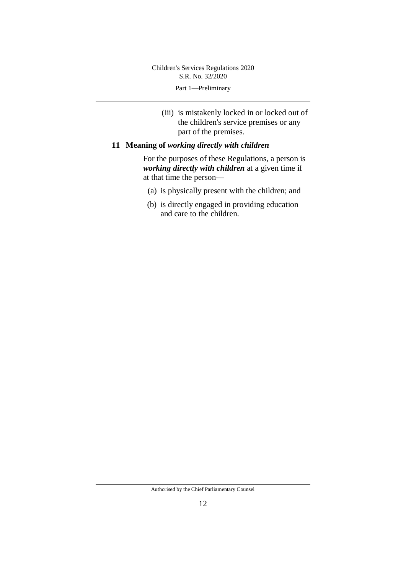### Part 1—Preliminary

(iii) is mistakenly locked in or locked out of the children's service premises or any part of the premises.

# **11 Meaning of** *working directly with children*

For the purposes of these Regulations, a person is *working directly with children* at a given time if at that time the person—

- (a) is physically present with the children; and
- (b) is directly engaged in providing education and care to the children.

Authorised by the Chief Parliamentary Counsel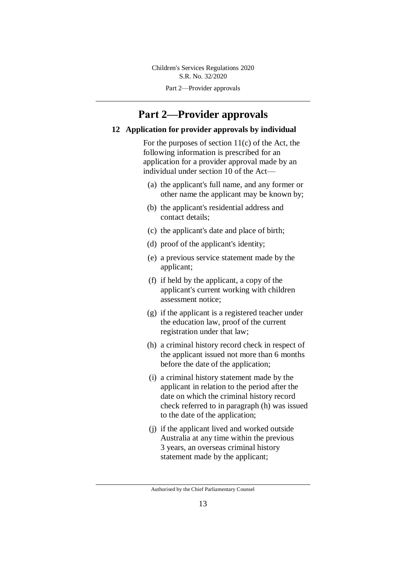Part 2—Provider approvals

# **Part 2—Provider approvals**

## **12 Application for provider approvals by individual**

For the purposes of section  $11(c)$  of the Act, the following information is prescribed for an application for a provider approval made by an individual under section 10 of the Act—

- (a) the applicant's full name, and any former or other name the applicant may be known by;
- (b) the applicant's residential address and contact details;
- (c) the applicant's date and place of birth;
- (d) proof of the applicant's identity;
- (e) a previous service statement made by the applicant;
- (f) if held by the applicant, a copy of the applicant's current working with children assessment notice;
- (g) if the applicant is a registered teacher under the education law, proof of the current registration under that law;
- (h) a criminal history record check in respect of the applicant issued not more than 6 months before the date of the application;
- (i) a criminal history statement made by the applicant in relation to the period after the date on which the criminal history record check referred to in paragraph (h) was issued to the date of the application;
- (j) if the applicant lived and worked outside Australia at any time within the previous 3 years, an overseas criminal history statement made by the applicant;

Authorised by the Chief Parliamentary Counsel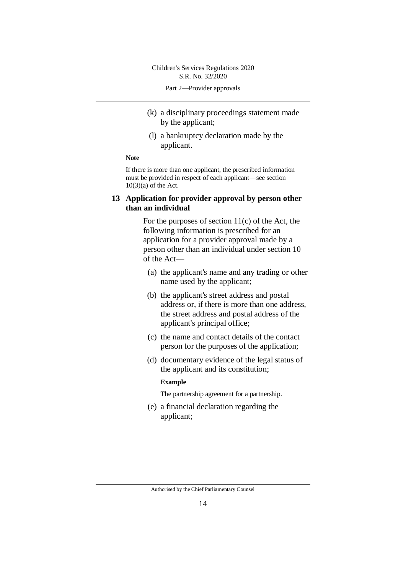Part 2—Provider approvals

- (k) a disciplinary proceedings statement made by the applicant;
- (l) a bankruptcy declaration made by the applicant.

#### **Note**

If there is more than one applicant, the prescribed information must be provided in respect of each applicant—see section  $10(3)(a)$  of the Act.

# **13 Application for provider approval by person other than an individual**

For the purposes of section 11(c) of the Act, the following information is prescribed for an application for a provider approval made by a person other than an individual under section 10 of the Act—

- (a) the applicant's name and any trading or other name used by the applicant;
- (b) the applicant's street address and postal address or, if there is more than one address, the street address and postal address of the applicant's principal office;
- (c) the name and contact details of the contact person for the purposes of the application;
- (d) documentary evidence of the legal status of the applicant and its constitution;

#### **Example**

The partnership agreement for a partnership.

(e) a financial declaration regarding the applicant;

Authorised by the Chief Parliamentary Counsel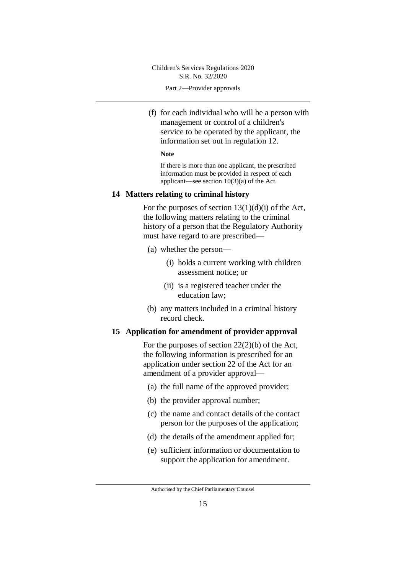Part 2—Provider approvals

(f) for each individual who will be a person with management or control of a children's service to be operated by the applicant, the information set out in regulation 12.

#### **Note**

If there is more than one applicant, the prescribed information must be provided in respect of each applicant—see section 10(3)(a) of the Act.

## **14 Matters relating to criminal history**

For the purposes of section  $13(1)(d)(i)$  of the Act, the following matters relating to the criminal history of a person that the Regulatory Authority must have regard to are prescribed—

- (a) whether the person—
	- (i) holds a current working with children assessment notice; or
	- (ii) is a registered teacher under the education law;
- (b) any matters included in a criminal history record check.

## **15 Application for amendment of provider approval**

For the purposes of section 22(2)(b) of the Act, the following information is prescribed for an application under section 22 of the Act for an amendment of a provider approval—

- (a) the full name of the approved provider;
- (b) the provider approval number;
- (c) the name and contact details of the contact person for the purposes of the application;
- (d) the details of the amendment applied for;
- (e) sufficient information or documentation to support the application for amendment.

Authorised by the Chief Parliamentary Counsel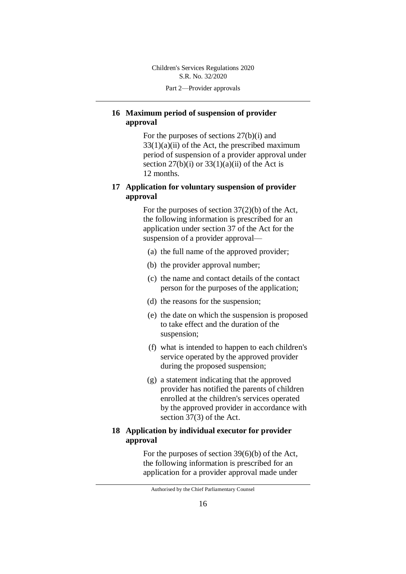Part 2—Provider approvals

# **16 Maximum period of suspension of provider approval**

For the purposes of sections 27(b)(i) and  $33(1)(a)(ii)$  of the Act, the prescribed maximum period of suspension of a provider approval under section  $27(b)(i)$  or  $33(1)(a)(ii)$  of the Act is 12 months.

# **17 Application for voluntary suspension of provider approval**

For the purposes of section 37(2)(b) of the Act, the following information is prescribed for an application under section 37 of the Act for the suspension of a provider approval—

- (a) the full name of the approved provider;
- (b) the provider approval number;
- (c) the name and contact details of the contact person for the purposes of the application;
- (d) the reasons for the suspension;
- (e) the date on which the suspension is proposed to take effect and the duration of the suspension;
- (f) what is intended to happen to each children's service operated by the approved provider during the proposed suspension;
- (g) a statement indicating that the approved provider has notified the parents of children enrolled at the children's services operated by the approved provider in accordance with section 37(3) of the Act.

# **18 Application by individual executor for provider approval**

For the purposes of section 39(6)(b) of the Act, the following information is prescribed for an application for a provider approval made under

Authorised by the Chief Parliamentary Counsel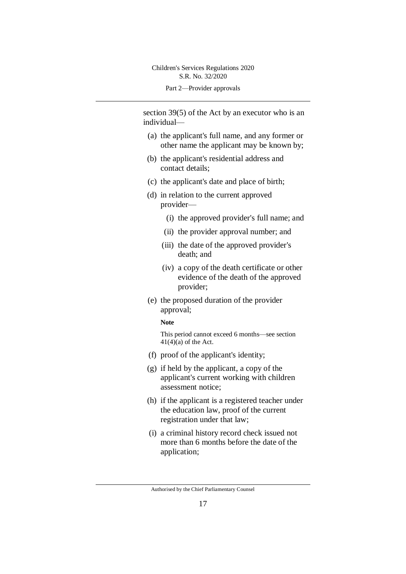#### Part 2—Provider approvals

section 39(5) of the Act by an executor who is an individual—

- (a) the applicant's full name, and any former or other name the applicant may be known by;
- (b) the applicant's residential address and contact details;
- (c) the applicant's date and place of birth;
- (d) in relation to the current approved provider—
	- (i) the approved provider's full name; and
	- (ii) the provider approval number; and
	- (iii) the date of the approved provider's death; and
	- (iv) a copy of the death certificate or other evidence of the death of the approved provider;
- (e) the proposed duration of the provider approval;

#### **Note**

This period cannot exceed 6 months—see section  $41(4)(a)$  of the Act.

- (f) proof of the applicant's identity;
- (g) if held by the applicant, a copy of the applicant's current working with children assessment notice;
- (h) if the applicant is a registered teacher under the education law, proof of the current registration under that law;
- (i) a criminal history record check issued not more than 6 months before the date of the application;

Authorised by the Chief Parliamentary Counsel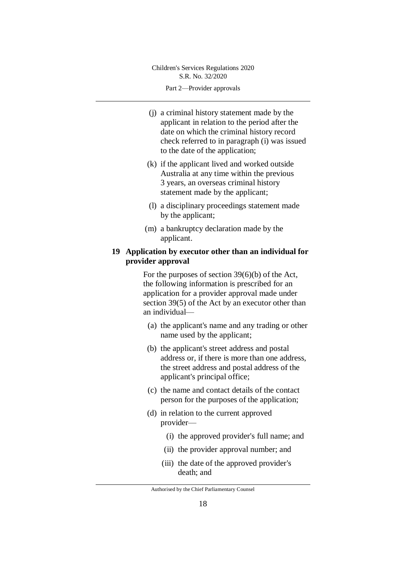Part 2—Provider approvals

- (j) a criminal history statement made by the applicant in relation to the period after the date on which the criminal history record check referred to in paragraph (i) was issued to the date of the application;
- (k) if the applicant lived and worked outside Australia at any time within the previous 3 years, an overseas criminal history statement made by the applicant;
- (l) a disciplinary proceedings statement made by the applicant;
- (m) a bankruptcy declaration made by the applicant.

## **19 Application by executor other than an individual for provider approval**

For the purposes of section 39(6)(b) of the Act, the following information is prescribed for an application for a provider approval made under section 39(5) of the Act by an executor other than an individual—

- (a) the applicant's name and any trading or other name used by the applicant;
- (b) the applicant's street address and postal address or, if there is more than one address, the street address and postal address of the applicant's principal office;
- (c) the name and contact details of the contact person for the purposes of the application;
- (d) in relation to the current approved provider—
	- (i) the approved provider's full name; and
	- (ii) the provider approval number; and
	- (iii) the date of the approved provider's death; and

Authorised by the Chief Parliamentary Counsel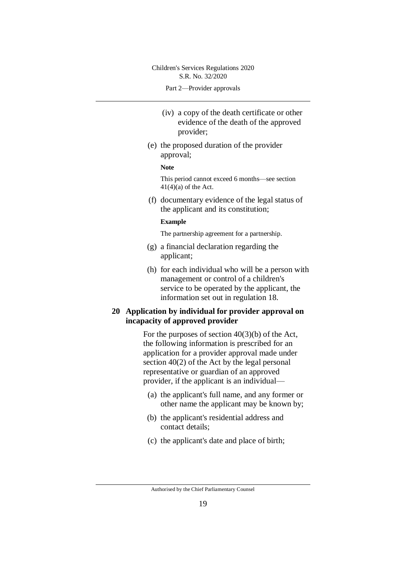Part 2—Provider approvals

- (iv) a copy of the death certificate or other evidence of the death of the approved provider;
- (e) the proposed duration of the provider approval;

### **Note**

This period cannot exceed 6 months—see section  $41(4)(a)$  of the Act.

(f) documentary evidence of the legal status of the applicant and its constitution;

#### **Example**

The partnership agreement for a partnership.

- (g) a financial declaration regarding the applicant;
- (h) for each individual who will be a person with management or control of a children's service to be operated by the applicant, the information set out in regulation 18.

# **20 Application by individual for provider approval on incapacity of approved provider**

For the purposes of section 40(3)(b) of the Act, the following information is prescribed for an application for a provider approval made under section 40(2) of the Act by the legal personal representative or guardian of an approved provider, if the applicant is an individual—

- (a) the applicant's full name, and any former or other name the applicant may be known by;
- (b) the applicant's residential address and contact details;
- (c) the applicant's date and place of birth;

Authorised by the Chief Parliamentary Counsel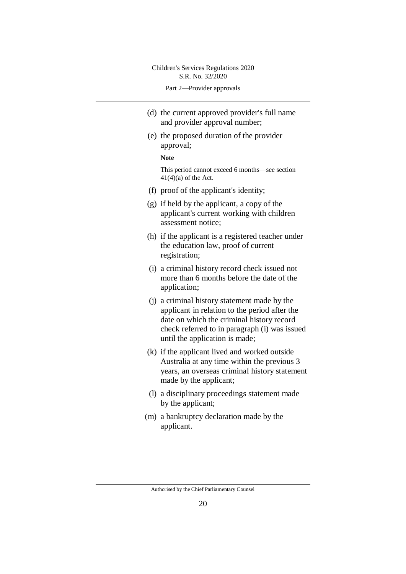Part 2—Provider approvals

- (d) the current approved provider's full name and provider approval number;
- (e) the proposed duration of the provider approval;

#### **Note**

This period cannot exceed 6 months—see section  $41(4)(a)$  of the Act.

- (f) proof of the applicant's identity;
- (g) if held by the applicant, a copy of the applicant's current working with children assessment notice;
- (h) if the applicant is a registered teacher under the education law, proof of current registration;
- (i) a criminal history record check issued not more than 6 months before the date of the application;
- (j) a criminal history statement made by the applicant in relation to the period after the date on which the criminal history record check referred to in paragraph (i) was issued until the application is made;
- (k) if the applicant lived and worked outside Australia at any time within the previous 3 years, an overseas criminal history statement made by the applicant;
- (l) a disciplinary proceedings statement made by the applicant;
- (m) a bankruptcy declaration made by the applicant.

Authorised by the Chief Parliamentary Counsel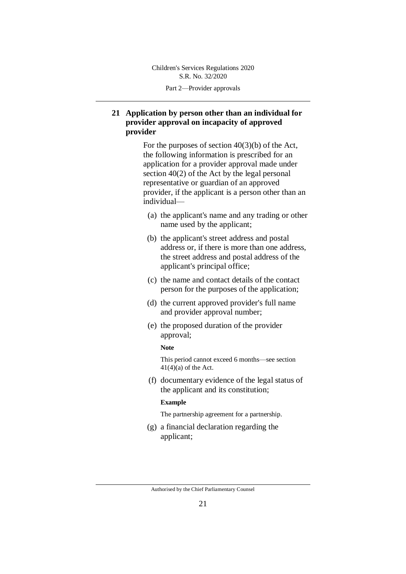Part 2—Provider approvals

# **21 Application by person other than an individual for provider approval on incapacity of approved provider**

For the purposes of section 40(3)(b) of the Act, the following information is prescribed for an application for a provider approval made under section 40(2) of the Act by the legal personal representative or guardian of an approved provider, if the applicant is a person other than an individual—

- (a) the applicant's name and any trading or other name used by the applicant;
- (b) the applicant's street address and postal address or, if there is more than one address, the street address and postal address of the applicant's principal office;
- (c) the name and contact details of the contact person for the purposes of the application;
- (d) the current approved provider's full name and provider approval number;
- (e) the proposed duration of the provider approval;

#### **Note**

This period cannot exceed 6 months—see section  $41(4)(a)$  of the Act.

(f) documentary evidence of the legal status of the applicant and its constitution;

#### **Example**

The partnership agreement for a partnership.

(g) a financial declaration regarding the applicant;

Authorised by the Chief Parliamentary Counsel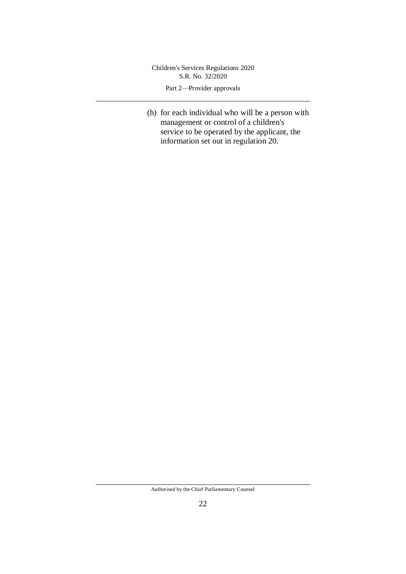Part 2—Provider approvals Children's Services Regulations 2020 S.R. No. 32/2020

(h) for each individual who will be a person with management or control of a children's service to be operated by the applicant, the information set out in regulation 20.

Authorised by the Chief Parliamentary Counsel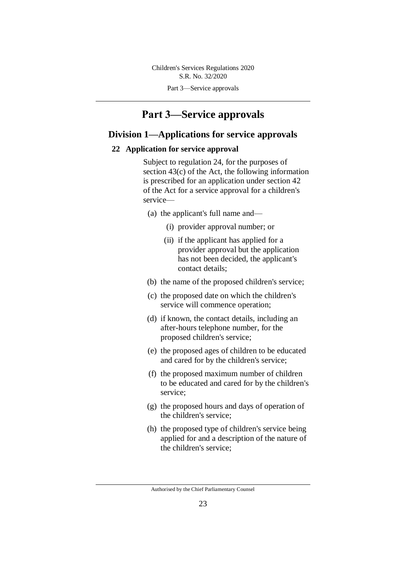Part 3—Service approvals

# **Part 3—Service approvals**

# **Division 1—Applications for service approvals**

### **22 Application for service approval**

Subject to regulation 24, for the purposes of section 43(c) of the Act, the following information is prescribed for an application under section 42 of the Act for a service approval for a children's service—

- (a) the applicant's full name and—
	- (i) provider approval number; or
	- (ii) if the applicant has applied for a provider approval but the application has not been decided, the applicant's contact details;
- (b) the name of the proposed children's service;
- (c) the proposed date on which the children's service will commence operation;
- (d) if known, the contact details, including an after-hours telephone number, for the proposed children's service;
- (e) the proposed ages of children to be educated and cared for by the children's service;
- (f) the proposed maximum number of children to be educated and cared for by the children's service;
- (g) the proposed hours and days of operation of the children's service;
- (h) the proposed type of children's service being applied for and a description of the nature of the children's service;

Authorised by the Chief Parliamentary Counsel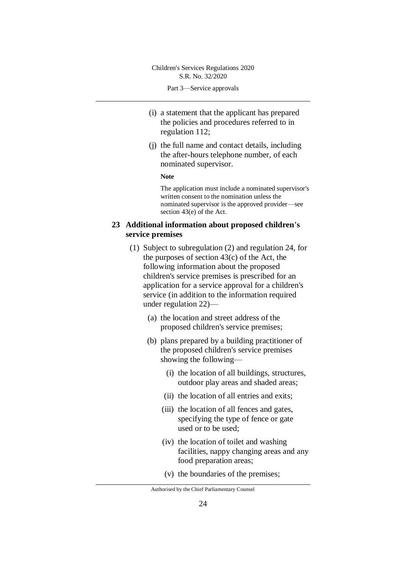Part 3—Service approvals

- (i) a statement that the applicant has prepared the policies and procedures referred to in regulation 112;
- (j) the full name and contact details, including the after-hours telephone number, of each nominated supervisor.

#### **Note**

The application must include a nominated supervisor's written consent to the nomination unless the nominated supervisor is the approved provider—see section 43(e) of the Act.

# **23 Additional information about proposed children's service premises**

- (1) Subject to subregulation (2) and regulation 24, for the purposes of section  $43(c)$  of the Act, the following information about the proposed children's service premises is prescribed for an application for a service approval for a children's service (in addition to the information required under regulation 22)—
	- (a) the location and street address of the proposed children's service premises;
	- (b) plans prepared by a building practitioner of the proposed children's service premises showing the following—
		- (i) the location of all buildings, structures, outdoor play areas and shaded areas;
		- (ii) the location of all entries and exits;
		- (iii) the location of all fences and gates, specifying the type of fence or gate used or to be used;
		- (iv) the location of toilet and washing facilities, nappy changing areas and any food preparation areas;
		- (v) the boundaries of the premises;

Authorised by the Chief Parliamentary Counsel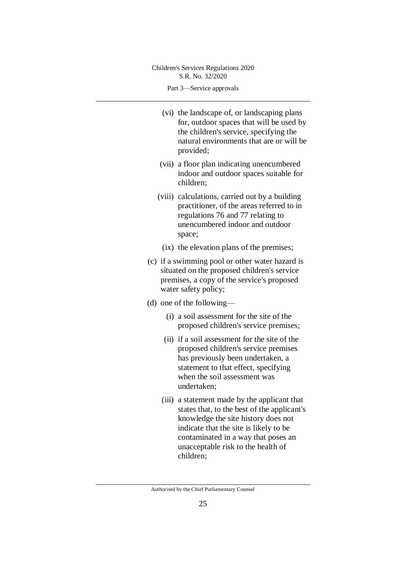Part 3—Service approvals

- (vi) the landscape of, or landscaping plans for, outdoor spaces that will be used by the children's service, specifying the natural environments that are or will be provided;
- (vii) a floor plan indicating unencumbered indoor and outdoor spaces suitable for children;
- (viii) calculations, carried out by a building practitioner, of the areas referred to in regulations 76 and 77 relating to unencumbered indoor and outdoor space;
	- (ix) the elevation plans of the premises;
- (c) if a swimming pool or other water hazard is situated on the proposed children's service premises, a copy of the service's proposed water safety policy;
- (d) one of the following—
	- (i) a soil assessment for the site of the proposed children's service premises;
	- (ii) if a soil assessment for the site of the proposed children's service premises has previously been undertaken, a statement to that effect, specifying when the soil assessment was undertaken;
	- (iii) a statement made by the applicant that states that, to the best of the applicant's knowledge the site history does not indicate that the site is likely to be contaminated in a way that poses an unacceptable risk to the health of children;

Authorised by the Chief Parliamentary Counsel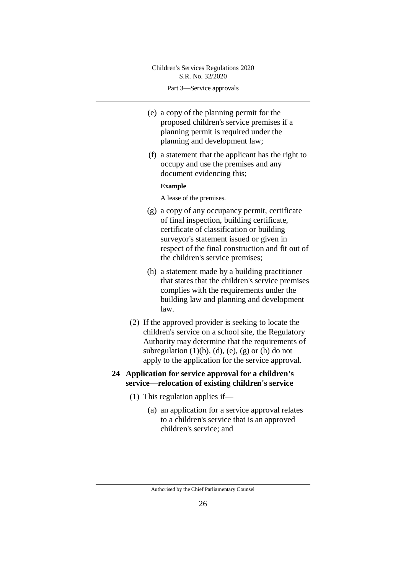Part 3—Service approvals

- (e) a copy of the planning permit for the proposed children's service premises if a planning permit is required under the planning and development law;
- (f) a statement that the applicant has the right to occupy and use the premises and any document evidencing this;

#### **Example**

A lease of the premises.

- (g) a copy of any occupancy permit, certificate of final inspection, building certificate, certificate of classification or building surveyor's statement issued or given in respect of the final construction and fit out of the children's service premises;
- (h) a statement made by a building practitioner that states that the children's service premises complies with the requirements under the building law and planning and development law.
- (2) If the approved provider is seeking to locate the children's service on a school site, the Regulatory Authority may determine that the requirements of subregulation  $(1)(b)$ ,  $(d)$ ,  $(e)$ ,  $(g)$  or  $(h)$  do not apply to the application for the service approval.

# **24 Application for service approval for a children's service—relocation of existing children's service**

- (1) This regulation applies if—
	- (a) an application for a service approval relates to a children's service that is an approved children's service; and

Authorised by the Chief Parliamentary Counsel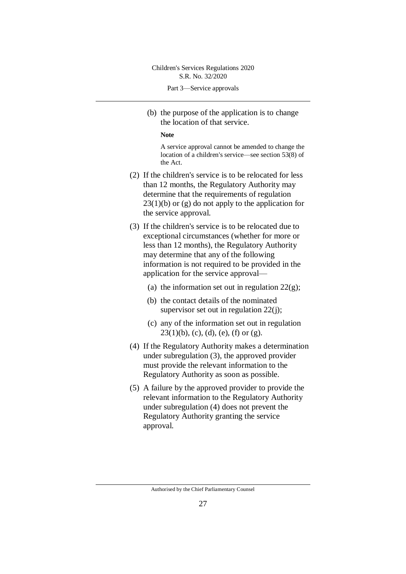Part 3—Service approvals

(b) the purpose of the application is to change the location of that service.

#### **Note**

A service approval cannot be amended to change the location of a children's service—see section 53(8) of the Act.

- (2) If the children's service is to be relocated for less than 12 months, the Regulatory Authority may determine that the requirements of regulation  $23(1)(b)$  or  $(g)$  do not apply to the application for the service approval.
- (3) If the children's service is to be relocated due to exceptional circumstances (whether for more or less than 12 months), the Regulatory Authority may determine that any of the following information is not required to be provided in the application for the service approval—
	- (a) the information set out in regulation  $22(g)$ ;
	- (b) the contact details of the nominated supervisor set out in regulation  $22(i)$ ;
	- (c) any of the information set out in regulation  $23(1)(b)$ , (c), (d), (e), (f) or (g).
- (4) If the Regulatory Authority makes a determination under subregulation (3), the approved provider must provide the relevant information to the Regulatory Authority as soon as possible.
- (5) A failure by the approved provider to provide the relevant information to the Regulatory Authority under subregulation (4) does not prevent the Regulatory Authority granting the service approval.

Authorised by the Chief Parliamentary Counsel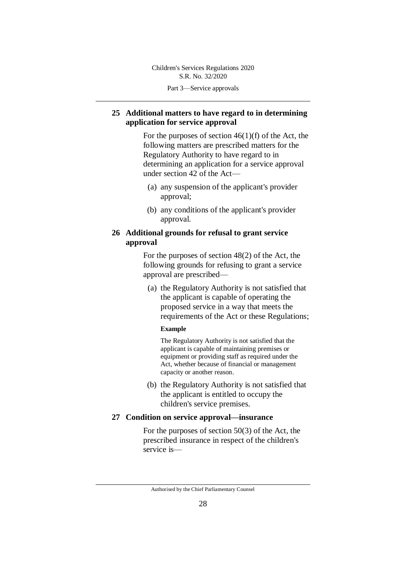Part 3—Service approvals

# **25 Additional matters to have regard to in determining application for service approval**

For the purposes of section  $46(1)(f)$  of the Act, the following matters are prescribed matters for the Regulatory Authority to have regard to in determining an application for a service approval under section 42 of the Act—

- (a) any suspension of the applicant's provider approval;
- (b) any conditions of the applicant's provider approval.

## **26 Additional grounds for refusal to grant service approval**

For the purposes of section 48(2) of the Act, the following grounds for refusing to grant a service approval are prescribed—

(a) the Regulatory Authority is not satisfied that the applicant is capable of operating the proposed service in a way that meets the requirements of the Act or these Regulations;

#### **Example**

The Regulatory Authority is not satisfied that the applicant is capable of maintaining premises or equipment or providing staff as required under the Act, whether because of financial or management capacity or another reason.

(b) the Regulatory Authority is not satisfied that the applicant is entitled to occupy the children's service premises.

### **27 Condition on service approval—insurance**

For the purposes of section 50(3) of the Act, the prescribed insurance in respect of the children's service is—

Authorised by the Chief Parliamentary Counsel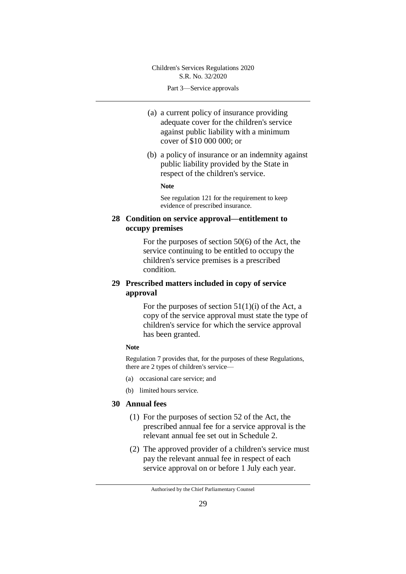Part 3—Service approvals

- (a) a current policy of insurance providing adequate cover for the children's service against public liability with a minimum cover of \$10 000 000; or
- (b) a policy of insurance or an indemnity against public liability provided by the State in respect of the children's service.

#### **Note**

See regulation 121 for the requirement to keep evidence of prescribed insurance.

## **28 Condition on service approval—entitlement to occupy premises**

For the purposes of section 50(6) of the Act, the service continuing to be entitled to occupy the children's service premises is a prescribed condition.

## **29 Prescribed matters included in copy of service approval**

For the purposes of section  $51(1)(i)$  of the Act, a copy of the service approval must state the type of children's service for which the service approval has been granted.

### **Note**

Regulation 7 provides that, for the purposes of these Regulations, there are 2 types of children's service—

- (a) occasional care service; and
- (b) limited hours service.

#### **30 Annual fees**

- (1) For the purposes of section 52 of the Act, the prescribed annual fee for a service approval is the relevant annual fee set out in Schedule 2.
- (2) The approved provider of a children's service must pay the relevant annual fee in respect of each service approval on or before 1 July each year.

Authorised by the Chief Parliamentary Counsel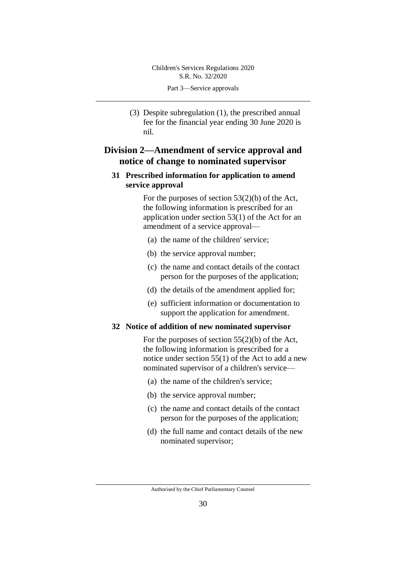Part 3—Service approvals Children's Services Regulations 2020 S.R. No. 32/2020

(3) Despite subregulation (1), the prescribed annual fee for the financial year ending 30 June 2020 is nil.

# **Division 2—Amendment of service approval and notice of change to nominated supervisor**

# **31 Prescribed information for application to amend service approval**

For the purposes of section 53(2)(b) of the Act, the following information is prescribed for an application under section 53(1) of the Act for an amendment of a service approval—

- (a) the name of the children' service;
- (b) the service approval number;
- (c) the name and contact details of the contact person for the purposes of the application;
- (d) the details of the amendment applied for;
- (e) sufficient information or documentation to support the application for amendment.

# **32 Notice of addition of new nominated supervisor**

For the purposes of section 55(2)(b) of the Act, the following information is prescribed for a notice under section 55(1) of the Act to add a new nominated supervisor of a children's service—

- (a) the name of the children's service;
- (b) the service approval number;
- (c) the name and contact details of the contact person for the purposes of the application;
- (d) the full name and contact details of the new nominated supervisor;

Authorised by the Chief Parliamentary Counsel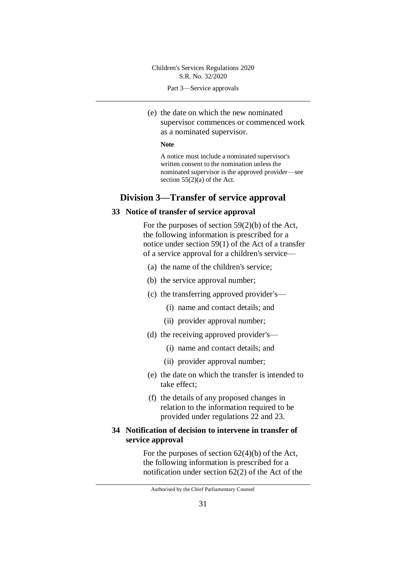Part 3—Service approvals

(e) the date on which the new nominated supervisor commences or commenced work as a nominated supervisor.

#### **Note**

A notice must include a nominated supervisor's written consent to the nomination unless the nominated supervisor is the approved provider—see section 55(2)(a) of the Act.

# **Division 3—Transfer of service approval**

### **33 Notice of transfer of service approval**

For the purposes of section 59(2)(b) of the Act, the following information is prescribed for a notice under section 59(1) of the Act of a transfer of a service approval for a children's service—

- (a) the name of the children's service;
- (b) the service approval number;
- (c) the transferring approved provider's—
	- (i) name and contact details; and
	- (ii) provider approval number;
- (d) the receiving approved provider's—
	- (i) name and contact details; and
	- (ii) provider approval number;
- (e) the date on which the transfer is intended to take effect;
- (f) the details of any proposed changes in relation to the information required to be provided under regulations 22 and 23.

# **34 Notification of decision to intervene in transfer of service approval**

For the purposes of section 62(4)(b) of the Act, the following information is prescribed for a notification under section 62(2) of the Act of the

Authorised by the Chief Parliamentary Counsel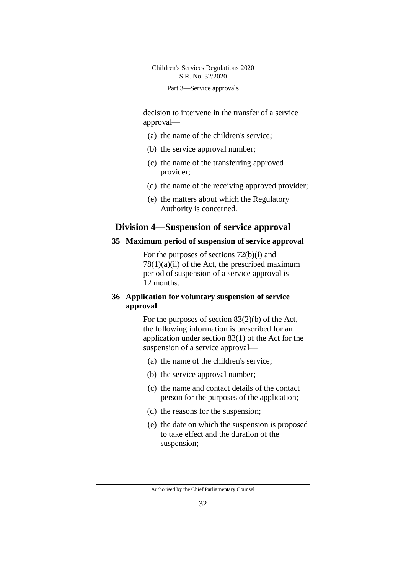Part 3—Service approvals

decision to intervene in the transfer of a service approval—

- (a) the name of the children's service;
- (b) the service approval number;
- (c) the name of the transferring approved provider;
- (d) the name of the receiving approved provider;
- (e) the matters about which the Regulatory Authority is concerned.

# **Division 4—Suspension of service approval**

### **35 Maximum period of suspension of service approval**

For the purposes of sections 72(b)(i) and  $78(1)(a)(ii)$  of the Act, the prescribed maximum period of suspension of a service approval is 12 months.

## **36 Application for voluntary suspension of service approval**

For the purposes of section 83(2)(b) of the Act, the following information is prescribed for an application under section 83(1) of the Act for the suspension of a service approval—

- (a) the name of the children's service;
- (b) the service approval number;
- (c) the name and contact details of the contact person for the purposes of the application;
- (d) the reasons for the suspension;
- (e) the date on which the suspension is proposed to take effect and the duration of the suspension;

Authorised by the Chief Parliamentary Counsel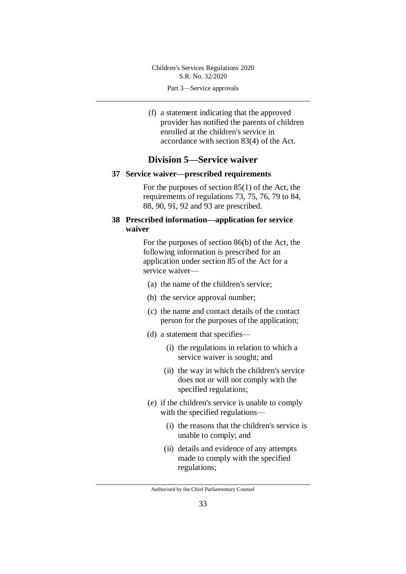Part 3—Service approvals

(f) a statement indicating that the approved provider has notified the parents of children enrolled at the children's service in accordance with section 83(4) of the Act.

# **Division 5—Service waiver**

#### **37 Service waiver—prescribed requirements**

For the purposes of section 85(1) of the Act, the requirements of regulations 73, 75, 76, 79 to 84, 88, 90, 91, 92 and 93 are prescribed.

## **38 Prescribed information—application for service waiver**

For the purposes of section 86(b) of the Act, the following information is prescribed for an application under section 85 of the Act for a service waiver—

- (a) the name of the children's service;
- (b) the service approval number;
- (c) the name and contact details of the contact person for the purposes of the application;
- (d) a statement that specifies—
	- (i) the regulations in relation to which a service waiver is sought; and
	- (ii) the way in which the children's service does not or will not comply with the specified regulations;
- (e) if the children's service is unable to comply with the specified regulations—
	- (i) the reasons that the children's service is unable to comply; and
	- (ii) details and evidence of any attempts made to comply with the specified regulations;

Authorised by the Chief Parliamentary Counsel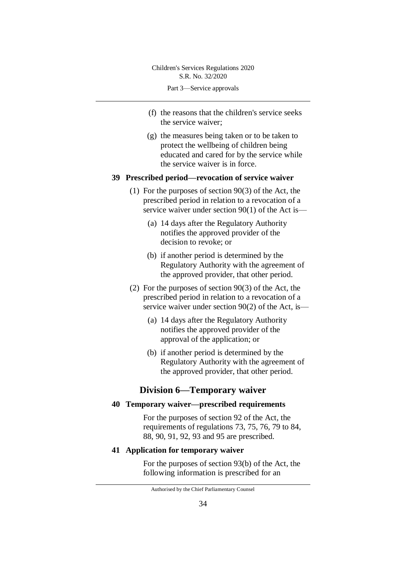Part 3—Service approvals

- (f) the reasons that the children's service seeks the service waiver;
- (g) the measures being taken or to be taken to protect the wellbeing of children being educated and cared for by the service while the service waiver is in force.

### **39 Prescribed period—revocation of service waiver**

- (1) For the purposes of section 90(3) of the Act, the prescribed period in relation to a revocation of a service waiver under section 90(1) of the Act is—
	- (a) 14 days after the Regulatory Authority notifies the approved provider of the decision to revoke; or
	- (b) if another period is determined by the Regulatory Authority with the agreement of the approved provider, that other period.
- (2) For the purposes of section 90(3) of the Act, the prescribed period in relation to a revocation of a service waiver under section 90(2) of the Act, is—
	- (a) 14 days after the Regulatory Authority notifies the approved provider of the approval of the application; or
	- (b) if another period is determined by the Regulatory Authority with the agreement of the approved provider, that other period.

## **Division 6—Temporary waiver**

### **40 Temporary waiver—prescribed requirements**

For the purposes of section 92 of the Act, the requirements of regulations 73, 75, 76, 79 to 84, 88, 90, 91, 92, 93 and 95 are prescribed.

### **41 Application for temporary waiver**

For the purposes of section 93(b) of the Act, the following information is prescribed for an

Authorised by the Chief Parliamentary Counsel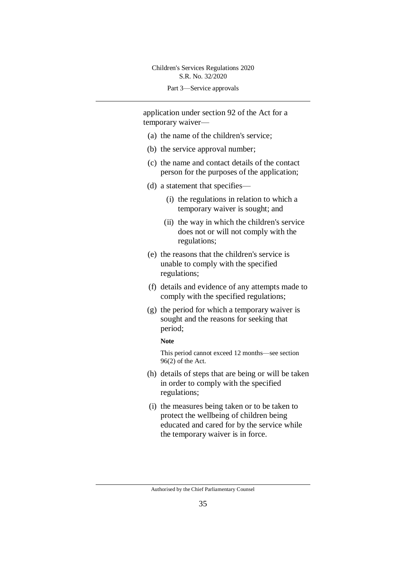Part 3—Service approvals

application under section 92 of the Act for a temporary waiver—

- (a) the name of the children's service;
- (b) the service approval number;
- (c) the name and contact details of the contact person for the purposes of the application;
- (d) a statement that specifies—
	- (i) the regulations in relation to which a temporary waiver is sought; and
	- (ii) the way in which the children's service does not or will not comply with the regulations;
- (e) the reasons that the children's service is unable to comply with the specified regulations;
- (f) details and evidence of any attempts made to comply with the specified regulations;
- (g) the period for which a temporary waiver is sought and the reasons for seeking that period;

#### **Note**

This period cannot exceed 12 months—see section 96(2) of the Act.

- (h) details of steps that are being or will be taken in order to comply with the specified regulations;
- (i) the measures being taken or to be taken to protect the wellbeing of children being educated and cared for by the service while the temporary waiver is in force.

Authorised by the Chief Parliamentary Counsel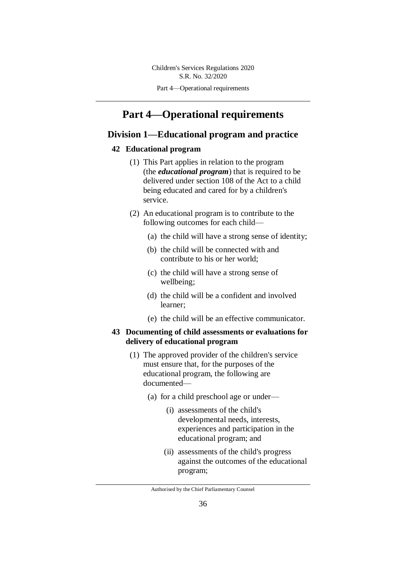# **Part 4—Operational requirements**

# **Division 1—Educational program and practice**

### **42 Educational program**

- (1) This Part applies in relation to the program (the *educational program*) that is required to be delivered under section 108 of the Act to a child being educated and cared for by a children's service.
- (2) An educational program is to contribute to the following outcomes for each child—
	- (a) the child will have a strong sense of identity;
	- (b) the child will be connected with and contribute to his or her world;
	- (c) the child will have a strong sense of wellbeing;
	- (d) the child will be a confident and involved learner;
	- (e) the child will be an effective communicator.

### **43 Documenting of child assessments or evaluations for delivery of educational program**

- (1) The approved provider of the children's service must ensure that, for the purposes of the educational program, the following are documented—
	- (a) for a child preschool age or under—
		- (i) assessments of the child's developmental needs, interests, experiences and participation in the educational program; and
		- (ii) assessments of the child's progress against the outcomes of the educational program;

Authorised by the Chief Parliamentary Counsel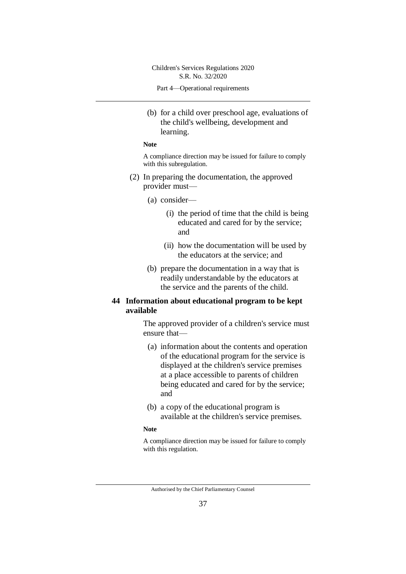Part 4—Operational requirements

(b) for a child over preschool age, evaluations of the child's wellbeing, development and learning.

#### **Note**

A compliance direction may be issued for failure to comply with this subregulation.

- (2) In preparing the documentation, the approved provider must—
	- (a) consider—
		- (i) the period of time that the child is being educated and cared for by the service; and
		- (ii) how the documentation will be used by the educators at the service; and
	- (b) prepare the documentation in a way that is readily understandable by the educators at the service and the parents of the child.

### **44 Information about educational program to be kept available**

The approved provider of a children's service must ensure that—

- (a) information about the contents and operation of the educational program for the service is displayed at the children's service premises at a place accessible to parents of children being educated and cared for by the service; and
- (b) a copy of the educational program is available at the children's service premises.

#### **Note**

A compliance direction may be issued for failure to comply with this regulation.

Authorised by the Chief Parliamentary Counsel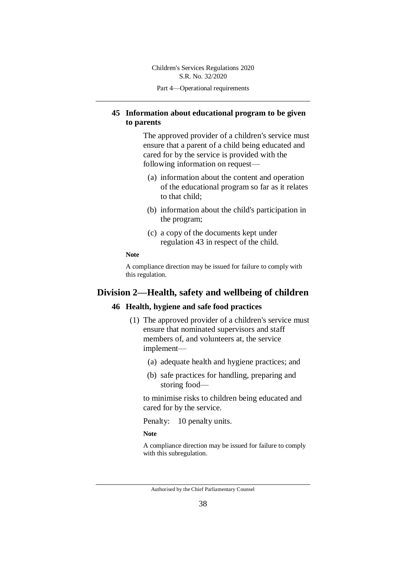Part 4—Operational requirements

# **45 Information about educational program to be given to parents**

The approved provider of a children's service must ensure that a parent of a child being educated and cared for by the service is provided with the following information on request—

- (a) information about the content and operation of the educational program so far as it relates to that child;
- (b) information about the child's participation in the program;
- (c) a copy of the documents kept under regulation 43 in respect of the child.

#### **Note**

A compliance direction may be issued for failure to comply with this regulation.

# **Division 2—Health, safety and wellbeing of children**

### **46 Health, hygiene and safe food practices**

- (1) The approved provider of a children's service must ensure that nominated supervisors and staff members of, and volunteers at, the service implement—
	- (a) adequate health and hygiene practices; and
	- (b) safe practices for handling, preparing and storing food—

to minimise risks to children being educated and cared for by the service.

Penalty: 10 penalty units.

**Note**

A compliance direction may be issued for failure to comply with this subregulation.

Authorised by the Chief Parliamentary Counsel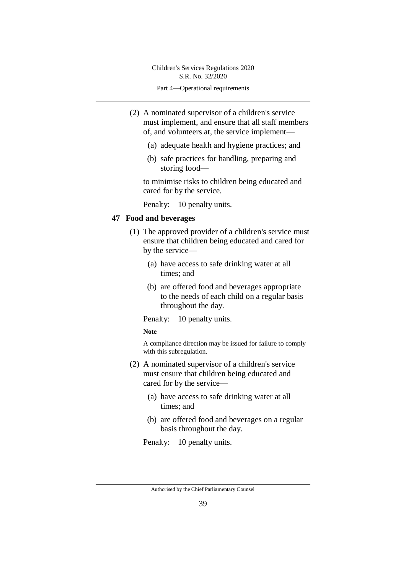Part 4—Operational requirements Children's Services Regulations 2020 S.R. No. 32/2020

- (2) A nominated supervisor of a children's service must implement, and ensure that all staff members of, and volunteers at, the service implement—
	- (a) adequate health and hygiene practices; and
	- (b) safe practices for handling, preparing and storing food—

to minimise risks to children being educated and cared for by the service.

Penalty: 10 penalty units.

### **47 Food and beverages**

- (1) The approved provider of a children's service must ensure that children being educated and cared for by the service—
	- (a) have access to safe drinking water at all times; and
	- (b) are offered food and beverages appropriate to the needs of each child on a regular basis throughout the day.

Penalty: 10 penalty units.

#### **Note**

A compliance direction may be issued for failure to comply with this subregulation.

- (2) A nominated supervisor of a children's service must ensure that children being educated and cared for by the service—
	- (a) have access to safe drinking water at all times; and
	- (b) are offered food and beverages on a regular basis throughout the day.

Penalty: 10 penalty units.

Authorised by the Chief Parliamentary Counsel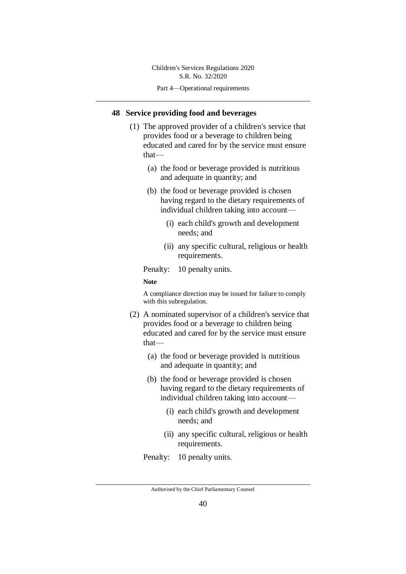Part 4—Operational requirements

#### **48 Service providing food and beverages**

- (1) The approved provider of a children's service that provides food or a beverage to children being educated and cared for by the service must ensure that—
	- (a) the food or beverage provided is nutritious and adequate in quantity; and
	- (b) the food or beverage provided is chosen having regard to the dietary requirements of individual children taking into account—
		- (i) each child's growth and development needs; and
		- (ii) any specific cultural, religious or health requirements.

Penalty: 10 penalty units.

#### **Note**

A compliance direction may be issued for failure to comply with this subregulation.

- (2) A nominated supervisor of a children's service that provides food or a beverage to children being educated and cared for by the service must ensure that—
	- (a) the food or beverage provided is nutritious and adequate in quantity; and
	- (b) the food or beverage provided is chosen having regard to the dietary requirements of individual children taking into account—
		- (i) each child's growth and development needs; and
		- (ii) any specific cultural, religious or health requirements.
	- Penalty: 10 penalty units.

Authorised by the Chief Parliamentary Counsel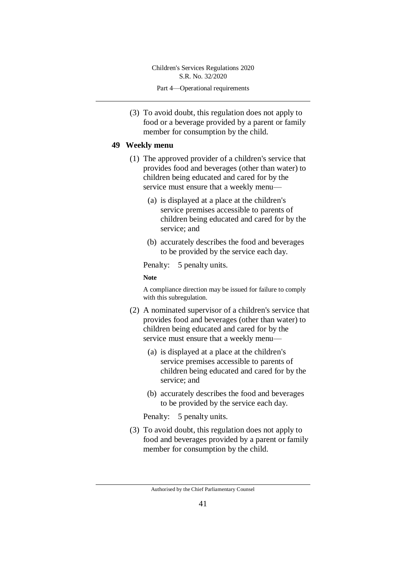Part 4—Operational requirements

(3) To avoid doubt, this regulation does not apply to food or a beverage provided by a parent or family member for consumption by the child.

### **49 Weekly menu**

- (1) The approved provider of a children's service that provides food and beverages (other than water) to children being educated and cared for by the service must ensure that a weekly menu—
	- (a) is displayed at a place at the children's service premises accessible to parents of children being educated and cared for by the service; and
	- (b) accurately describes the food and beverages to be provided by the service each day.

Penalty: 5 penalty units.

#### **Note**

A compliance direction may be issued for failure to comply with this subregulation.

- (2) A nominated supervisor of a children's service that provides food and beverages (other than water) to children being educated and cared for by the service must ensure that a weekly menu—
	- (a) is displayed at a place at the children's service premises accessible to parents of children being educated and cared for by the service; and
	- (b) accurately describes the food and beverages to be provided by the service each day.

Penalty: 5 penalty units.

(3) To avoid doubt, this regulation does not apply to food and beverages provided by a parent or family member for consumption by the child.

Authorised by the Chief Parliamentary Counsel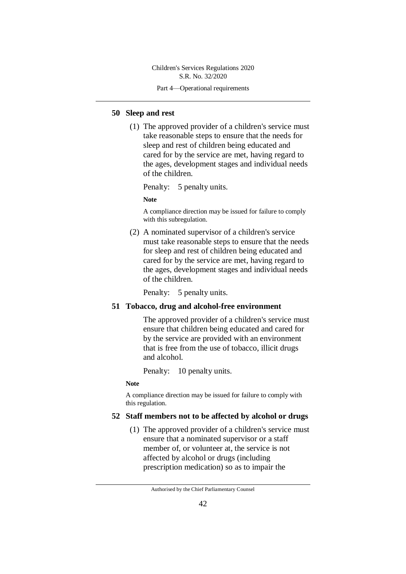Part 4—Operational requirements

#### **50 Sleep and rest**

(1) The approved provider of a children's service must take reasonable steps to ensure that the needs for sleep and rest of children being educated and cared for by the service are met, having regard to the ages, development stages and individual needs of the children.

Penalty: 5 penalty units.

**Note**

A compliance direction may be issued for failure to comply with this subregulation.

(2) A nominated supervisor of a children's service must take reasonable steps to ensure that the needs for sleep and rest of children being educated and cared for by the service are met, having regard to the ages, development stages and individual needs of the children.

Penalty: 5 penalty units.

### **51 Tobacco, drug and alcohol-free environment**

The approved provider of a children's service must ensure that children being educated and cared for by the service are provided with an environment that is free from the use of tobacco, illicit drugs and alcohol.

Penalty: 10 penalty units.

#### **Note**

A compliance direction may be issued for failure to comply with this regulation.

### **52 Staff members not to be affected by alcohol or drugs**

(1) The approved provider of a children's service must ensure that a nominated supervisor or a staff member of, or volunteer at, the service is not affected by alcohol or drugs (including prescription medication) so as to impair the

Authorised by the Chief Parliamentary Counsel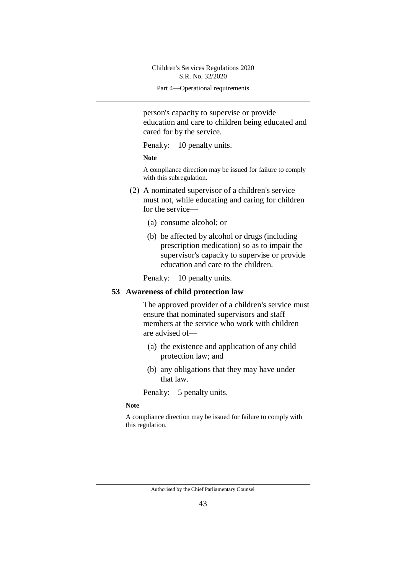Part 4—Operational requirements

person's capacity to supervise or provide education and care to children being educated and cared for by the service.

Penalty: 10 penalty units.

**Note**

A compliance direction may be issued for failure to comply with this subregulation.

- (2) A nominated supervisor of a children's service must not, while educating and caring for children for the service—
	- (a) consume alcohol; or
	- (b) be affected by alcohol or drugs (including prescription medication) so as to impair the supervisor's capacity to supervise or provide education and care to the children.

Penalty: 10 penalty units.

### **53 Awareness of child protection law**

The approved provider of a children's service must ensure that nominated supervisors and staff members at the service who work with children are advised of—

- (a) the existence and application of any child protection law; and
- (b) any obligations that they may have under that law.

Penalty: 5 penalty units.

#### **Note**

A compliance direction may be issued for failure to comply with this regulation.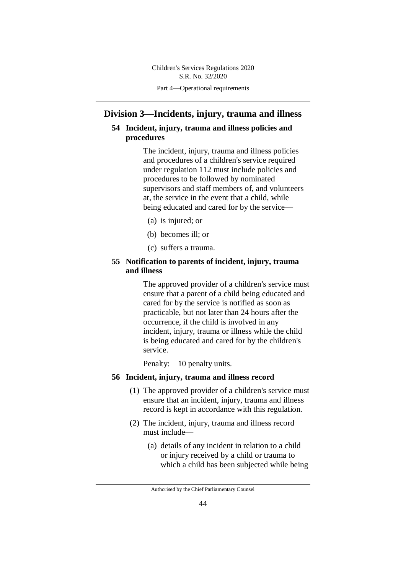Part 4—Operational requirements

## **Division 3—Incidents, injury, trauma and illness**

## **54 Incident, injury, trauma and illness policies and procedures**

The incident, injury, trauma and illness policies and procedures of a children's service required under regulation 112 must include policies and procedures to be followed by nominated supervisors and staff members of, and volunteers at, the service in the event that a child, while being educated and cared for by the service—

- (a) is injured; or
- (b) becomes ill; or
- (c) suffers a trauma.

## **55 Notification to parents of incident, injury, trauma and illness**

The approved provider of a children's service must ensure that a parent of a child being educated and cared for by the service is notified as soon as practicable, but not later than 24 hours after the occurrence, if the child is involved in any incident, injury, trauma or illness while the child is being educated and cared for by the children's service.

Penalty: 10 penalty units.

#### **56 Incident, injury, trauma and illness record**

- (1) The approved provider of a children's service must ensure that an incident, injury, trauma and illness record is kept in accordance with this regulation.
- (2) The incident, injury, trauma and illness record must include—
	- (a) details of any incident in relation to a child or injury received by a child or trauma to which a child has been subjected while being

Authorised by the Chief Parliamentary Counsel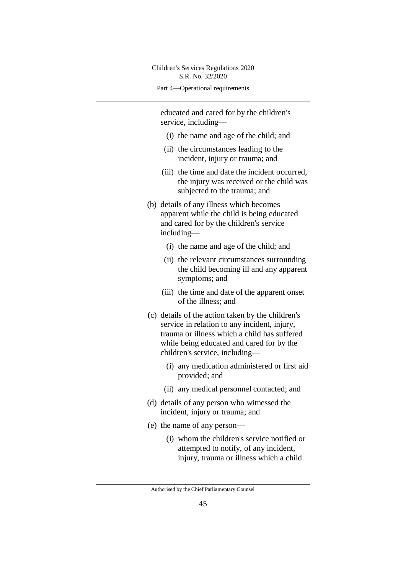Part 4—Operational requirements

educated and cared for by the children's service, including—

- (i) the name and age of the child; and
- (ii) the circumstances leading to the incident, injury or trauma; and
- (iii) the time and date the incident occurred, the injury was received or the child was subjected to the trauma; and
- (b) details of any illness which becomes apparent while the child is being educated and cared for by the children's service including—
	- (i) the name and age of the child; and
	- (ii) the relevant circumstances surrounding the child becoming ill and any apparent symptoms; and
	- (iii) the time and date of the apparent onset of the illness; and
- (c) details of the action taken by the children's service in relation to any incident, injury, trauma or illness which a child has suffered while being educated and cared for by the children's service, including—
	- (i) any medication administered or first aid provided; and
	- (ii) any medical personnel contacted; and
- (d) details of any person who witnessed the incident, injury or trauma; and
- (e) the name of any person—
	- (i) whom the children's service notified or attempted to notify, of any incident, injury, trauma or illness which a child

Authorised by the Chief Parliamentary Counsel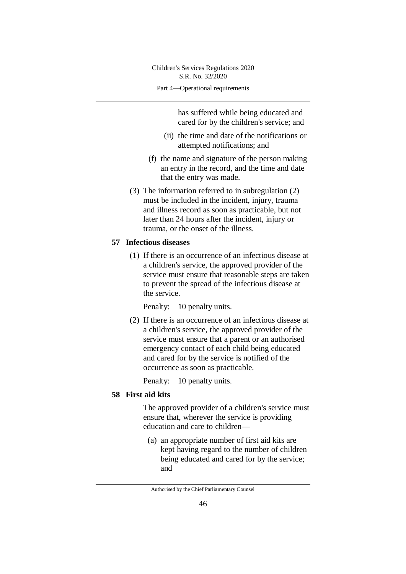Part 4—Operational requirements

has suffered while being educated and cared for by the children's service; and

- (ii) the time and date of the notifications or attempted notifications; and
- (f) the name and signature of the person making an entry in the record, and the time and date that the entry was made.
- (3) The information referred to in subregulation (2) must be included in the incident, injury, trauma and illness record as soon as practicable, but not later than 24 hours after the incident, injury or trauma, or the onset of the illness.

## **57 Infectious diseases**

(1) If there is an occurrence of an infectious disease at a children's service, the approved provider of the service must ensure that reasonable steps are taken to prevent the spread of the infectious disease at the service.

Penalty: 10 penalty units.

(2) If there is an occurrence of an infectious disease at a children's service, the approved provider of the service must ensure that a parent or an authorised emergency contact of each child being educated and cared for by the service is notified of the occurrence as soon as practicable.

Penalty: 10 penalty units.

### **58 First aid kits**

The approved provider of a children's service must ensure that, wherever the service is providing education and care to children—

(a) an appropriate number of first aid kits are kept having regard to the number of children being educated and cared for by the service; and

Authorised by the Chief Parliamentary Counsel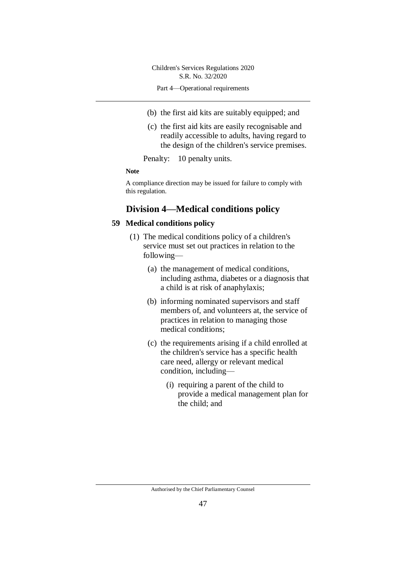- (b) the first aid kits are suitably equipped; and
- (c) the first aid kits are easily recognisable and readily accessible to adults, having regard to the design of the children's service premises.

Penalty: 10 penalty units.

#### **Note**

A compliance direction may be issued for failure to comply with this regulation.

# **Division 4—Medical conditions policy**

### **59 Medical conditions policy**

- (1) The medical conditions policy of a children's service must set out practices in relation to the following—
	- (a) the management of medical conditions, including asthma, diabetes or a diagnosis that a child is at risk of anaphylaxis;
	- (b) informing nominated supervisors and staff members of, and volunteers at, the service of practices in relation to managing those medical conditions;
	- (c) the requirements arising if a child enrolled at the children's service has a specific health care need, allergy or relevant medical condition, including—
		- (i) requiring a parent of the child to provide a medical management plan for the child; and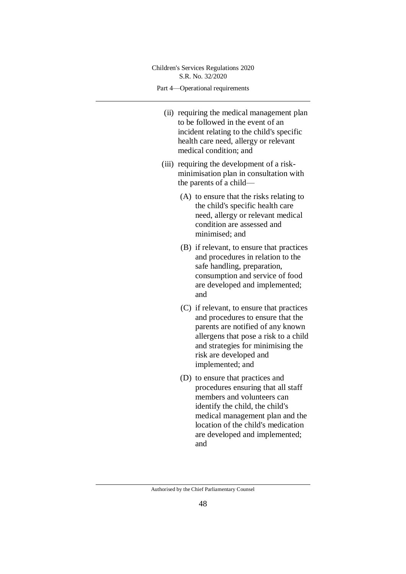Part 4—Operational requirements

- (ii) requiring the medical management plan to be followed in the event of an incident relating to the child's specific health care need, allergy or relevant medical condition; and
- (iii) requiring the development of a riskminimisation plan in consultation with the parents of a child—
	- (A) to ensure that the risks relating to the child's specific health care need, allergy or relevant medical condition are assessed and minimised; and
	- (B) if relevant, to ensure that practices and procedures in relation to the safe handling, preparation, consumption and service of food are developed and implemented; and
	- (C) if relevant, to ensure that practices and procedures to ensure that the parents are notified of any known allergens that pose a risk to a child and strategies for minimising the risk are developed and implemented; and
	- (D) to ensure that practices and procedures ensuring that all staff members and volunteers can identify the child, the child's medical management plan and the location of the child's medication are developed and implemented; and

Authorised by the Chief Parliamentary Counsel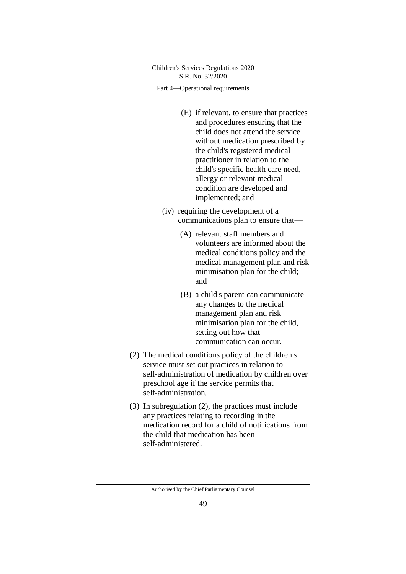Part 4—Operational requirements

- (E) if relevant, to ensure that practices and procedures ensuring that the child does not attend the service without medication prescribed by the child's registered medical practitioner in relation to the child's specific health care need, allergy or relevant medical condition are developed and implemented; and
- (iv) requiring the development of a communications plan to ensure that—
	- (A) relevant staff members and volunteers are informed about the medical conditions policy and the medical management plan and risk minimisation plan for the child; and
	- (B) a child's parent can communicate any changes to the medical management plan and risk minimisation plan for the child, setting out how that communication can occur.
- (2) The medical conditions policy of the children's service must set out practices in relation to self-administration of medication by children over preschool age if the service permits that self-administration.
- (3) In subregulation (2), the practices must include any practices relating to recording in the medication record for a child of notifications from the child that medication has been self-administered.

Authorised by the Chief Parliamentary Counsel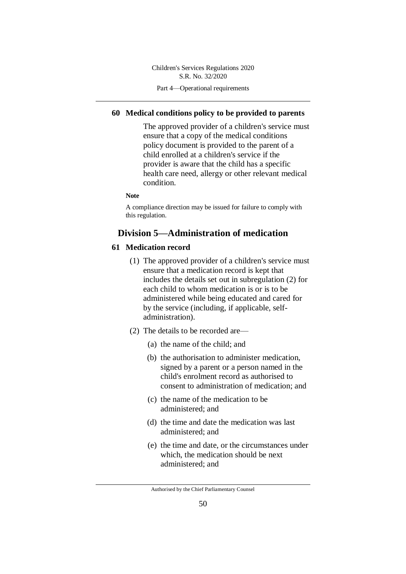Part 4—Operational requirements

### **60 Medical conditions policy to be provided to parents**

The approved provider of a children's service must ensure that a copy of the medical conditions policy document is provided to the parent of a child enrolled at a children's service if the provider is aware that the child has a specific health care need, allergy or other relevant medical condition.

#### **Note**

A compliance direction may be issued for failure to comply with this regulation.

# **Division 5—Administration of medication**

### **61 Medication record**

- (1) The approved provider of a children's service must ensure that a medication record is kept that includes the details set out in subregulation (2) for each child to whom medication is or is to be administered while being educated and cared for by the service (including, if applicable, selfadministration).
- (2) The details to be recorded are—
	- (a) the name of the child; and
	- (b) the authorisation to administer medication, signed by a parent or a person named in the child's enrolment record as authorised to consent to administration of medication; and
	- (c) the name of the medication to be administered; and
	- (d) the time and date the medication was last administered; and
	- (e) the time and date, or the circumstances under which, the medication should be next administered; and

Authorised by the Chief Parliamentary Counsel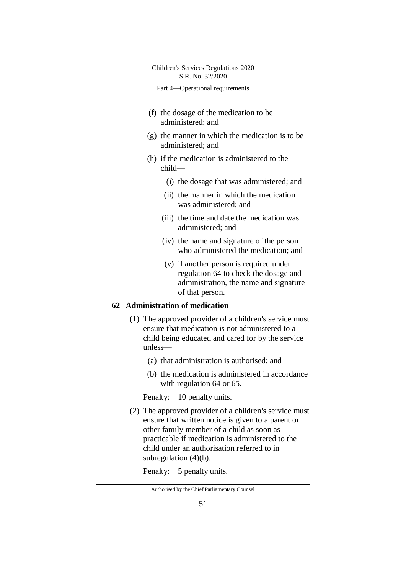- (f) the dosage of the medication to be administered; and
- (g) the manner in which the medication is to be administered; and
- (h) if the medication is administered to the child—
	- (i) the dosage that was administered; and
	- (ii) the manner in which the medication was administered; and
	- (iii) the time and date the medication was administered; and
	- (iv) the name and signature of the person who administered the medication; and
	- (v) if another person is required under regulation 64 to check the dosage and administration, the name and signature of that person.

### **62 Administration of medication**

- (1) The approved provider of a children's service must ensure that medication is not administered to a child being educated and cared for by the service unless—
	- (a) that administration is authorised; and
	- (b) the medication is administered in accordance with regulation 64 or 65.

Penalty: 10 penalty units.

(2) The approved provider of a children's service must ensure that written notice is given to a parent or other family member of a child as soon as practicable if medication is administered to the child under an authorisation referred to in subregulation (4)(b).

Penalty: 5 penalty units.

Authorised by the Chief Parliamentary Counsel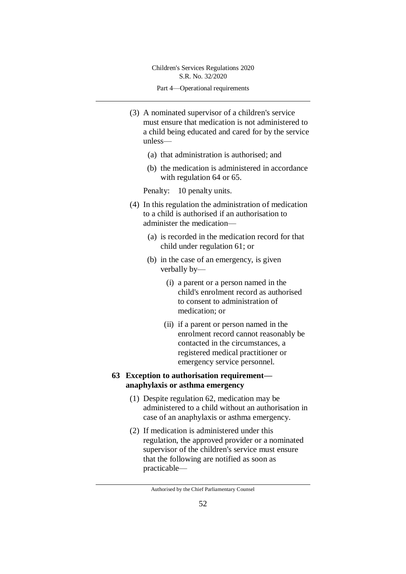Part 4—Operational requirements

- (3) A nominated supervisor of a children's service must ensure that medication is not administered to a child being educated and cared for by the service unless—
	- (a) that administration is authorised; and
	- (b) the medication is administered in accordance with regulation 64 or 65.

Penalty: 10 penalty units.

- (4) In this regulation the administration of medication to a child is authorised if an authorisation to administer the medication—
	- (a) is recorded in the medication record for that child under regulation 61; or
	- (b) in the case of an emergency, is given verbally by—
		- (i) a parent or a person named in the child's enrolment record as authorised to consent to administration of medication; or
		- (ii) if a parent or person named in the enrolment record cannot reasonably be contacted in the circumstances, a registered medical practitioner or emergency service personnel.

# **63 Exception to authorisation requirement anaphylaxis or asthma emergency**

- (1) Despite regulation 62, medication may be administered to a child without an authorisation in case of an anaphylaxis or asthma emergency.
- (2) If medication is administered under this regulation, the approved provider or a nominated supervisor of the children's service must ensure that the following are notified as soon as practicable—

Authorised by the Chief Parliamentary Counsel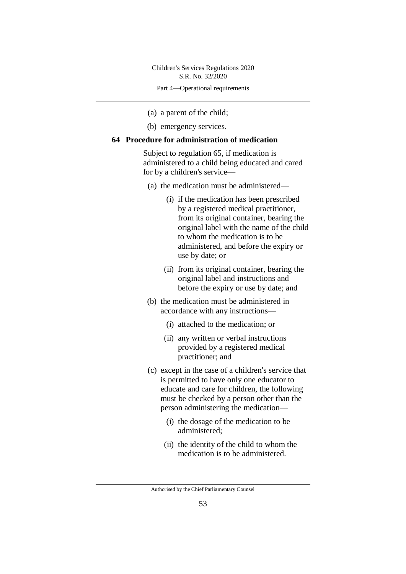Part 4—Operational requirements

- (a) a parent of the child;
- (b) emergency services.

#### **64 Procedure for administration of medication**

Subject to regulation 65, if medication is administered to a child being educated and cared for by a children's service—

- (a) the medication must be administered—
	- (i) if the medication has been prescribed by a registered medical practitioner, from its original container, bearing the original label with the name of the child to whom the medication is to be administered, and before the expiry or use by date; or
	- (ii) from its original container, bearing the original label and instructions and before the expiry or use by date; and
- (b) the medication must be administered in accordance with any instructions—
	- (i) attached to the medication; or
	- (ii) any written or verbal instructions provided by a registered medical practitioner; and
- (c) except in the case of a children's service that is permitted to have only one educator to educate and care for children, the following must be checked by a person other than the person administering the medication—
	- (i) the dosage of the medication to be administered;
	- (ii) the identity of the child to whom the medication is to be administered.

Authorised by the Chief Parliamentary Counsel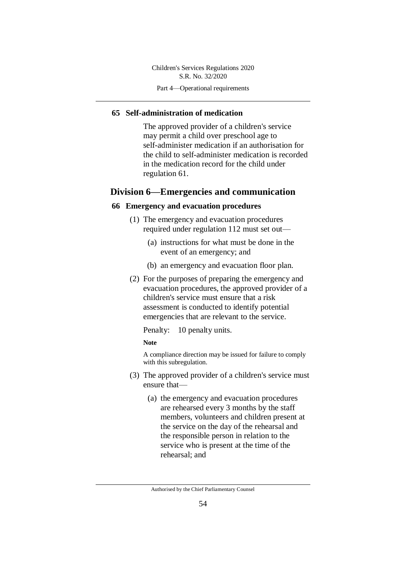Part 4—Operational requirements

### **65 Self-administration of medication**

The approved provider of a children's service may permit a child over preschool age to self-administer medication if an authorisation for the child to self-administer medication is recorded in the medication record for the child under regulation 61.

## **Division 6—Emergencies and communication**

#### **66 Emergency and evacuation procedures**

- (1) The emergency and evacuation procedures required under regulation 112 must set out—
	- (a) instructions for what must be done in the event of an emergency; and
	- (b) an emergency and evacuation floor plan.
- (2) For the purposes of preparing the emergency and evacuation procedures, the approved provider of a children's service must ensure that a risk assessment is conducted to identify potential emergencies that are relevant to the service.

Penalty: 10 penalty units.

#### **Note**

A compliance direction may be issued for failure to comply with this subregulation.

- (3) The approved provider of a children's service must ensure that—
	- (a) the emergency and evacuation procedures are rehearsed every 3 months by the staff members, volunteers and children present at the service on the day of the rehearsal and the responsible person in relation to the service who is present at the time of the rehearsal; and

Authorised by the Chief Parliamentary Counsel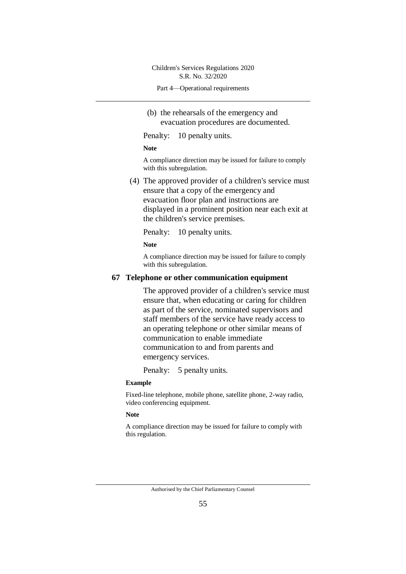(b) the rehearsals of the emergency and evacuation procedures are documented.

Penalty: 10 penalty units.

#### **Note**

A compliance direction may be issued for failure to comply with this subregulation.

(4) The approved provider of a children's service must ensure that a copy of the emergency and evacuation floor plan and instructions are displayed in a prominent position near each exit at the children's service premises.

Penalty: 10 penalty units.

**Note**

A compliance direction may be issued for failure to comply with this subregulation.

### **67 Telephone or other communication equipment**

The approved provider of a children's service must ensure that, when educating or caring for children as part of the service, nominated supervisors and staff members of the service have ready access to an operating telephone or other similar means of communication to enable immediate communication to and from parents and emergency services.

Penalty: 5 penalty units.

#### **Example**

Fixed-line telephone, mobile phone, satellite phone, 2-way radio, video conferencing equipment.

#### **Note**

A compliance direction may be issued for failure to comply with this regulation.

Authorised by the Chief Parliamentary Counsel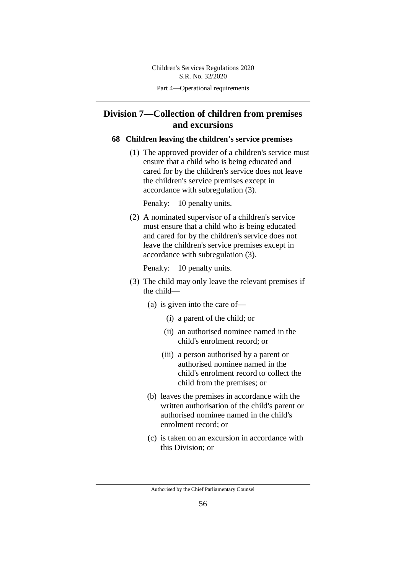# **Division 7—Collection of children from premises and excursions**

# **68 Children leaving the children's service premises**

(1) The approved provider of a children's service must ensure that a child who is being educated and cared for by the children's service does not leave the children's service premises except in accordance with subregulation (3).

Penalty: 10 penalty units.

(2) A nominated supervisor of a children's service must ensure that a child who is being educated and cared for by the children's service does not leave the children's service premises except in accordance with subregulation (3).

Penalty: 10 penalty units.

- (3) The child may only leave the relevant premises if the child—
	- (a) is given into the care of—
		- (i) a parent of the child; or
		- (ii) an authorised nominee named in the child's enrolment record; or
		- (iii) a person authorised by a parent or authorised nominee named in the child's enrolment record to collect the child from the premises; or
	- (b) leaves the premises in accordance with the written authorisation of the child's parent or authorised nominee named in the child's enrolment record; or
	- (c) is taken on an excursion in accordance with this Division; or

Authorised by the Chief Parliamentary Counsel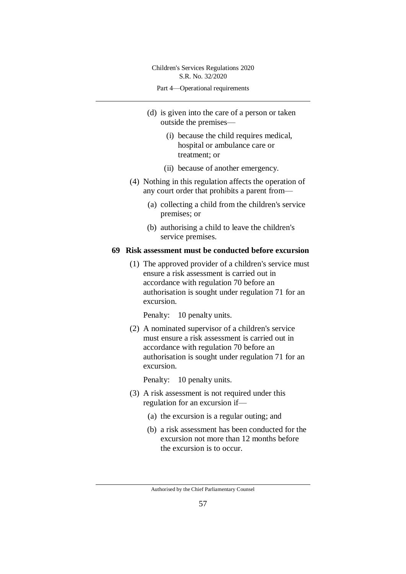Part 4—Operational requirements

- (d) is given into the care of a person or taken outside the premises—
	- (i) because the child requires medical, hospital or ambulance care or treatment; or
	- (ii) because of another emergency.
- (4) Nothing in this regulation affects the operation of any court order that prohibits a parent from—
	- (a) collecting a child from the children's service premises; or
	- (b) authorising a child to leave the children's service premises.

## **69 Risk assessment must be conducted before excursion**

(1) The approved provider of a children's service must ensure a risk assessment is carried out in accordance with regulation 70 before an authorisation is sought under regulation 71 for an excursion.

Penalty: 10 penalty units.

(2) A nominated supervisor of a children's service must ensure a risk assessment is carried out in accordance with regulation 70 before an authorisation is sought under regulation 71 for an excursion.

Penalty: 10 penalty units.

- (3) A risk assessment is not required under this regulation for an excursion if—
	- (a) the excursion is a regular outing; and
	- (b) a risk assessment has been conducted for the excursion not more than 12 months before the excursion is to occur.

Authorised by the Chief Parliamentary Counsel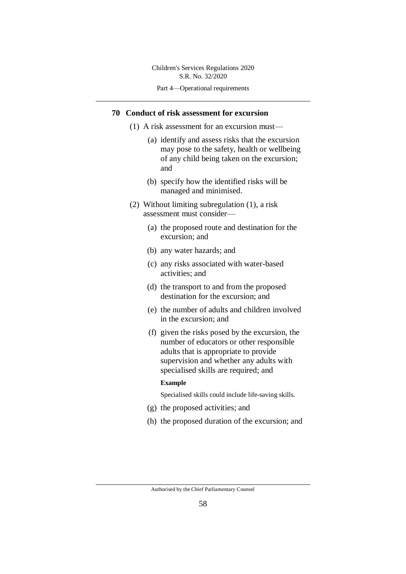Part 4—Operational requirements

### **70 Conduct of risk assessment for excursion**

- (1) A risk assessment for an excursion must—
	- (a) identify and assess risks that the excursion may pose to the safety, health or wellbeing of any child being taken on the excursion; and
	- (b) specify how the identified risks will be managed and minimised.
- (2) Without limiting subregulation (1), a risk assessment must consider—
	- (a) the proposed route and destination for the excursion; and
	- (b) any water hazards; and
	- (c) any risks associated with water-based activities; and
	- (d) the transport to and from the proposed destination for the excursion; and
	- (e) the number of adults and children involved in the excursion; and
	- (f) given the risks posed by the excursion, the number of educators or other responsible adults that is appropriate to provide supervision and whether any adults with specialised skills are required; and

### **Example**

Specialised skills could include life-saving skills.

- (g) the proposed activities; and
- (h) the proposed duration of the excursion; and

Authorised by the Chief Parliamentary Counsel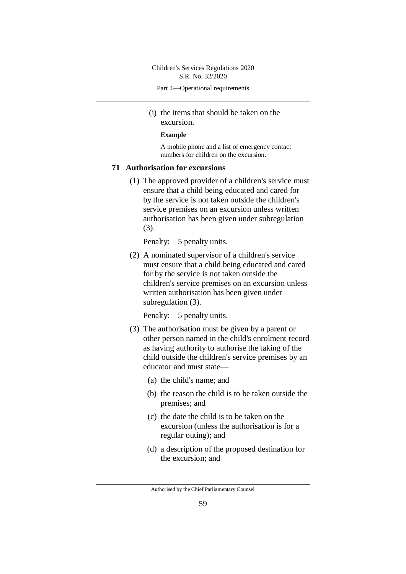Part 4—Operational requirements

(i) the items that should be taken on the excursion.

#### **Example**

A mobile phone and a list of emergency contact numbers for children on the excursion.

### **71 Authorisation for excursions**

(1) The approved provider of a children's service must ensure that a child being educated and cared for by the service is not taken outside the children's service premises on an excursion unless written authorisation has been given under subregulation (3).

Penalty: 5 penalty units.

(2) A nominated supervisor of a children's service must ensure that a child being educated and cared for by the service is not taken outside the children's service premises on an excursion unless written authorisation has been given under subregulation (3).

Penalty: 5 penalty units.

- (3) The authorisation must be given by a parent or other person named in the child's enrolment record as having authority to authorise the taking of the child outside the children's service premises by an educator and must state—
	- (a) the child's name; and
	- (b) the reason the child is to be taken outside the premises; and
	- (c) the date the child is to be taken on the excursion (unless the authorisation is for a regular outing); and
	- (d) a description of the proposed destination for the excursion; and

Authorised by the Chief Parliamentary Counsel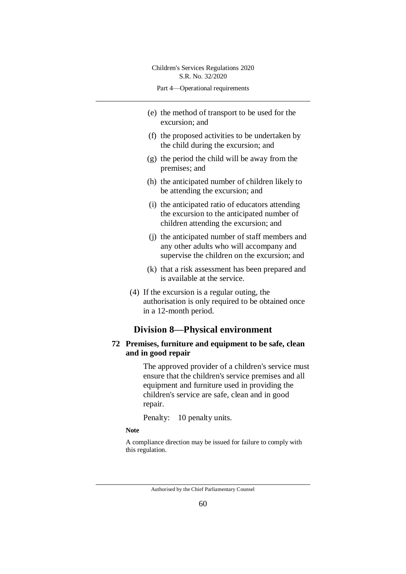- (e) the method of transport to be used for the excursion; and
- (f) the proposed activities to be undertaken by the child during the excursion; and
- (g) the period the child will be away from the premises; and
- (h) the anticipated number of children likely to be attending the excursion; and
- (i) the anticipated ratio of educators attending the excursion to the anticipated number of children attending the excursion; and
- (j) the anticipated number of staff members and any other adults who will accompany and supervise the children on the excursion; and
- (k) that a risk assessment has been prepared and is available at the service.
- (4) If the excursion is a regular outing, the authorisation is only required to be obtained once in a 12-month period.

### **Division 8—Physical environment**

# **72 Premises, furniture and equipment to be safe, clean and in good repair**

The approved provider of a children's service must ensure that the children's service premises and all equipment and furniture used in providing the children's service are safe, clean and in good repair.

Penalty: 10 penalty units.

#### **Note**

A compliance direction may be issued for failure to comply with this regulation.

Authorised by the Chief Parliamentary Counsel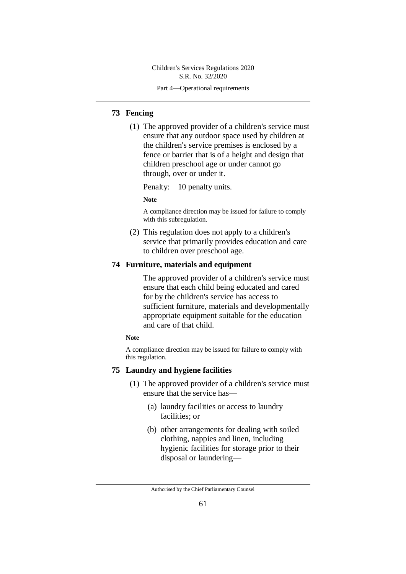Part 4—Operational requirements

### **73 Fencing**

(1) The approved provider of a children's service must ensure that any outdoor space used by children at the children's service premises is enclosed by a fence or barrier that is of a height and design that children preschool age or under cannot go through, over or under it.

Penalty: 10 penalty units.

#### **Note**

A compliance direction may be issued for failure to comply with this subregulation.

(2) This regulation does not apply to a children's service that primarily provides education and care to children over preschool age.

# **74 Furniture, materials and equipment**

The approved provider of a children's service must ensure that each child being educated and cared for by the children's service has access to sufficient furniture, materials and developmentally appropriate equipment suitable for the education and care of that child.

#### **Note**

A compliance direction may be issued for failure to comply with this regulation.

### **75 Laundry and hygiene facilities**

- (1) The approved provider of a children's service must ensure that the service has—
	- (a) laundry facilities or access to laundry facilities; or
	- (b) other arrangements for dealing with soiled clothing, nappies and linen, including hygienic facilities for storage prior to their disposal or laundering—

Authorised by the Chief Parliamentary Counsel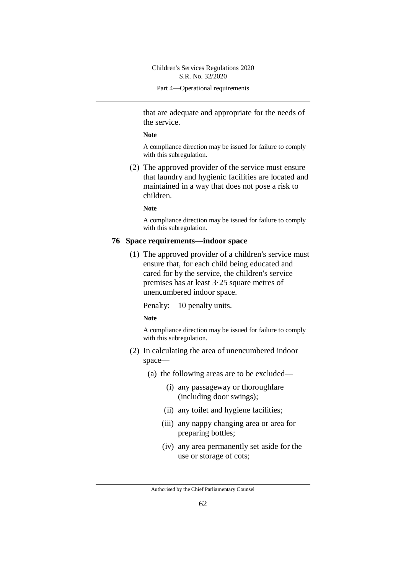that are adequate and appropriate for the needs of the service.

#### **Note**

A compliance direction may be issued for failure to comply with this subregulation.

(2) The approved provider of the service must ensure that laundry and hygienic facilities are located and maintained in a way that does not pose a risk to children.

**Note**

A compliance direction may be issued for failure to comply with this subregulation.

#### **76 Space requirements—indoor space**

(1) The approved provider of a children's service must ensure that, for each child being educated and cared for by the service, the children's service premises has at least 3·25 square metres of unencumbered indoor space.

Penalty: 10 penalty units.

#### **Note**

A compliance direction may be issued for failure to comply with this subregulation.

- (2) In calculating the area of unencumbered indoor space—
	- (a) the following areas are to be excluded—
		- (i) any passageway or thoroughfare (including door swings);
		- (ii) any toilet and hygiene facilities;
		- (iii) any nappy changing area or area for preparing bottles;
		- (iv) any area permanently set aside for the use or storage of cots;

Authorised by the Chief Parliamentary Counsel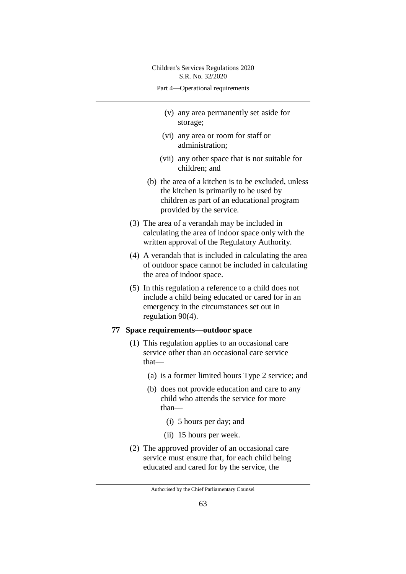Part 4—Operational requirements

- (v) any area permanently set aside for storage;
- (vi) any area or room for staff or administration;
- (vii) any other space that is not suitable for children; and
- (b) the area of a kitchen is to be excluded, unless the kitchen is primarily to be used by children as part of an educational program provided by the service.
- (3) The area of a verandah may be included in calculating the area of indoor space only with the written approval of the Regulatory Authority.
- (4) A verandah that is included in calculating the area of outdoor space cannot be included in calculating the area of indoor space.
- (5) In this regulation a reference to a child does not include a child being educated or cared for in an emergency in the circumstances set out in regulation 90(4).

# **77 Space requirements—outdoor space**

- (1) This regulation applies to an occasional care service other than an occasional care service that—
	- (a) is a former limited hours Type 2 service; and
	- (b) does not provide education and care to any child who attends the service for more than—
		- (i) 5 hours per day; and
		- (ii) 15 hours per week.
- (2) The approved provider of an occasional care service must ensure that, for each child being educated and cared for by the service, the

Authorised by the Chief Parliamentary Counsel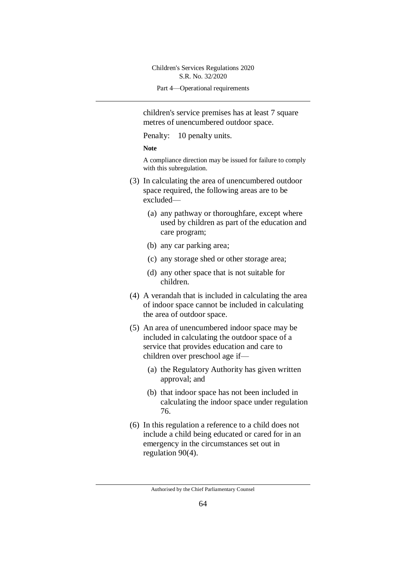children's service premises has at least 7 square metres of unencumbered outdoor space.

Penalty: 10 penalty units.

A compliance direction may be issued for failure to comply with this subregulation.

- (3) In calculating the area of unencumbered outdoor space required, the following areas are to be excluded—
	- (a) any pathway or thoroughfare, except where used by children as part of the education and care program;
	- (b) any car parking area;
	- (c) any storage shed or other storage area;
	- (d) any other space that is not suitable for children.
- (4) A verandah that is included in calculating the area of indoor space cannot be included in calculating the area of outdoor space.
- (5) An area of unencumbered indoor space may be included in calculating the outdoor space of a service that provides education and care to children over preschool age if—
	- (a) the Regulatory Authority has given written approval; and
	- (b) that indoor space has not been included in calculating the indoor space under regulation 76.
- (6) In this regulation a reference to a child does not include a child being educated or cared for in an emergency in the circumstances set out in regulation 90(4).

**Note**

Authorised by the Chief Parliamentary Counsel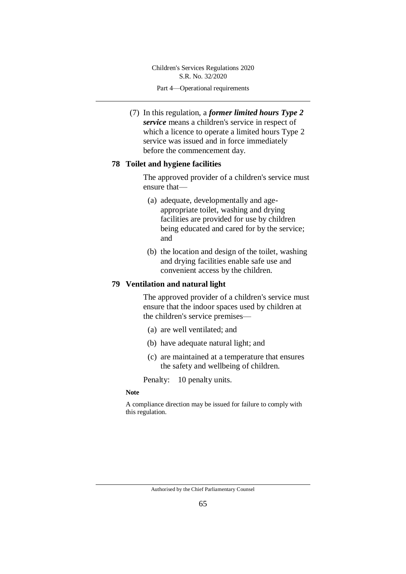Part 4—Operational requirements

(7) In this regulation, a *former limited hours Type 2 service* means a children's service in respect of which a licence to operate a limited hours Type 2 service was issued and in force immediately before the commencement day.

#### **78 Toilet and hygiene facilities**

The approved provider of a children's service must ensure that—

- (a) adequate, developmentally and ageappropriate toilet, washing and drying facilities are provided for use by children being educated and cared for by the service; and
- (b) the location and design of the toilet, washing and drying facilities enable safe use and convenient access by the children.

## **79 Ventilation and natural light**

The approved provider of a children's service must ensure that the indoor spaces used by children at the children's service premises—

- (a) are well ventilated; and
- (b) have adequate natural light; and
- (c) are maintained at a temperature that ensures the safety and wellbeing of children.

Penalty: 10 penalty units.

#### **Note**

A compliance direction may be issued for failure to comply with this regulation.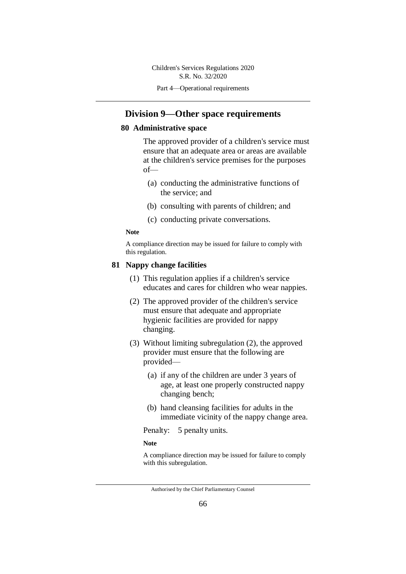Part 4—Operational requirements

# **Division 9—Other space requirements**

#### **80 Administrative space**

The approved provider of a children's service must ensure that an adequate area or areas are available at the children's service premises for the purposes of—

- (a) conducting the administrative functions of the service; and
- (b) consulting with parents of children; and
- (c) conducting private conversations.

#### **Note**

A compliance direction may be issued for failure to comply with this regulation.

## **81 Nappy change facilities**

- (1) This regulation applies if a children's service educates and cares for children who wear nappies.
- (2) The approved provider of the children's service must ensure that adequate and appropriate hygienic facilities are provided for nappy changing.
- (3) Without limiting subregulation (2), the approved provider must ensure that the following are provided—
	- (a) if any of the children are under 3 years of age, at least one properly constructed nappy changing bench;
	- (b) hand cleansing facilities for adults in the immediate vicinity of the nappy change area.

Penalty: 5 penalty units.

#### **Note**

A compliance direction may be issued for failure to comply with this subregulation.

Authorised by the Chief Parliamentary Counsel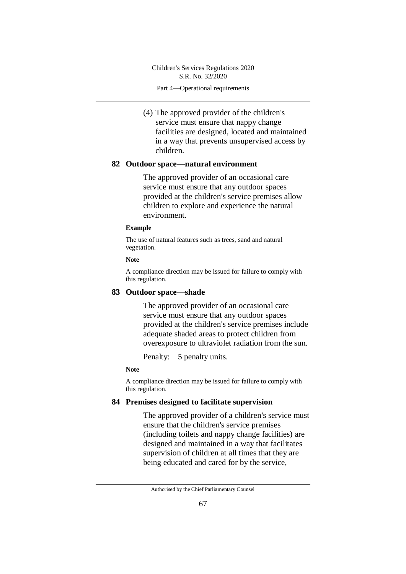Part 4—Operational requirements

(4) The approved provider of the children's service must ensure that nappy change facilities are designed, located and maintained in a way that prevents unsupervised access by children.

#### **82 Outdoor space—natural environment**

The approved provider of an occasional care service must ensure that any outdoor spaces provided at the children's service premises allow children to explore and experience the natural environment.

#### **Example**

The use of natural features such as trees, sand and natural vegetation.

#### **Note**

A compliance direction may be issued for failure to comply with this regulation.

#### **83 Outdoor space—shade**

The approved provider of an occasional care service must ensure that any outdoor spaces provided at the children's service premises include adequate shaded areas to protect children from overexposure to ultraviolet radiation from the sun.

Penalty: 5 penalty units.

### **Note**

A compliance direction may be issued for failure to comply with this regulation.

### **84 Premises designed to facilitate supervision**

The approved provider of a children's service must ensure that the children's service premises (including toilets and nappy change facilities) are designed and maintained in a way that facilitates supervision of children at all times that they are being educated and cared for by the service,

Authorised by the Chief Parliamentary Counsel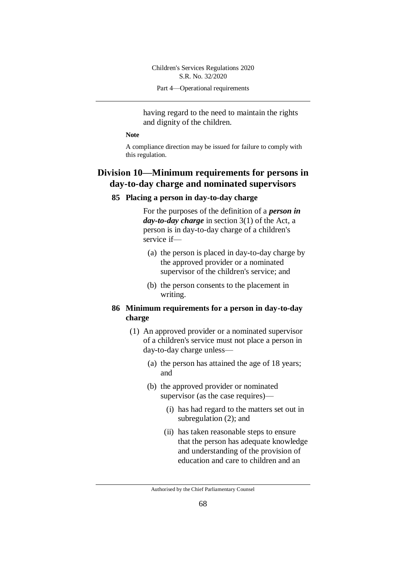Part 4—Operational requirements

having regard to the need to maintain the rights and dignity of the children.

#### **Note**

A compliance direction may be issued for failure to comply with this regulation.

# **Division 10—Minimum requirements for persons in day-to-day charge and nominated supervisors**

## **85 Placing a person in day-to-day charge**

For the purposes of the definition of a *person in day-to-day charge* in section 3(1) of the Act, a person is in day-to-day charge of a children's service if—

- (a) the person is placed in day-to-day charge by the approved provider or a nominated supervisor of the children's service; and
- (b) the person consents to the placement in writing.

## **86 Minimum requirements for a person in day-to-day charge**

- (1) An approved provider or a nominated supervisor of a children's service must not place a person in day-to-day charge unless—
	- (a) the person has attained the age of 18 years; and
	- (b) the approved provider or nominated supervisor (as the case requires)—
		- (i) has had regard to the matters set out in subregulation (2); and
		- (ii) has taken reasonable steps to ensure that the person has adequate knowledge and understanding of the provision of education and care to children and an

Authorised by the Chief Parliamentary Counsel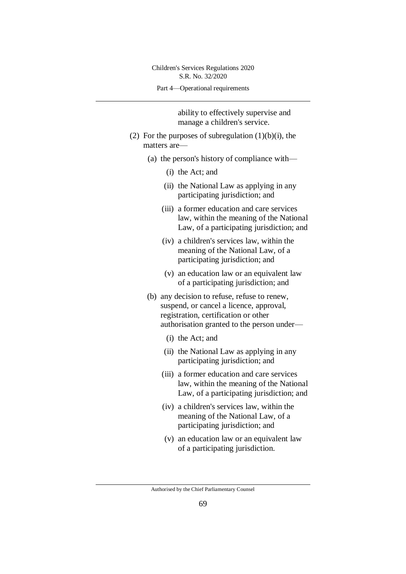Part 4—Operational requirements

ability to effectively supervise and manage a children's service.

- (2) For the purposes of subregulation  $(1)(b)(i)$ , the matters are—
	- (a) the person's history of compliance with—
		- (i) the Act; and
		- (ii) the National Law as applying in any participating jurisdiction; and
		- (iii) a former education and care services law, within the meaning of the National Law, of a participating jurisdiction; and
		- (iv) a children's services law, within the meaning of the National Law, of a participating jurisdiction; and
		- (v) an education law or an equivalent law of a participating jurisdiction; and
	- (b) any decision to refuse, refuse to renew, suspend, or cancel a licence, approval, registration, certification or other authorisation granted to the person under—
		- (i) the Act; and
		- (ii) the National Law as applying in any participating jurisdiction; and
		- (iii) a former education and care services law, within the meaning of the National Law, of a participating jurisdiction; and
		- (iv) a children's services law, within the meaning of the National Law, of a participating jurisdiction; and
		- (v) an education law or an equivalent law of a participating jurisdiction.

Authorised by the Chief Parliamentary Counsel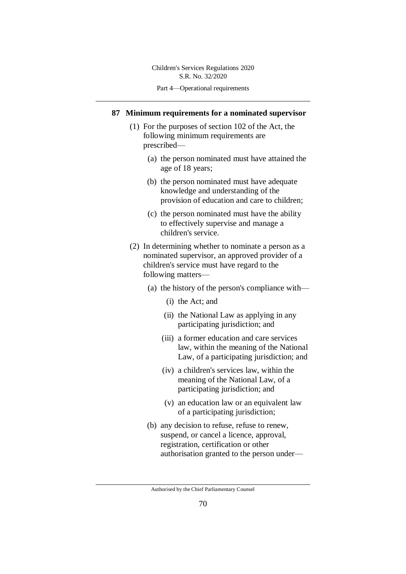Part 4—Operational requirements

## **87 Minimum requirements for a nominated supervisor**

- (1) For the purposes of section 102 of the Act, the following minimum requirements are prescribed—
	- (a) the person nominated must have attained the age of 18 years;
	- (b) the person nominated must have adequate knowledge and understanding of the provision of education and care to children;
	- (c) the person nominated must have the ability to effectively supervise and manage a children's service.
- (2) In determining whether to nominate a person as a nominated supervisor, an approved provider of a children's service must have regard to the following matters—
	- (a) the history of the person's compliance with—
		- (i) the Act; and
		- (ii) the National Law as applying in any participating jurisdiction; and
		- (iii) a former education and care services law, within the meaning of the National Law, of a participating jurisdiction; and
		- (iv) a children's services law, within the meaning of the National Law, of a participating jurisdiction; and
		- (v) an education law or an equivalent law of a participating jurisdiction;
	- (b) any decision to refuse, refuse to renew, suspend, or cancel a licence, approval, registration, certification or other authorisation granted to the person under—

Authorised by the Chief Parliamentary Counsel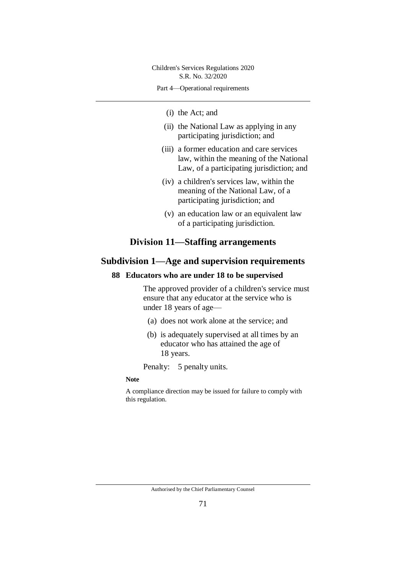Part 4—Operational requirements

- (i) the Act; and
- (ii) the National Law as applying in any participating jurisdiction; and
- (iii) a former education and care services law, within the meaning of the National Law, of a participating jurisdiction; and
- (iv) a children's services law, within the meaning of the National Law, of a participating jurisdiction; and
- (v) an education law or an equivalent law of a participating jurisdiction.

# **Division 11—Staffing arrangements**

# **Subdivision 1—Age and supervision requirements**

#### **88 Educators who are under 18 to be supervised**

The approved provider of a children's service must ensure that any educator at the service who is under 18 years of age—

- (a) does not work alone at the service; and
- (b) is adequately supervised at all times by an educator who has attained the age of 18 years.

Penalty: 5 penalty units.

#### **Note**

A compliance direction may be issued for failure to comply with this regulation.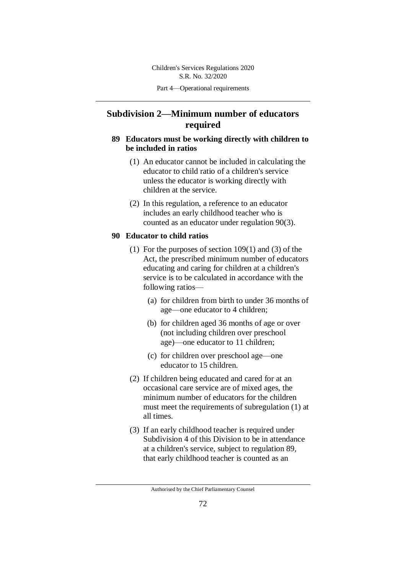Part 4—Operational requirements

# **Subdivision 2—Minimum number of educators required**

## **89 Educators must be working directly with children to be included in ratios**

- (1) An educator cannot be included in calculating the educator to child ratio of a children's service unless the educator is working directly with children at the service.
- (2) In this regulation, a reference to an educator includes an early childhood teacher who is counted as an educator under regulation 90(3).

## **90 Educator to child ratios**

- (1) For the purposes of section 109(1) and (3) of the Act, the prescribed minimum number of educators educating and caring for children at a children's service is to be calculated in accordance with the following ratios—
	- (a) for children from birth to under 36 months of age—one educator to 4 children;
	- (b) for children aged 36 months of age or over (not including children over preschool age)—one educator to 11 children;
	- (c) for children over preschool age—one educator to 15 children.
- (2) If children being educated and cared for at an occasional care service are of mixed ages, the minimum number of educators for the children must meet the requirements of subregulation (1) at all times.
- (3) If an early childhood teacher is required under Subdivision 4 of this Division to be in attendance at a children's service, subject to regulation 89, that early childhood teacher is counted as an

Authorised by the Chief Parliamentary Counsel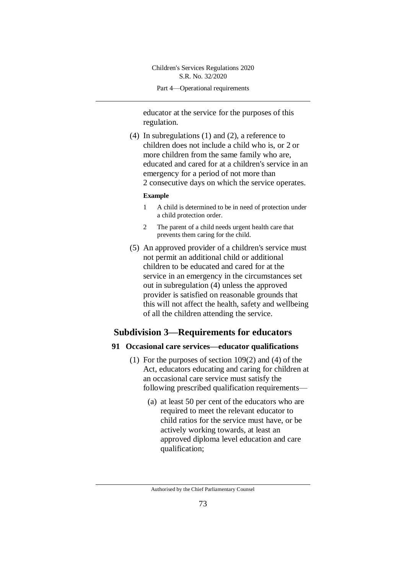Part 4—Operational requirements

educator at the service for the purposes of this regulation.

(4) In subregulations (1) and (2), a reference to children does not include a child who is, or 2 or more children from the same family who are, educated and cared for at a children's service in an emergency for a period of not more than 2 consecutive days on which the service operates.

#### **Example**

- 1 A child is determined to be in need of protection under a child protection order.
- 2 The parent of a child needs urgent health care that prevents them caring for the child.
- (5) An approved provider of a children's service must not permit an additional child or additional children to be educated and cared for at the service in an emergency in the circumstances set out in subregulation (4) unless the approved provider is satisfied on reasonable grounds that this will not affect the health, safety and wellbeing of all the children attending the service.

## **Subdivision 3—Requirements for educators**

## **91 Occasional care services—educator qualifications**

- (1) For the purposes of section 109(2) and (4) of the Act, educators educating and caring for children at an occasional care service must satisfy the following prescribed qualification requirements—
	- (a) at least 50 per cent of the educators who are required to meet the relevant educator to child ratios for the service must have, or be actively working towards, at least an approved diploma level education and care qualification;

Authorised by the Chief Parliamentary Counsel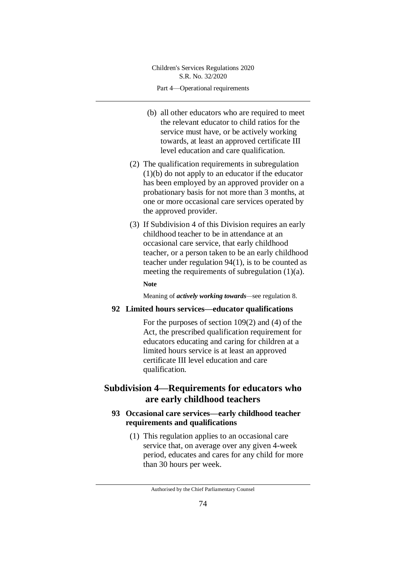Part 4—Operational requirements

- (b) all other educators who are required to meet the relevant educator to child ratios for the service must have, or be actively working towards, at least an approved certificate III level education and care qualification.
- (2) The qualification requirements in subregulation (1)(b) do not apply to an educator if the educator has been employed by an approved provider on a probationary basis for not more than 3 months, at one or more occasional care services operated by the approved provider.
- (3) If Subdivision 4 of this Division requires an early childhood teacher to be in attendance at an occasional care service, that early childhood teacher, or a person taken to be an early childhood teacher under regulation 94(1), is to be counted as meeting the requirements of subregulation (1)(a).

**Note**

Meaning of *actively working towards—*see regulation 8.

## **92 Limited hours services—educator qualifications**

For the purposes of section 109(2) and (4) of the Act, the prescribed qualification requirement for educators educating and caring for children at a limited hours service is at least an approved certificate III level education and care qualification.

# **Subdivision 4—Requirements for educators who are early childhood teachers**

## **93 Occasional care services—early childhood teacher requirements and qualifications**

(1) This regulation applies to an occasional care service that, on average over any given 4-week period, educates and cares for any child for more than 30 hours per week.

Authorised by the Chief Parliamentary Counsel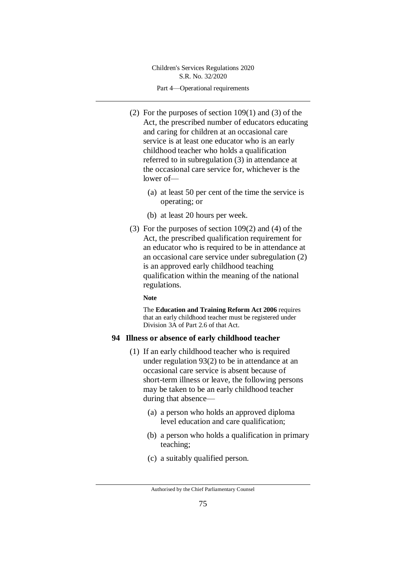Part 4—Operational requirements

- (2) For the purposes of section 109(1) and (3) of the Act, the prescribed number of educators educating and caring for children at an occasional care service is at least one educator who is an early childhood teacher who holds a qualification referred to in subregulation (3) in attendance at the occasional care service for, whichever is the lower of—
	- (a) at least 50 per cent of the time the service is operating; or
	- (b) at least 20 hours per week.
- (3) For the purposes of section 109(2) and (4) of the Act, the prescribed qualification requirement for an educator who is required to be in attendance at an occasional care service under subregulation (2) is an approved early childhood teaching qualification within the meaning of the national regulations.

#### **Note**

The **Education and Training Reform Act 2006** requires that an early childhood teacher must be registered under Division 3A of Part 2.6 of that Act.

#### **94 Illness or absence of early childhood teacher**

- (1) If an early childhood teacher who is required under regulation 93(2) to be in attendance at an occasional care service is absent because of short-term illness or leave, the following persons may be taken to be an early childhood teacher during that absence—
	- (a) a person who holds an approved diploma level education and care qualification;
	- (b) a person who holds a qualification in primary teaching;
	- (c) a suitably qualified person.

Authorised by the Chief Parliamentary Counsel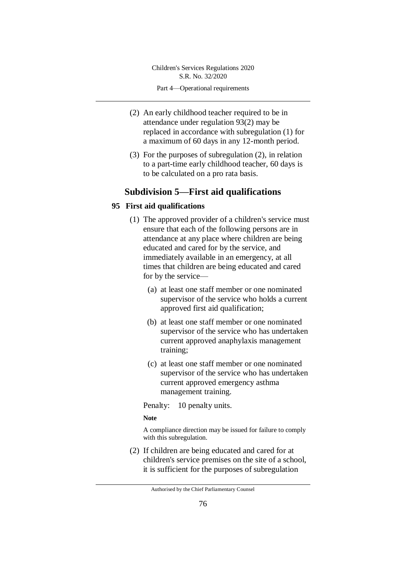Part 4—Operational requirements

- (2) An early childhood teacher required to be in attendance under regulation 93(2) may be replaced in accordance with subregulation (1) for a maximum of 60 days in any 12-month period.
- (3) For the purposes of subregulation (2), in relation to a part-time early childhood teacher, 60 days is to be calculated on a pro rata basis.

# **Subdivision 5—First aid qualifications**

## **95 First aid qualifications**

- (1) The approved provider of a children's service must ensure that each of the following persons are in attendance at any place where children are being educated and cared for by the service, and immediately available in an emergency, at all times that children are being educated and cared for by the service—
	- (a) at least one staff member or one nominated supervisor of the service who holds a current approved first aid qualification;
	- (b) at least one staff member or one nominated supervisor of the service who has undertaken current approved anaphylaxis management training;
	- (c) at least one staff member or one nominated supervisor of the service who has undertaken current approved emergency asthma management training.

Penalty: 10 penalty units.

**Note**

A compliance direction may be issued for failure to comply with this subregulation.

(2) If children are being educated and cared for at children's service premises on the site of a school, it is sufficient for the purposes of subregulation

Authorised by the Chief Parliamentary Counsel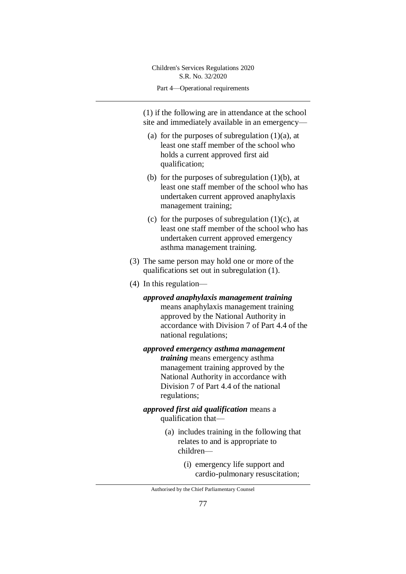Part 4—Operational requirements

(1) if the following are in attendance at the school site and immediately available in an emergency—

- (a) for the purposes of subregulation  $(1)(a)$ , at least one staff member of the school who holds a current approved first aid qualification;
- (b) for the purposes of subregulation  $(1)(b)$ , at least one staff member of the school who has undertaken current approved anaphylaxis management training;
- (c) for the purposes of subregulation  $(1)(c)$ , at least one staff member of the school who has undertaken current approved emergency asthma management training.
- (3) The same person may hold one or more of the qualifications set out in subregulation (1).
- (4) In this regulation
	- *approved anaphylaxis management training* means anaphylaxis management training approved by the National Authority in accordance with Division 7 of Part 4.4 of the national regulations;
	- *approved emergency asthma management training* means emergency asthma management training approved by the National Authority in accordance with Division 7 of Part 4.4 of the national regulations;
	- *approved first aid qualification* means a qualification that—
		- (a) includes training in the following that relates to and is appropriate to children—
			- (i) emergency life support and cardio-pulmonary resuscitation;

Authorised by the Chief Parliamentary Counsel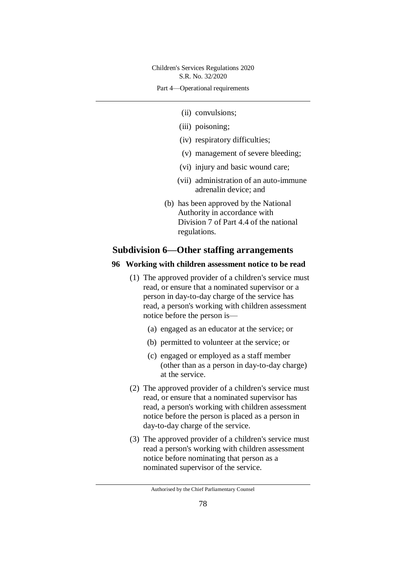Part 4—Operational requirements

- (ii) convulsions;
- (iii) poisoning;
- (iv) respiratory difficulties;
- (v) management of severe bleeding;
- (vi) injury and basic wound care;
- (vii) administration of an auto-immune adrenalin device; and
- (b) has been approved by the National Authority in accordance with Division 7 of Part 4.4 of the national regulations.

# **Subdivision 6—Other staffing arrangements**

#### **96 Working with children assessment notice to be read**

- (1) The approved provider of a children's service must read, or ensure that a nominated supervisor or a person in day-to-day charge of the service has read, a person's working with children assessment notice before the person is—
	- (a) engaged as an educator at the service; or
	- (b) permitted to volunteer at the service; or
	- (c) engaged or employed as a staff member (other than as a person in day-to-day charge) at the service.
- (2) The approved provider of a children's service must read, or ensure that a nominated supervisor has read, a person's working with children assessment notice before the person is placed as a person in day-to-day charge of the service.
- (3) The approved provider of a children's service must read a person's working with children assessment notice before nominating that person as a nominated supervisor of the service.

Authorised by the Chief Parliamentary Counsel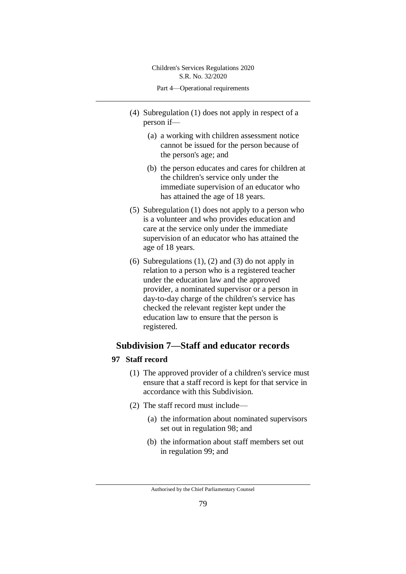Part 4—Operational requirements

- (4) Subregulation (1) does not apply in respect of a person if—
	- (a) a working with children assessment notice cannot be issued for the person because of the person's age; and
	- (b) the person educates and cares for children at the children's service only under the immediate supervision of an educator who has attained the age of 18 years.
- (5) Subregulation (1) does not apply to a person who is a volunteer and who provides education and care at the service only under the immediate supervision of an educator who has attained the age of 18 years.
- (6) Subregulations (1), (2) and (3) do not apply in relation to a person who is a registered teacher under the education law and the approved provider, a nominated supervisor or a person in day-to-day charge of the children's service has checked the relevant register kept under the education law to ensure that the person is registered.

# **Subdivision 7—Staff and educator records**

### **97 Staff record**

- (1) The approved provider of a children's service must ensure that a staff record is kept for that service in accordance with this Subdivision.
- (2) The staff record must include—
	- (a) the information about nominated supervisors set out in regulation 98; and
	- (b) the information about staff members set out in regulation 99; and

Authorised by the Chief Parliamentary Counsel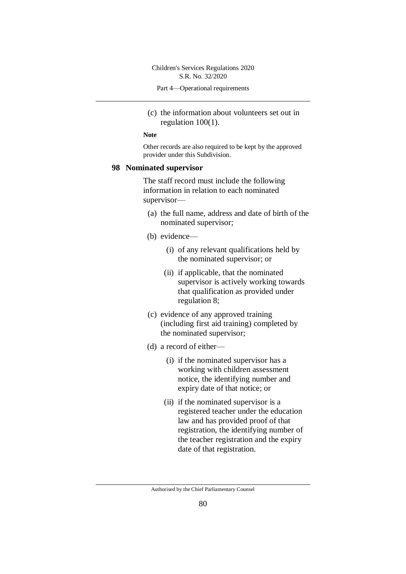Part 4—Operational requirements

(c) the information about volunteers set out in regulation 100(1).

#### **Note**

Other records are also required to be kept by the approved provider under this Subdivision.

#### **98 Nominated supervisor**

The staff record must include the following information in relation to each nominated supervisor—

- (a) the full name, address and date of birth of the nominated supervisor;
- (b) evidence—
	- (i) of any relevant qualifications held by the nominated supervisor; or
	- (ii) if applicable, that the nominated supervisor is actively working towards that qualification as provided under regulation 8;
- (c) evidence of any approved training (including first aid training) completed by the nominated supervisor;
- (d) a record of either—
	- (i) if the nominated supervisor has a working with children assessment notice, the identifying number and expiry date of that notice; or
	- (ii) if the nominated supervisor is a registered teacher under the education law and has provided proof of that registration, the identifying number of the teacher registration and the expiry date of that registration.

Authorised by the Chief Parliamentary Counsel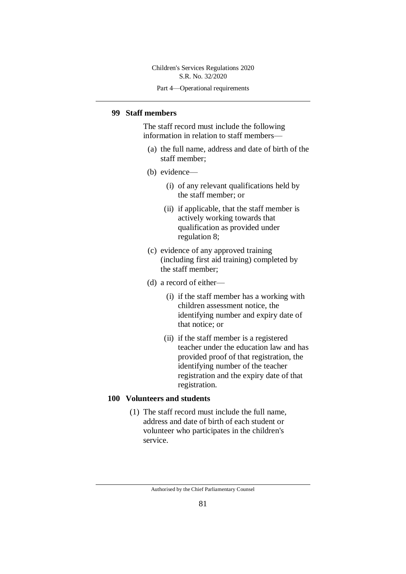Part 4—Operational requirements

### **99 Staff members**

The staff record must include the following information in relation to staff members—

- (a) the full name, address and date of birth of the staff member;
- (b) evidence—
	- (i) of any relevant qualifications held by the staff member; or
	- (ii) if applicable, that the staff member is actively working towards that qualification as provided under regulation 8;
- (c) evidence of any approved training (including first aid training) completed by the staff member;
- (d) a record of either—
	- (i) if the staff member has a working with children assessment notice, the identifying number and expiry date of that notice; or
	- (ii) if the staff member is a registered teacher under the education law and has provided proof of that registration, the identifying number of the teacher registration and the expiry date of that registration.

## **100 Volunteers and students**

(1) The staff record must include the full name, address and date of birth of each student or volunteer who participates in the children's service.

Authorised by the Chief Parliamentary Counsel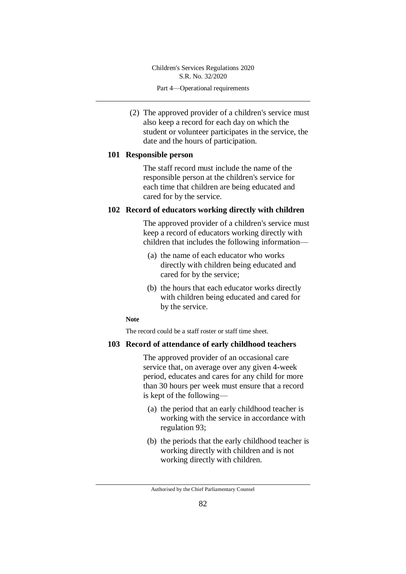Part 4—Operational requirements

(2) The approved provider of a children's service must also keep a record for each day on which the student or volunteer participates in the service, the date and the hours of participation.

## **101 Responsible person**

The staff record must include the name of the responsible person at the children's service for each time that children are being educated and cared for by the service.

#### **102 Record of educators working directly with children**

The approved provider of a children's service must keep a record of educators working directly with children that includes the following information—

- (a) the name of each educator who works directly with children being educated and cared for by the service;
- (b) the hours that each educator works directly with children being educated and cared for by the service.

#### **Note**

The record could be a staff roster or staff time sheet.

#### **103 Record of attendance of early childhood teachers**

The approved provider of an occasional care service that, on average over any given 4-week period, educates and cares for any child for more than 30 hours per week must ensure that a record is kept of the following—

- (a) the period that an early childhood teacher is working with the service in accordance with regulation 93;
- (b) the periods that the early childhood teacher is working directly with children and is not working directly with children.

Authorised by the Chief Parliamentary Counsel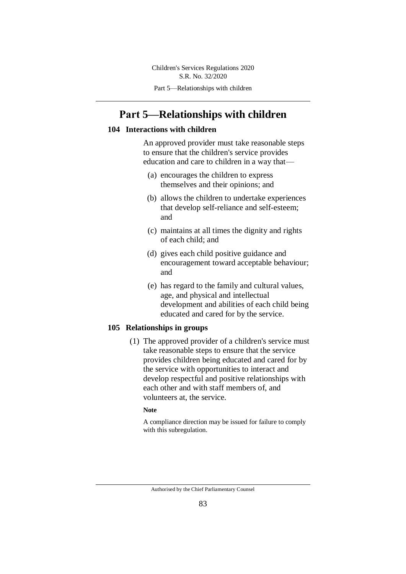Part 5—Relationships with children

# **Part 5—Relationships with children**

## **104 Interactions with children**

An approved provider must take reasonable steps to ensure that the children's service provides education and care to children in a way that—

- (a) encourages the children to express themselves and their opinions; and
- (b) allows the children to undertake experiences that develop self-reliance and self-esteem; and
- (c) maintains at all times the dignity and rights of each child; and
- (d) gives each child positive guidance and encouragement toward acceptable behaviour; and
- (e) has regard to the family and cultural values, age, and physical and intellectual development and abilities of each child being educated and cared for by the service.

## **105 Relationships in groups**

(1) The approved provider of a children's service must take reasonable steps to ensure that the service provides children being educated and cared for by the service with opportunities to interact and develop respectful and positive relationships with each other and with staff members of, and volunteers at, the service.

#### **Note**

A compliance direction may be issued for failure to comply with this subregulation.

Authorised by the Chief Parliamentary Counsel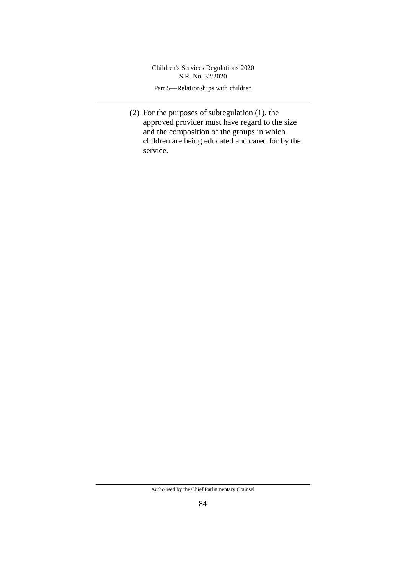Part 5—Relationships with children Children's Services Regulations 2020 S.R. No. 32/2020

(2) For the purposes of subregulation (1), the approved provider must have regard to the size and the composition of the groups in which children are being educated and cared for by the service.

Authorised by the Chief Parliamentary Counsel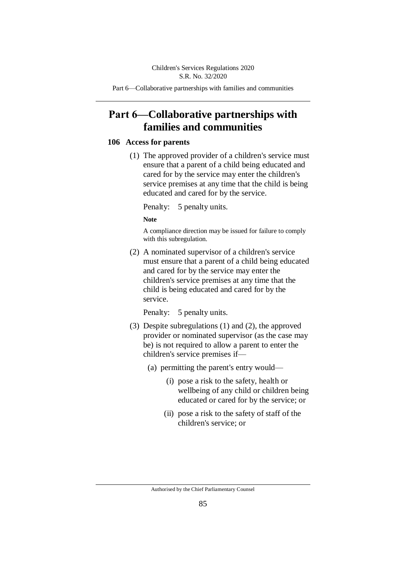Part 6—Collaborative partnerships with families and communities

# **Part 6—Collaborative partnerships with families and communities**

### **106 Access for parents**

(1) The approved provider of a children's service must ensure that a parent of a child being educated and cared for by the service may enter the children's service premises at any time that the child is being educated and cared for by the service.

Penalty: 5 penalty units.

**Note**

A compliance direction may be issued for failure to comply with this subregulation.

(2) A nominated supervisor of a children's service must ensure that a parent of a child being educated and cared for by the service may enter the children's service premises at any time that the child is being educated and cared for by the service.

Penalty: 5 penalty units.

- (3) Despite subregulations (1) and (2), the approved provider or nominated supervisor (as the case may be) is not required to allow a parent to enter the children's service premises if—
	- (a) permitting the parent's entry would—
		- (i) pose a risk to the safety, health or wellbeing of any child or children being educated or cared for by the service; or
		- (ii) pose a risk to the safety of staff of the children's service; or

Authorised by the Chief Parliamentary Counsel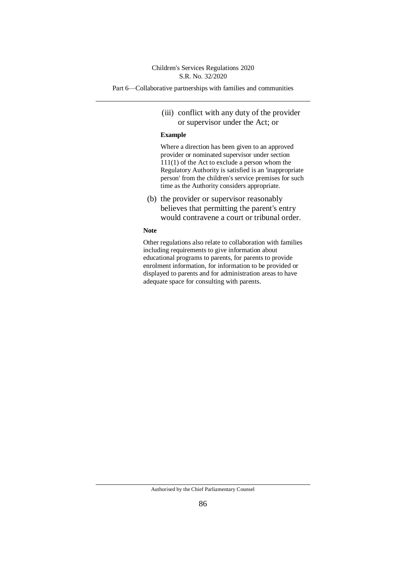Part 6—Collaborative partnerships with families and communities

## (iii) conflict with any duty of the provider or supervisor under the Act; or

#### **Example**

Where a direction has been given to an approved provider or nominated supervisor under section 111(1) of the Act to exclude a person whom the Regulatory Authority is satisfied is an 'inappropriate person' from the children's service premises for such time as the Authority considers appropriate.

(b) the provider or supervisor reasonably believes that permitting the parent's entry would contravene a court or tribunal order.

#### **Note**

Other regulations also relate to collaboration with families including requirements to give information about educational programs to parents, for parents to provide enrolment information, for information to be provided or displayed to parents and for administration areas to have adequate space for consulting with parents.

Authorised by the Chief Parliamentary Counsel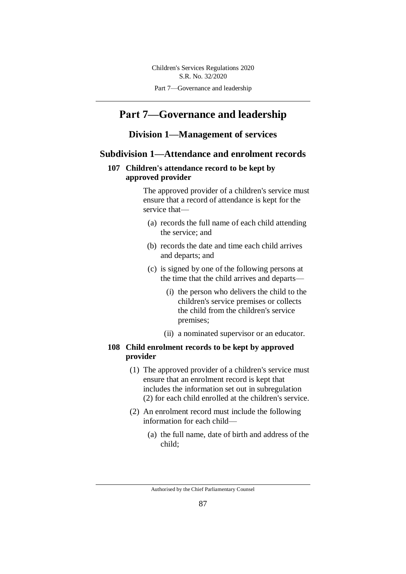Part 7—Governance and leadership

# **Part 7—Governance and leadership**

# **Division 1—Management of services**

# **Subdivision 1—Attendance and enrolment records**

## **107 Children's attendance record to be kept by approved provider**

The approved provider of a children's service must ensure that a record of attendance is kept for the service that—

- (a) records the full name of each child attending the service; and
- (b) records the date and time each child arrives and departs; and
- (c) is signed by one of the following persons at the time that the child arrives and departs—
	- (i) the person who delivers the child to the children's service premises or collects the child from the children's service premises;
	- (ii) a nominated supervisor or an educator.

## **108 Child enrolment records to be kept by approved provider**

- (1) The approved provider of a children's service must ensure that an enrolment record is kept that includes the information set out in subregulation (2) for each child enrolled at the children's service.
- (2) An enrolment record must include the following information for each child—
	- (a) the full name, date of birth and address of the child;

Authorised by the Chief Parliamentary Counsel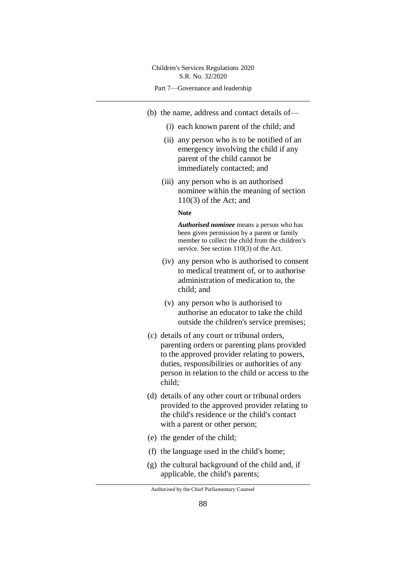Part 7—Governance and leadership

- (b) the name, address and contact details of—
	- (i) each known parent of the child; and
	- (ii) any person who is to be notified of an emergency involving the child if any parent of the child cannot be immediately contacted; and
	- (iii) any person who is an authorised nominee within the meaning of section 110(3) of the Act; and

#### **Note**

*Authorised nominee* means a person who has been given permission by a parent or family member to collect the child from the children's service. See section 110(3) of the Act.

- (iv) any person who is authorised to consent to medical treatment of, or to authorise administration of medication to, the child; and
- (v) any person who is authorised to authorise an educator to take the child outside the children's service premises;
- (c) details of any court or tribunal orders, parenting orders or parenting plans provided to the approved provider relating to powers, duties, responsibilities or authorities of any person in relation to the child or access to the child;
- (d) details of any other court or tribunal orders provided to the approved provider relating to the child's residence or the child's contact with a parent or other person;
- (e) the gender of the child;
- (f) the language used in the child's home;
- (g) the cultural background of the child and, if applicable, the child's parents;

Authorised by the Chief Parliamentary Counsel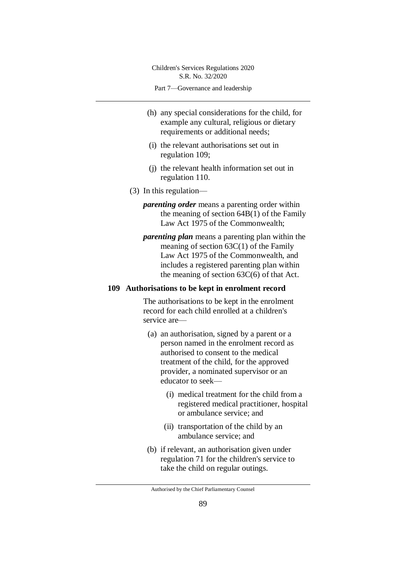Part 7—Governance and leadership

- (h) any special considerations for the child, for example any cultural, religious or dietary requirements or additional needs;
- (i) the relevant authorisations set out in regulation 109;
- (j) the relevant health information set out in regulation 110.
- (3) In this regulation
	- *parenting order* means a parenting order within the meaning of section 64B(1) of the Family Law Act 1975 of the Commonwealth;
	- *parenting plan* means a parenting plan within the meaning of section 63C(1) of the Family Law Act 1975 of the Commonwealth, and includes a registered parenting plan within the meaning of section 63C(6) of that Act.

## **109 Authorisations to be kept in enrolment record**

The authorisations to be kept in the enrolment record for each child enrolled at a children's service are—

- (a) an authorisation, signed by a parent or a person named in the enrolment record as authorised to consent to the medical treatment of the child, for the approved provider, a nominated supervisor or an educator to seek—
	- (i) medical treatment for the child from a registered medical practitioner, hospital or ambulance service; and
	- (ii) transportation of the child by an ambulance service; and
- (b) if relevant, an authorisation given under regulation 71 for the children's service to take the child on regular outings.

Authorised by the Chief Parliamentary Counsel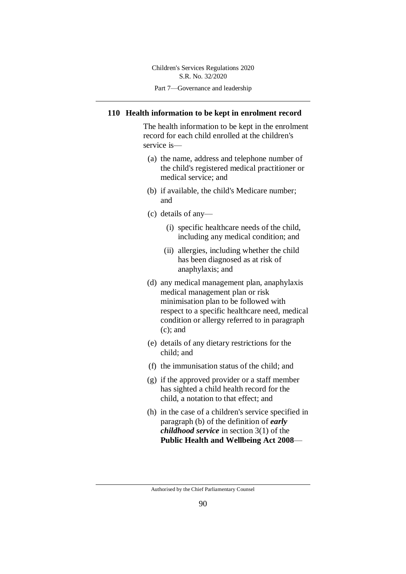Part 7—Governance and leadership

### **110 Health information to be kept in enrolment record**

The health information to be kept in the enrolment record for each child enrolled at the children's service is—

- (a) the name, address and telephone number of the child's registered medical practitioner or medical service; and
- (b) if available, the child's Medicare number; and
- (c) details of any—
	- (i) specific healthcare needs of the child, including any medical condition; and
	- (ii) allergies, including whether the child has been diagnosed as at risk of anaphylaxis; and
- (d) any medical management plan, anaphylaxis medical management plan or risk minimisation plan to be followed with respect to a specific healthcare need, medical condition or allergy referred to in paragraph (c); and
- (e) details of any dietary restrictions for the child; and
- (f) the immunisation status of the child; and
- (g) if the approved provider or a staff member has sighted a child health record for the child, a notation to that effect; and
- (h) in the case of a children's service specified in paragraph (b) of the definition of *early childhood service* in section 3(1) of the **Public Health and Wellbeing Act 2008**—

Authorised by the Chief Parliamentary Counsel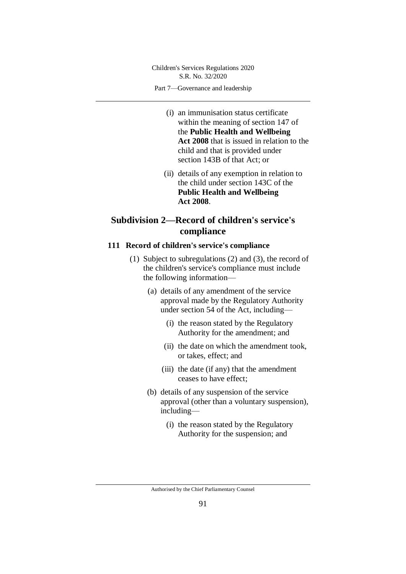Part 7—Governance and leadership

- (i) an immunisation status certificate within the meaning of section 147 of the **Public Health and Wellbeing Act 2008** that is issued in relation to the child and that is provided under section 143B of that Act; or
- (ii) details of any exemption in relation to the child under section 143C of the **Public Health and Wellbeing Act 2008**.

# **Subdivision 2—Record of children's service's compliance**

## **111 Record of children's service's compliance**

- (1) Subject to subregulations (2) and (3), the record of the children's service's compliance must include the following information—
	- (a) details of any amendment of the service approval made by the Regulatory Authority under section 54 of the Act, including—
		- (i) the reason stated by the Regulatory Authority for the amendment; and
		- (ii) the date on which the amendment took, or takes, effect; and
		- (iii) the date (if any) that the amendment ceases to have effect;
	- (b) details of any suspension of the service approval (other than a voluntary suspension), including—
		- (i) the reason stated by the Regulatory Authority for the suspension; and

Authorised by the Chief Parliamentary Counsel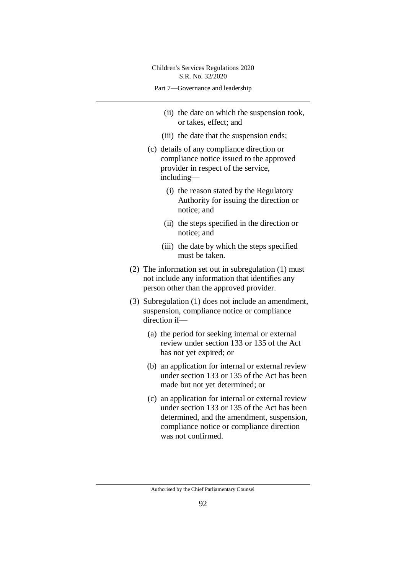Part 7—Governance and leadership

- (ii) the date on which the suspension took, or takes, effect; and
- (iii) the date that the suspension ends;
- (c) details of any compliance direction or compliance notice issued to the approved provider in respect of the service, including—
	- (i) the reason stated by the Regulatory Authority for issuing the direction or notice; and
	- (ii) the steps specified in the direction or notice; and
	- (iii) the date by which the steps specified must be taken.
- (2) The information set out in subregulation (1) must not include any information that identifies any person other than the approved provider.
- (3) Subregulation (1) does not include an amendment, suspension, compliance notice or compliance direction if—
	- (a) the period for seeking internal or external review under section 133 or 135 of the Act has not yet expired; or
	- (b) an application for internal or external review under section 133 or 135 of the Act has been made but not yet determined; or
	- (c) an application for internal or external review under section 133 or 135 of the Act has been determined, and the amendment, suspension, compliance notice or compliance direction was not confirmed.

Authorised by the Chief Parliamentary Counsel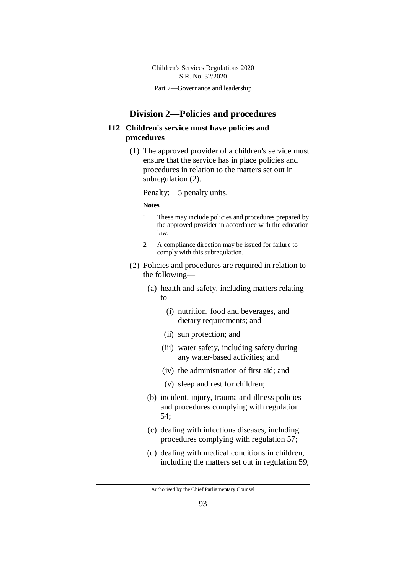Part 7—Governance and leadership

## **Division 2—Policies and procedures**

## **112 Children's service must have policies and procedures**

(1) The approved provider of a children's service must ensure that the service has in place policies and procedures in relation to the matters set out in subregulation (2).

Penalty: 5 penalty units.

## **Notes**

- 1 These may include policies and procedures prepared by the approved provider in accordance with the education law.
- 2 A compliance direction may be issued for failure to comply with this subregulation.
- (2) Policies and procedures are required in relation to the following—
	- (a) health and safety, including matters relating to—
		- (i) nutrition, food and beverages, and dietary requirements; and
		- (ii) sun protection; and
		- (iii) water safety, including safety during any water-based activities; and
		- (iv) the administration of first aid; and
		- (v) sleep and rest for children;
	- (b) incident, injury, trauma and illness policies and procedures complying with regulation 54;
	- (c) dealing with infectious diseases, including procedures complying with regulation 57;
	- (d) dealing with medical conditions in children, including the matters set out in regulation 59;

Authorised by the Chief Parliamentary Counsel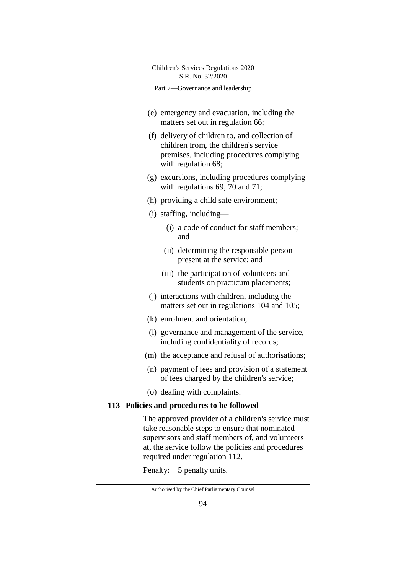Part 7—Governance and leadership

- (e) emergency and evacuation, including the matters set out in regulation 66;
- (f) delivery of children to, and collection of children from, the children's service premises, including procedures complying with regulation 68;
- (g) excursions, including procedures complying with regulations 69, 70 and 71;
- (h) providing a child safe environment;
- (i) staffing, including—
	- (i) a code of conduct for staff members; and
	- (ii) determining the responsible person present at the service; and
	- (iii) the participation of volunteers and students on practicum placements;
- (j) interactions with children, including the matters set out in regulations 104 and 105;
- (k) enrolment and orientation;
- (l) governance and management of the service, including confidentiality of records;
- (m) the acceptance and refusal of authorisations;
- (n) payment of fees and provision of a statement of fees charged by the children's service;
- (o) dealing with complaints.

#### **113 Policies and procedures to be followed**

The approved provider of a children's service must take reasonable steps to ensure that nominated supervisors and staff members of, and volunteers at, the service follow the policies and procedures required under regulation 112.

Penalty: 5 penalty units.

Authorised by the Chief Parliamentary Counsel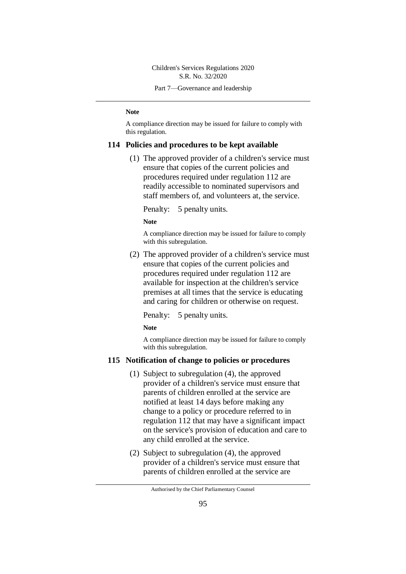Part 7—Governance and leadership

**Note** 

A compliance direction may be issued for failure to comply with this regulation.

#### **114 Policies and procedures to be kept available**

(1) The approved provider of a children's service must ensure that copies of the current policies and procedures required under regulation 112 are readily accessible to nominated supervisors and staff members of, and volunteers at, the service.

Penalty: 5 penalty units.

**Note**

A compliance direction may be issued for failure to comply with this subregulation.

(2) The approved provider of a children's service must ensure that copies of the current policies and procedures required under regulation 112 are available for inspection at the children's service premises at all times that the service is educating and caring for children or otherwise on request.

Penalty: 5 penalty units.

**Note**

A compliance direction may be issued for failure to comply with this subregulation.

## **115 Notification of change to policies or procedures**

- (1) Subject to subregulation (4), the approved provider of a children's service must ensure that parents of children enrolled at the service are notified at least 14 days before making any change to a policy or procedure referred to in regulation 112 that may have a significant impact on the service's provision of education and care to any child enrolled at the service.
- (2) Subject to subregulation (4), the approved provider of a children's service must ensure that parents of children enrolled at the service are

Authorised by the Chief Parliamentary Counsel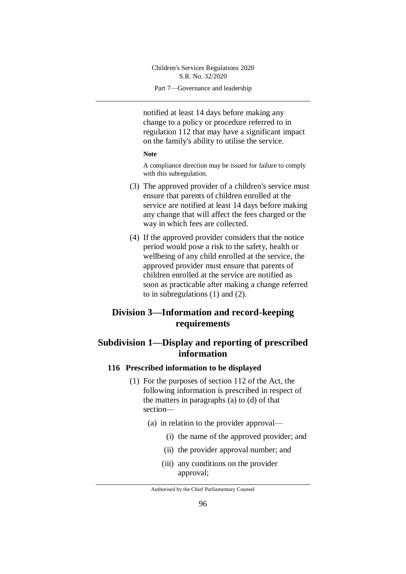Part 7—Governance and leadership

notified at least 14 days before making any change to a policy or procedure referred to in regulation 112 that may have a significant impact on the family's ability to utilise the service.

#### **Note**

A compliance direction may be issued for failure to comply with this subregulation.

- (3) The approved provider of a children's service must ensure that parents of children enrolled at the service are notified at least 14 days before making any change that will affect the fees charged or the way in which fees are collected.
- (4) If the approved provider considers that the notice period would pose a risk to the safety, health or wellbeing of any child enrolled at the service, the approved provider must ensure that parents of children enrolled at the service are notified as soon as practicable after making a change referred to in subregulations (1) and (2).

# **Division 3—Information and record-keeping requirements**

# **Subdivision 1—Display and reporting of prescribed information**

### **116 Prescribed information to be displayed**

- (1) For the purposes of section 112 of the Act, the following information is prescribed in respect of the matters in paragraphs (a) to (d) of that section—
	- (a) in relation to the provider approval—
		- (i) the name of the approved provider; and
		- (ii) the provider approval number; and
		- (iii) any conditions on the provider approval;

Authorised by the Chief Parliamentary Counsel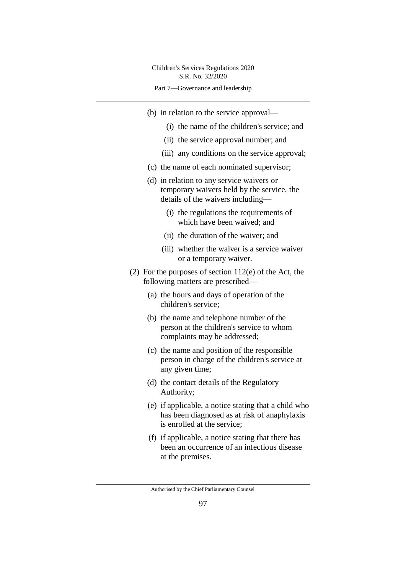Part 7—Governance and leadership

- (b) in relation to the service approval—
	- (i) the name of the children's service; and
	- (ii) the service approval number; and
	- (iii) any conditions on the service approval;
- (c) the name of each nominated supervisor;
- (d) in relation to any service waivers or temporary waivers held by the service, the details of the waivers including—
	- (i) the regulations the requirements of which have been waived; and
	- (ii) the duration of the waiver; and
	- (iii) whether the waiver is a service waiver or a temporary waiver.
- (2) For the purposes of section 112(e) of the Act, the following matters are prescribed—
	- (a) the hours and days of operation of the children's service;
	- (b) the name and telephone number of the person at the children's service to whom complaints may be addressed;
	- (c) the name and position of the responsible person in charge of the children's service at any given time;
	- (d) the contact details of the Regulatory Authority;
	- (e) if applicable, a notice stating that a child who has been diagnosed as at risk of anaphylaxis is enrolled at the service;
	- (f) if applicable, a notice stating that there has been an occurrence of an infectious disease at the premises.

Authorised by the Chief Parliamentary Counsel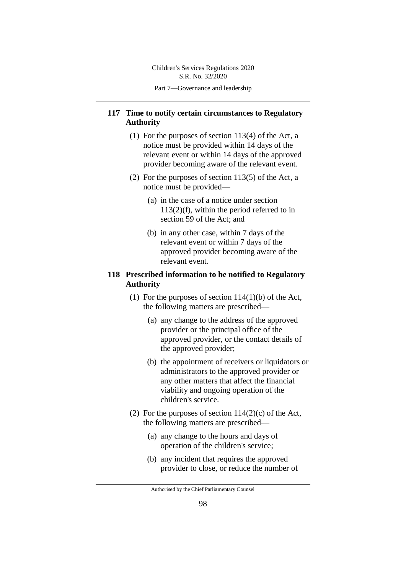Part 7—Governance and leadership

## **117 Time to notify certain circumstances to Regulatory Authority**

- (1) For the purposes of section 113(4) of the Act, a notice must be provided within 14 days of the relevant event or within 14 days of the approved provider becoming aware of the relevant event.
- (2) For the purposes of section 113(5) of the Act, a notice must be provided—
	- (a) in the case of a notice under section 113(2)(f), within the period referred to in section 59 of the Act; and
	- (b) in any other case, within 7 days of the relevant event or within 7 days of the approved provider becoming aware of the relevant event.

## **118 Prescribed information to be notified to Regulatory Authority**

- (1) For the purposes of section  $114(1)(b)$  of the Act, the following matters are prescribed—
	- (a) any change to the address of the approved provider or the principal office of the approved provider, or the contact details of the approved provider;
	- (b) the appointment of receivers or liquidators or administrators to the approved provider or any other matters that affect the financial viability and ongoing operation of the children's service.
- (2) For the purposes of section  $114(2)(c)$  of the Act, the following matters are prescribed—
	- (a) any change to the hours and days of operation of the children's service;
	- (b) any incident that requires the approved provider to close, or reduce the number of

Authorised by the Chief Parliamentary Counsel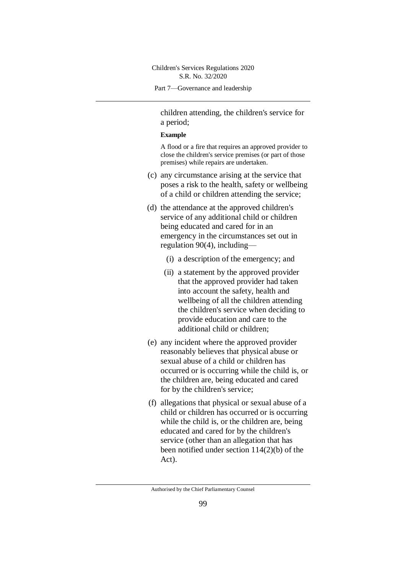Part 7—Governance and leadership

children attending, the children's service for a period;

#### **Example**

A flood or a fire that requires an approved provider to close the children's service premises (or part of those premises) while repairs are undertaken.

- (c) any circumstance arising at the service that poses a risk to the health, safety or wellbeing of a child or children attending the service;
- (d) the attendance at the approved children's service of any additional child or children being educated and cared for in an emergency in the circumstances set out in regulation 90(4), including—
	- (i) a description of the emergency; and
	- (ii) a statement by the approved provider that the approved provider had taken into account the safety, health and wellbeing of all the children attending the children's service when deciding to provide education and care to the additional child or children;
- (e) any incident where the approved provider reasonably believes that physical abuse or sexual abuse of a child or children has occurred or is occurring while the child is, or the children are, being educated and cared for by the children's service;
- (f) allegations that physical or sexual abuse of a child or children has occurred or is occurring while the child is, or the children are, being educated and cared for by the children's service (other than an allegation that has been notified under section 114(2)(b) of the Act).

Authorised by the Chief Parliamentary Counsel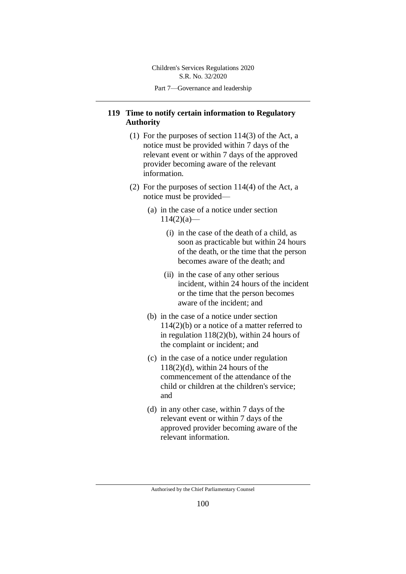Part 7—Governance and leadership

## **119 Time to notify certain information to Regulatory Authority**

- (1) For the purposes of section 114(3) of the Act, a notice must be provided within 7 days of the relevant event or within 7 days of the approved provider becoming aware of the relevant information.
- (2) For the purposes of section 114(4) of the Act, a notice must be provided—
	- (a) in the case of a notice under section  $114(2)(a)$ —
		- (i) in the case of the death of a child, as soon as practicable but within 24 hours of the death, or the time that the person becomes aware of the death; and
		- (ii) in the case of any other serious incident, within 24 hours of the incident or the time that the person becomes aware of the incident; and
	- (b) in the case of a notice under section 114(2)(b) or a notice of a matter referred to in regulation 118(2)(b), within 24 hours of the complaint or incident; and
	- (c) in the case of a notice under regulation 118(2)(d), within 24 hours of the commencement of the attendance of the child or children at the children's service; and
	- (d) in any other case, within 7 days of the relevant event or within 7 days of the approved provider becoming aware of the relevant information.

Authorised by the Chief Parliamentary Counsel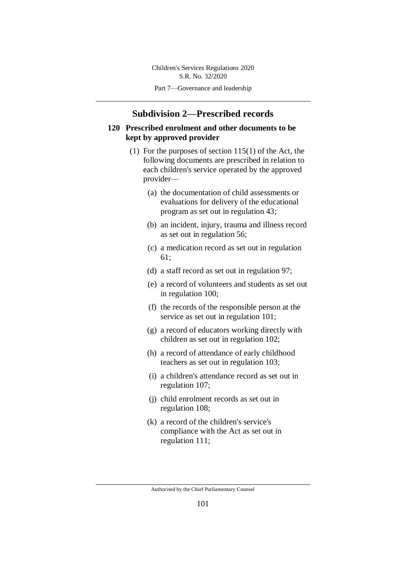Part 7—Governance and leadership

**Subdivision 2—Prescribed records**

### **120 Prescribed enrolment and other documents to be kept by approved provider**

- (1) For the purposes of section 115(1) of the Act, the following documents are prescribed in relation to each children's service operated by the approved provider—
	- (a) the documentation of child assessments or evaluations for delivery of the educational program as set out in regulation 43;
	- (b) an incident, injury, trauma and illness record as set out in regulation 56;
	- (c) a medication record as set out in regulation 61;
	- (d) a staff record as set out in regulation 97;
	- (e) a record of volunteers and students as set out in regulation 100;
	- (f) the records of the responsible person at the service as set out in regulation 101;
	- (g) a record of educators working directly with children as set out in regulation 102;
	- (h) a record of attendance of early childhood teachers as set out in regulation 103;
	- (i) a children's attendance record as set out in regulation 107;
	- (j) child enrolment records as set out in regulation 108;
	- (k) a record of the children's service's compliance with the Act as set out in regulation 111;

Authorised by the Chief Parliamentary Counsel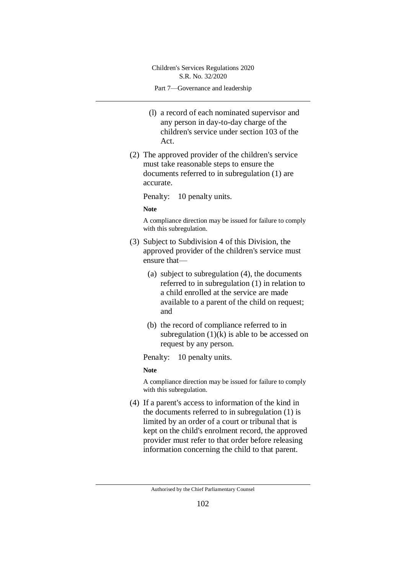Part 7—Governance and leadership

- (l) a record of each nominated supervisor and any person in day-to-day charge of the children's service under section 103 of the Act.
- (2) The approved provider of the children's service must take reasonable steps to ensure the documents referred to in subregulation (1) are accurate.

Penalty: 10 penalty units.

**Note**

A compliance direction may be issued for failure to comply with this subregulation.

- (3) Subject to Subdivision 4 of this Division, the approved provider of the children's service must ensure that—
	- (a) subject to subregulation (4), the documents referred to in subregulation (1) in relation to a child enrolled at the service are made available to a parent of the child on request; and
	- (b) the record of compliance referred to in subregulation  $(1)(k)$  is able to be accessed on request by any person.

Penalty: 10 penalty units.

#### **Note**

A compliance direction may be issued for failure to comply with this subregulation.

(4) If a parent's access to information of the kind in the documents referred to in subregulation (1) is limited by an order of a court or tribunal that is kept on the child's enrolment record, the approved provider must refer to that order before releasing information concerning the child to that parent.

Authorised by the Chief Parliamentary Counsel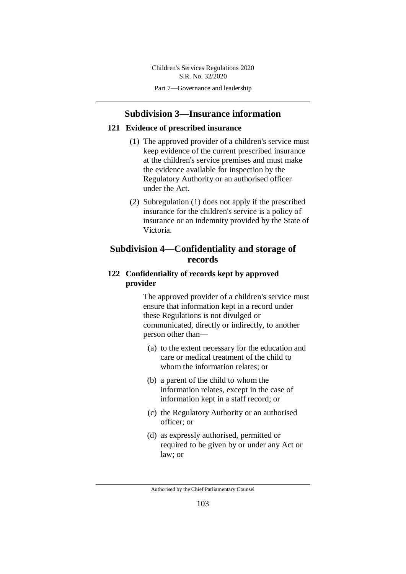Part 7—Governance and leadership

## **Subdivision 3—Insurance information**

#### **121 Evidence of prescribed insurance**

- (1) The approved provider of a children's service must keep evidence of the current prescribed insurance at the children's service premises and must make the evidence available for inspection by the Regulatory Authority or an authorised officer under the Act.
- (2) Subregulation (1) does not apply if the prescribed insurance for the children's service is a policy of insurance or an indemnity provided by the State of Victoria.

## **Subdivision 4—Confidentiality and storage of records**

## **122 Confidentiality of records kept by approved provider**

The approved provider of a children's service must ensure that information kept in a record under these Regulations is not divulged or communicated, directly or indirectly, to another person other than—

- (a) to the extent necessary for the education and care or medical treatment of the child to whom the information relates; or
- (b) a parent of the child to whom the information relates, except in the case of information kept in a staff record; or
- (c) the Regulatory Authority or an authorised officer; or
- (d) as expressly authorised, permitted or required to be given by or under any Act or law; or

Authorised by the Chief Parliamentary Counsel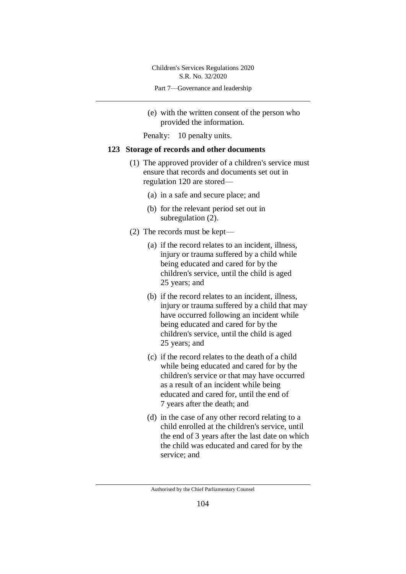Part 7—Governance and leadership

(e) with the written consent of the person who provided the information.

Penalty: 10 penalty units.

#### **123 Storage of records and other documents**

- (1) The approved provider of a children's service must ensure that records and documents set out in regulation 120 are stored—
	- (a) in a safe and secure place; and
	- (b) for the relevant period set out in subregulation (2).
- (2) The records must be kept—
	- (a) if the record relates to an incident, illness, injury or trauma suffered by a child while being educated and cared for by the children's service, until the child is aged 25 years; and
	- (b) if the record relates to an incident, illness, injury or trauma suffered by a child that may have occurred following an incident while being educated and cared for by the children's service, until the child is aged 25 years; and
	- (c) if the record relates to the death of a child while being educated and cared for by the children's service or that may have occurred as a result of an incident while being educated and cared for, until the end of 7 years after the death; and
	- (d) in the case of any other record relating to a child enrolled at the children's service, until the end of 3 years after the last date on which the child was educated and cared for by the service; and

Authorised by the Chief Parliamentary Counsel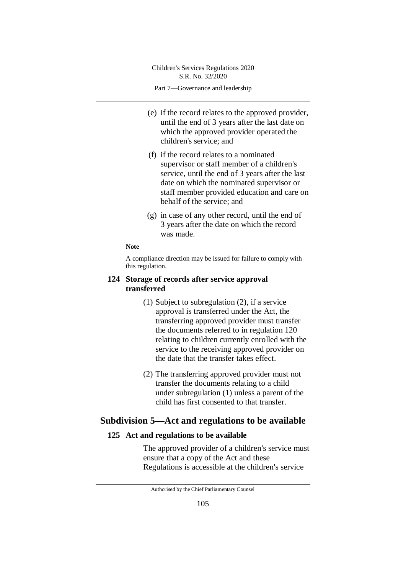Part 7—Governance and leadership

- (e) if the record relates to the approved provider, until the end of 3 years after the last date on which the approved provider operated the children's service; and
- (f) if the record relates to a nominated supervisor or staff member of a children's service, until the end of 3 years after the last date on which the nominated supervisor or staff member provided education and care on behalf of the service; and
- (g) in case of any other record, until the end of 3 years after the date on which the record was made.

#### **Note**

A compliance direction may be issued for failure to comply with this regulation.

## **124 Storage of records after service approval transferred**

- (1) Subject to subregulation (2), if a service approval is transferred under the Act, the transferring approved provider must transfer the documents referred to in regulation 120 relating to children currently enrolled with the service to the receiving approved provider on the date that the transfer takes effect.
- (2) The transferring approved provider must not transfer the documents relating to a child under subregulation (1) unless a parent of the child has first consented to that transfer.

## **Subdivision 5—Act and regulations to be available**

#### **125 Act and regulations to be available**

The approved provider of a children's service must ensure that a copy of the Act and these Regulations is accessible at the children's service

Authorised by the Chief Parliamentary Counsel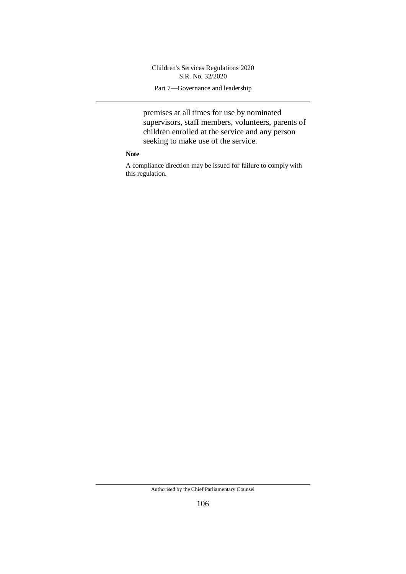Part 7—Governance and leadership Children's Services Regulations 2020 S.R. No. 32/2020

premises at all times for use by nominated supervisors, staff members, volunteers, parents of children enrolled at the service and any person seeking to make use of the service.

#### **Note**

A compliance direction may be issued for failure to comply with this regulation.

Authorised by the Chief Parliamentary Counsel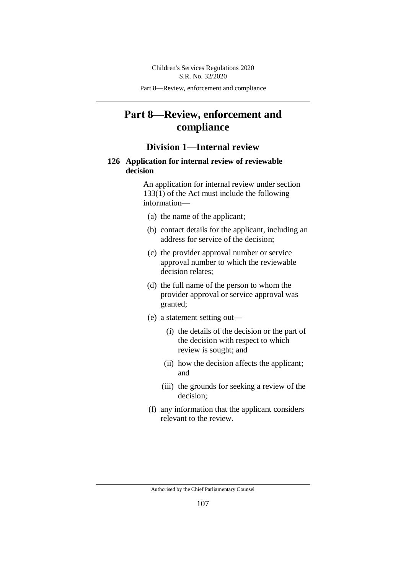Part 8—Review, enforcement and compliance

# **Part 8—Review, enforcement and compliance**

## **Division 1—Internal review**

## **126 Application for internal review of reviewable decision**

An application for internal review under section 133(1) of the Act must include the following information—

- (a) the name of the applicant;
- (b) contact details for the applicant, including an address for service of the decision;
- (c) the provider approval number or service approval number to which the reviewable decision relates;
- (d) the full name of the person to whom the provider approval or service approval was granted;
- (e) a statement setting out—
	- (i) the details of the decision or the part of the decision with respect to which review is sought; and
	- (ii) how the decision affects the applicant; and
	- (iii) the grounds for seeking a review of the decision;
- (f) any information that the applicant considers relevant to the review.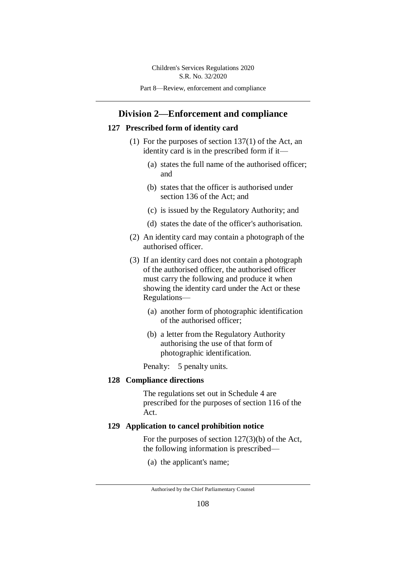Part 8—Review, enforcement and compliance

## **Division 2—Enforcement and compliance**

#### **127 Prescribed form of identity card**

- (1) For the purposes of section 137(1) of the Act, an identity card is in the prescribed form if it—
	- (a) states the full name of the authorised officer; and
	- (b) states that the officer is authorised under section 136 of the Act; and
	- (c) is issued by the Regulatory Authority; and
	- (d) states the date of the officer's authorisation.
- (2) An identity card may contain a photograph of the authorised officer.
- (3) If an identity card does not contain a photograph of the authorised officer, the authorised officer must carry the following and produce it when showing the identity card under the Act or these Regulations—
	- (a) another form of photographic identification of the authorised officer;
	- (b) a letter from the Regulatory Authority authorising the use of that form of photographic identification.

Penalty: 5 penalty units.

#### **128 Compliance directions**

The regulations set out in Schedule 4 are prescribed for the purposes of section 116 of the Act.

#### **129 Application to cancel prohibition notice**

For the purposes of section 127(3)(b) of the Act, the following information is prescribed—

(a) the applicant's name;

Authorised by the Chief Parliamentary Counsel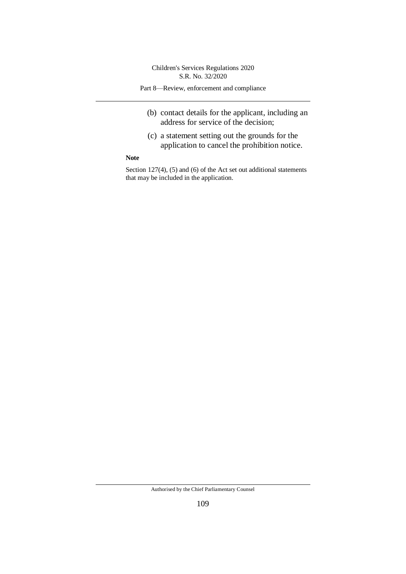Part 8—Review, enforcement and compliance

- (b) contact details for the applicant, including an address for service of the decision;
- (c) a statement setting out the grounds for the application to cancel the prohibition notice.

#### **Note**

Section 127(4), (5) and (6) of the Act set out additional statements that may be included in the application.

Authorised by the Chief Parliamentary Counsel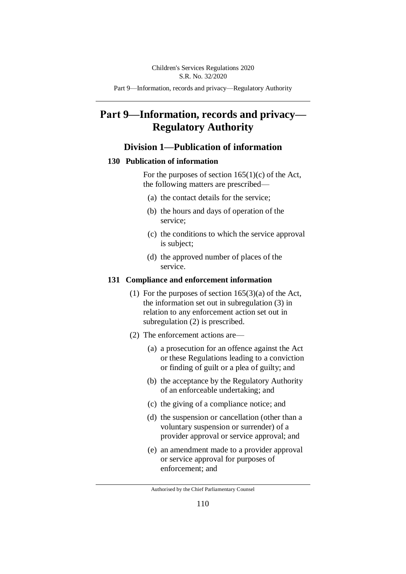Part 9—Information, records and privacy—Regulatory Authority

# **Part 9—Information, records and privacy— Regulatory Authority**

## **Division 1—Publication of information**

#### **130 Publication of information**

For the purposes of section  $165(1)(c)$  of the Act, the following matters are prescribed—

- (a) the contact details for the service;
- (b) the hours and days of operation of the service;
- (c) the conditions to which the service approval is subject;
- (d) the approved number of places of the service.

#### **131 Compliance and enforcement information**

- (1) For the purposes of section 165(3)(a) of the Act, the information set out in subregulation (3) in relation to any enforcement action set out in subregulation (2) is prescribed.
- (2) The enforcement actions are—
	- (a) a prosecution for an offence against the Act or these Regulations leading to a conviction or finding of guilt or a plea of guilty; and
	- (b) the acceptance by the Regulatory Authority of an enforceable undertaking; and
	- (c) the giving of a compliance notice; and
	- (d) the suspension or cancellation (other than a voluntary suspension or surrender) of a provider approval or service approval; and
	- (e) an amendment made to a provider approval or service approval for purposes of enforcement; and

Authorised by the Chief Parliamentary Counsel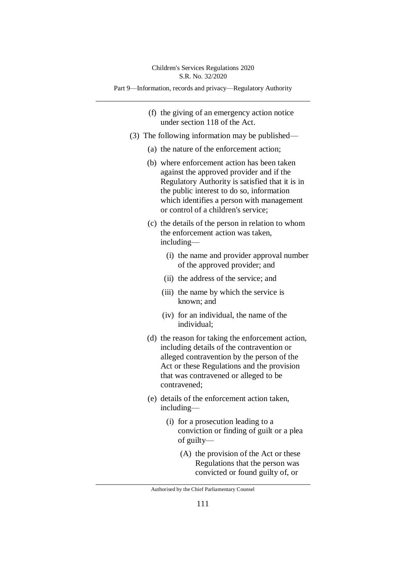Part 9—Information, records and privacy—Regulatory Authority

- (f) the giving of an emergency action notice under section 118 of the Act.
- (3) The following information may be published—
	- (a) the nature of the enforcement action;
	- (b) where enforcement action has been taken against the approved provider and if the Regulatory Authority is satisfied that it is in the public interest to do so, information which identifies a person with management or control of a children's service;
	- (c) the details of the person in relation to whom the enforcement action was taken, including—
		- (i) the name and provider approval number of the approved provider; and
		- (ii) the address of the service; and
		- (iii) the name by which the service is known; and
		- (iv) for an individual, the name of the individual;
	- (d) the reason for taking the enforcement action, including details of the contravention or alleged contravention by the person of the Act or these Regulations and the provision that was contravened or alleged to be contravened;
	- (e) details of the enforcement action taken, including—
		- (i) for a prosecution leading to a conviction or finding of guilt or a plea of guilty—
			- (A) the provision of the Act or these Regulations that the person was convicted or found guilty of, or

Authorised by the Chief Parliamentary Counsel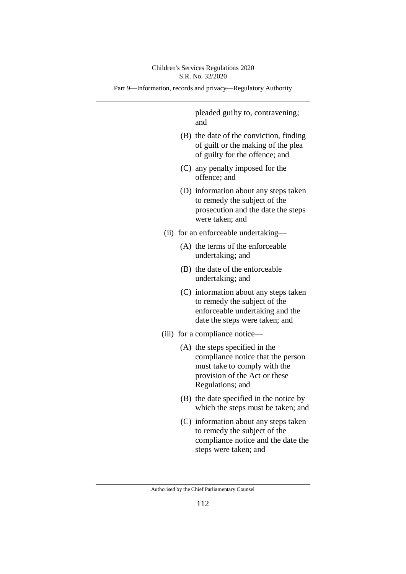Part 9—Information, records and privacy—Regulatory Authority

pleaded guilty to, contravening; and

- (B) the date of the conviction, finding of guilt or the making of the plea of guilty for the offence; and
- (C) any penalty imposed for the offence; and
- (D) information about any steps taken to remedy the subject of the prosecution and the date the steps were taken; and
- (ii) for an enforceable undertaking—
	- (A) the terms of the enforceable undertaking; and
	- (B) the date of the enforceable undertaking; and
	- (C) information about any steps taken to remedy the subject of the enforceable undertaking and the date the steps were taken; and
- (iii) for a compliance notice—
	- (A) the steps specified in the compliance notice that the person must take to comply with the provision of the Act or these Regulations; and
	- (B) the date specified in the notice by which the steps must be taken; and
	- (C) information about any steps taken to remedy the subject of the compliance notice and the date the steps were taken; and

Authorised by the Chief Parliamentary Counsel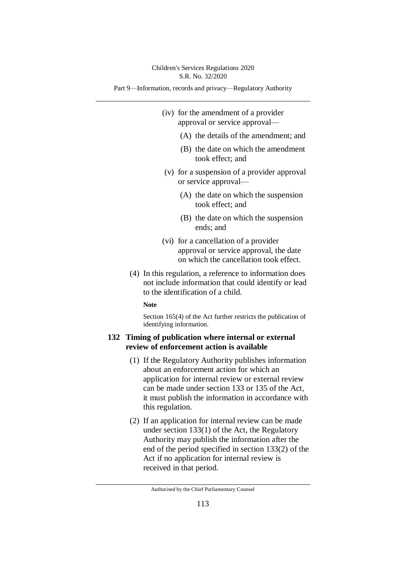Part 9—Information, records and privacy—Regulatory Authority

- (iv) for the amendment of a provider approval or service approval—
	- (A) the details of the amendment; and
	- (B) the date on which the amendment took effect; and
- (v) for a suspension of a provider approval or service approval—
	- (A) the date on which the suspension took effect; and
	- (B) the date on which the suspension ends; and
- (vi) for a cancellation of a provider approval or service approval, the date on which the cancellation took effect.
- (4) In this regulation, a reference to information does not include information that could identify or lead to the identification of a child.

#### **Note**

Section 165(4) of the Act further restricts the publication of identifying information.

## **132 Timing of publication where internal or external review of enforcement action is available**

- (1) If the Regulatory Authority publishes information about an enforcement action for which an application for internal review or external review can be made under section 133 or 135 of the Act, it must publish the information in accordance with this regulation.
- (2) If an application for internal review can be made under section 133(1) of the Act, the Regulatory Authority may publish the information after the end of the period specified in section 133(2) of the Act if no application for internal review is received in that period.

Authorised by the Chief Parliamentary Counsel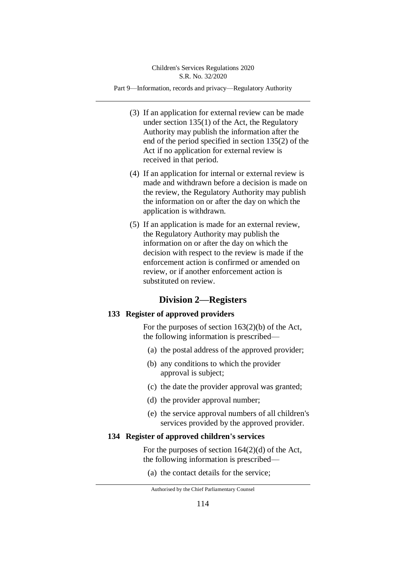Part 9—Information, records and privacy—Regulatory Authority

- (3) If an application for external review can be made under section 135(1) of the Act, the Regulatory Authority may publish the information after the end of the period specified in section 135(2) of the Act if no application for external review is received in that period.
- (4) If an application for internal or external review is made and withdrawn before a decision is made on the review, the Regulatory Authority may publish the information on or after the day on which the application is withdrawn.
- (5) If an application is made for an external review, the Regulatory Authority may publish the information on or after the day on which the decision with respect to the review is made if the enforcement action is confirmed or amended on review, or if another enforcement action is substituted on review.

## **Division 2—Registers**

## **133 Register of approved providers**

For the purposes of section 163(2)(b) of the Act, the following information is prescribed—

- (a) the postal address of the approved provider;
- (b) any conditions to which the provider approval is subject;
- (c) the date the provider approval was granted;
- (d) the provider approval number;
- (e) the service approval numbers of all children's services provided by the approved provider.

### **134 Register of approved children's services**

For the purposes of section 164(2)(d) of the Act, the following information is prescribed—

(a) the contact details for the service;

Authorised by the Chief Parliamentary Counsel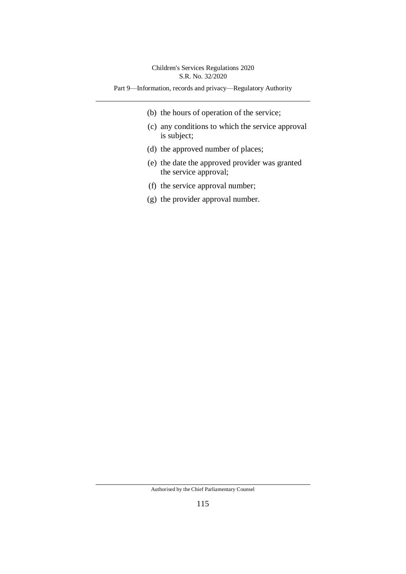Part 9—Information, records and privacy—Regulatory Authority

- (b) the hours of operation of the service;
- (c) any conditions to which the service approval is subject;
- (d) the approved number of places;
- (e) the date the approved provider was granted the service approval;
- (f) the service approval number;
- (g) the provider approval number.

Authorised by the Chief Parliamentary Counsel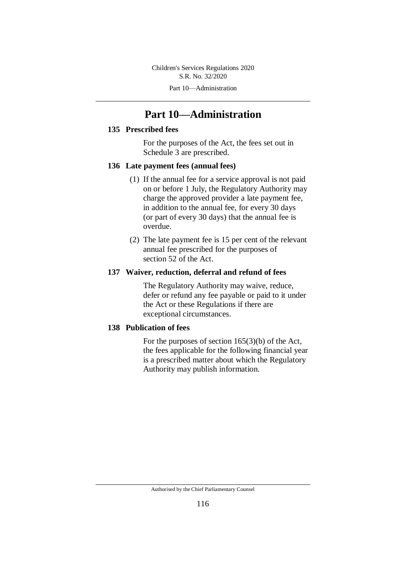Part 10—Administration

## **Part 10—Administration**

## **135 Prescribed fees**

For the purposes of the Act, the fees set out in Schedule 3 are prescribed.

#### **136 Late payment fees (annual fees)**

- (1) If the annual fee for a service approval is not paid on or before 1 July, the Regulatory Authority may charge the approved provider a late payment fee, in addition to the annual fee, for every 30 days (or part of every 30 days) that the annual fee is overdue.
- (2) The late payment fee is 15 per cent of the relevant annual fee prescribed for the purposes of section 52 of the Act.

#### **137 Waiver, reduction, deferral and refund of fees**

The Regulatory Authority may waive, reduce, defer or refund any fee payable or paid to it under the Act or these Regulations if there are exceptional circumstances.

#### **138 Publication of fees**

For the purposes of section 165(3)(b) of the Act, the fees applicable for the following financial year is a prescribed matter about which the Regulatory Authority may publish information.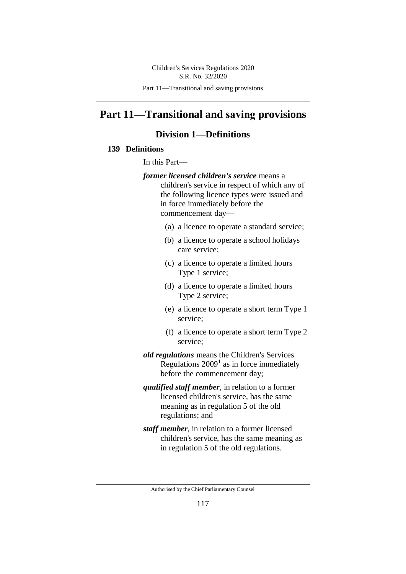Part 11—Transitional and saving provisions

## **Part 11—Transitional and saving provisions**

## **Division 1—Definitions**

#### **139 Definitions**

In this Part—

- *former licensed children's service* means a children's service in respect of which any of the following licence types were issued and in force immediately before the commencement day—
	- (a) a licence to operate a standard service;
	- (b) a licence to operate a school holidays care service;
	- (c) a licence to operate a limited hours Type 1 service;
	- (d) a licence to operate a limited hours Type 2 service;
	- (e) a licence to operate a short term Type 1 service;
	- (f) a licence to operate a short term Type 2 service;
- *old regulations* means the Children's Services Regulations  $2009<sup>1</sup>$  as in force immediately before the commencement day;
- *qualified staff member*, in relation to a former licensed children's service, has the same meaning as in regulation 5 of the old regulations; and
- *staff member*, in relation to a former licensed children's service, has the same meaning as in regulation 5 of the old regulations.

Authorised by the Chief Parliamentary Counsel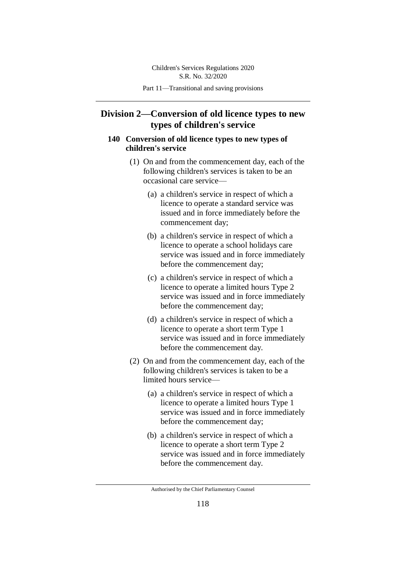Part 11—Transitional and saving provisions

## **Division 2—Conversion of old licence types to new types of children's service**

## **140 Conversion of old licence types to new types of children's service**

- (1) On and from the commencement day, each of the following children's services is taken to be an occasional care service—
	- (a) a children's service in respect of which a licence to operate a standard service was issued and in force immediately before the commencement day;
	- (b) a children's service in respect of which a licence to operate a school holidays care service was issued and in force immediately before the commencement day;
	- (c) a children's service in respect of which a licence to operate a limited hours Type 2 service was issued and in force immediately before the commencement day;
	- (d) a children's service in respect of which a licence to operate a short term Type 1 service was issued and in force immediately before the commencement day.
- (2) On and from the commencement day, each of the following children's services is taken to be a limited hours service—
	- (a) a children's service in respect of which a licence to operate a limited hours Type 1 service was issued and in force immediately before the commencement day;
	- (b) a children's service in respect of which a licence to operate a short term Type 2 service was issued and in force immediately before the commencement day.

Authorised by the Chief Parliamentary Counsel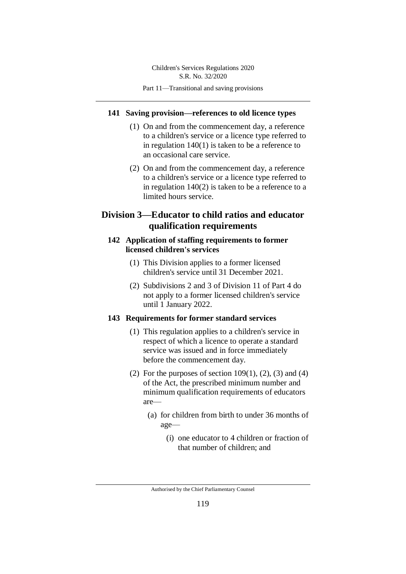Part 11—Transitional and saving provisions

#### **141 Saving provision—references to old licence types**

- (1) On and from the commencement day, a reference to a children's service or a licence type referred to in regulation 140(1) is taken to be a reference to an occasional care service.
- (2) On and from the commencement day, a reference to a children's service or a licence type referred to in regulation 140(2) is taken to be a reference to a limited hours service.

## **Division 3—Educator to child ratios and educator qualification requirements**

#### **142 Application of staffing requirements to former licensed children's services**

- (1) This Division applies to a former licensed children's service until 31 December 2021.
- (2) Subdivisions 2 and 3 of Division 11 of Part 4 do not apply to a former licensed children's service until 1 January 2022.

#### **143 Requirements for former standard services**

- (1) This regulation applies to a children's service in respect of which a licence to operate a standard service was issued and in force immediately before the commencement day.
- (2) For the purposes of section  $109(1)$ , (2), (3) and (4) of the Act, the prescribed minimum number and minimum qualification requirements of educators are—
	- (a) for children from birth to under 36 months of age—
		- (i) one educator to 4 children or fraction of that number of children; and

Authorised by the Chief Parliamentary Counsel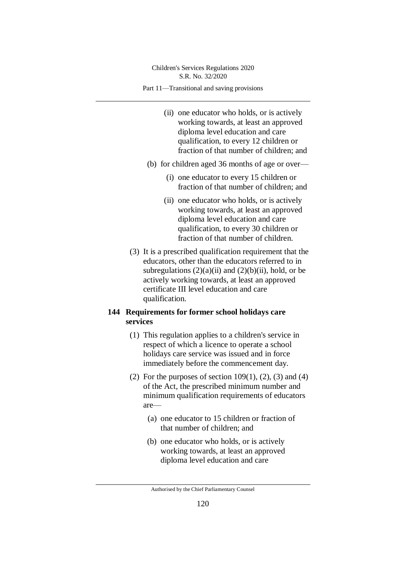Part 11—Transitional and saving provisions

- (ii) one educator who holds, or is actively working towards, at least an approved diploma level education and care qualification, to every 12 children or fraction of that number of children; and
- (b) for children aged 36 months of age or over—
	- (i) one educator to every 15 children or fraction of that number of children; and
	- (ii) one educator who holds, or is actively working towards, at least an approved diploma level education and care qualification, to every 30 children or fraction of that number of children.
- (3) It is a prescribed qualification requirement that the educators, other than the educators referred to in subregulations  $(2)(a)(ii)$  and  $(2)(b)(ii)$ , hold, or be actively working towards, at least an approved certificate III level education and care qualification.

## **144 Requirements for former school holidays care services**

- (1) This regulation applies to a children's service in respect of which a licence to operate a school holidays care service was issued and in force immediately before the commencement day.
- (2) For the purposes of section  $109(1)$ , (2), (3) and (4) of the Act, the prescribed minimum number and minimum qualification requirements of educators are—
	- (a) one educator to 15 children or fraction of that number of children; and
	- (b) one educator who holds, or is actively working towards, at least an approved diploma level education and care

Authorised by the Chief Parliamentary Counsel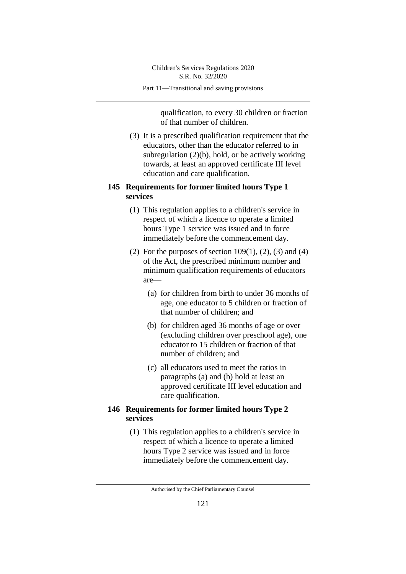Part 11—Transitional and saving provisions

qualification, to every 30 children or fraction of that number of children.

(3) It is a prescribed qualification requirement that the educators, other than the educator referred to in subregulation  $(2)(b)$ , hold, or be actively working towards, at least an approved certificate III level education and care qualification.

## **145 Requirements for former limited hours Type 1 services**

- (1) This regulation applies to a children's service in respect of which a licence to operate a limited hours Type 1 service was issued and in force immediately before the commencement day.
- (2) For the purposes of section  $109(1)$ , (2), (3) and (4) of the Act, the prescribed minimum number and minimum qualification requirements of educators are—
	- (a) for children from birth to under 36 months of age, one educator to 5 children or fraction of that number of children; and
	- (b) for children aged 36 months of age or over (excluding children over preschool age), one educator to 15 children or fraction of that number of children; and
	- (c) all educators used to meet the ratios in paragraphs (a) and (b) hold at least an approved certificate III level education and care qualification.

## **146 Requirements for former limited hours Type 2 services**

(1) This regulation applies to a children's service in respect of which a licence to operate a limited hours Type 2 service was issued and in force immediately before the commencement day.

Authorised by the Chief Parliamentary Counsel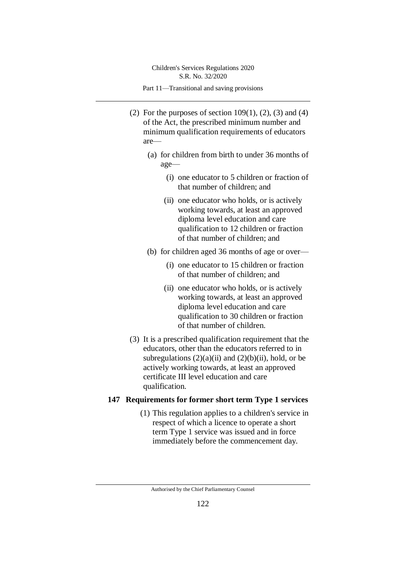Part 11—Transitional and saving provisions

- (2) For the purposes of section  $109(1)$ , (2), (3) and (4) of the Act, the prescribed minimum number and minimum qualification requirements of educators are—
	- (a) for children from birth to under 36 months of age—
		- (i) one educator to 5 children or fraction of that number of children; and
		- (ii) one educator who holds, or is actively working towards, at least an approved diploma level education and care qualification to 12 children or fraction of that number of children; and
	- (b) for children aged 36 months of age or over—
		- (i) one educator to 15 children or fraction of that number of children; and
		- (ii) one educator who holds, or is actively working towards, at least an approved diploma level education and care qualification to 30 children or fraction of that number of children.
- (3) It is a prescribed qualification requirement that the educators, other than the educators referred to in subregulations  $(2)(a)(ii)$  and  $(2)(b)(ii)$ , hold, or be actively working towards, at least an approved certificate III level education and care qualification.

## **147 Requirements for former short term Type 1 services**

(1) This regulation applies to a children's service in respect of which a licence to operate a short term Type 1 service was issued and in force immediately before the commencement day.

Authorised by the Chief Parliamentary Counsel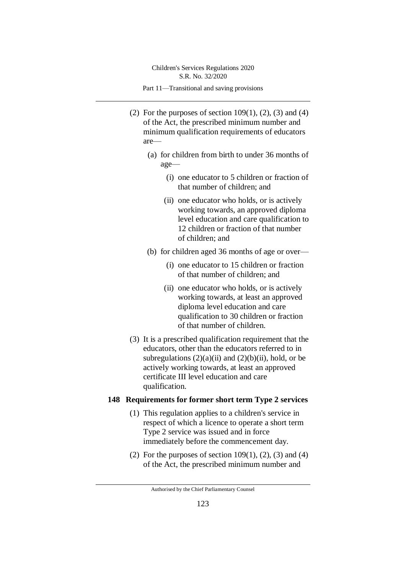Part 11—Transitional and saving provisions

- (2) For the purposes of section  $109(1)$ ,  $(2)$ ,  $(3)$  and  $(4)$ of the Act, the prescribed minimum number and minimum qualification requirements of educators are—
	- (a) for children from birth to under 36 months of age—
		- (i) one educator to 5 children or fraction of that number of children; and
		- (ii) one educator who holds, or is actively working towards, an approved diploma level education and care qualification to 12 children or fraction of that number of children; and
	- (b) for children aged 36 months of age or over—
		- (i) one educator to 15 children or fraction of that number of children; and
		- (ii) one educator who holds, or is actively working towards, at least an approved diploma level education and care qualification to 30 children or fraction of that number of children.
- (3) It is a prescribed qualification requirement that the educators, other than the educators referred to in subregulations  $(2)(a)(ii)$  and  $(2)(b)(ii)$ , hold, or be actively working towards, at least an approved certificate III level education and care qualification.

#### **148 Requirements for former short term Type 2 services**

- (1) This regulation applies to a children's service in respect of which a licence to operate a short term Type 2 service was issued and in force immediately before the commencement day.
- (2) For the purposes of section  $109(1)$ , (2), (3) and (4) of the Act, the prescribed minimum number and

Authorised by the Chief Parliamentary Counsel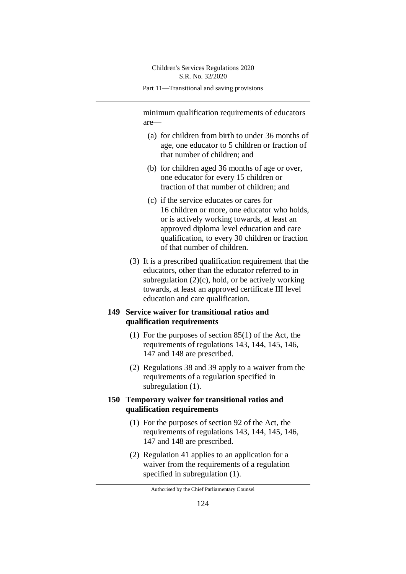Part 11—Transitional and saving provisions

minimum qualification requirements of educators are—

- (a) for children from birth to under 36 months of age, one educator to 5 children or fraction of that number of children; and
- (b) for children aged 36 months of age or over, one educator for every 15 children or fraction of that number of children; and
- (c) if the service educates or cares for 16 children or more, one educator who holds, or is actively working towards, at least an approved diploma level education and care qualification, to every 30 children or fraction of that number of children.
- (3) It is a prescribed qualification requirement that the educators, other than the educator referred to in subregulation  $(2)(c)$ , hold, or be actively working towards, at least an approved certificate III level education and care qualification.

## **149 Service waiver for transitional ratios and qualification requirements**

- (1) For the purposes of section 85(1) of the Act, the requirements of regulations 143, 144, 145, 146, 147 and 148 are prescribed.
- (2) Regulations 38 and 39 apply to a waiver from the requirements of a regulation specified in subregulation (1).

## **150 Temporary waiver for transitional ratios and qualification requirements**

- (1) For the purposes of section 92 of the Act, the requirements of regulations 143, 144, 145, 146, 147 and 148 are prescribed.
- (2) Regulation 41 applies to an application for a waiver from the requirements of a regulation specified in subregulation (1).

Authorised by the Chief Parliamentary Counsel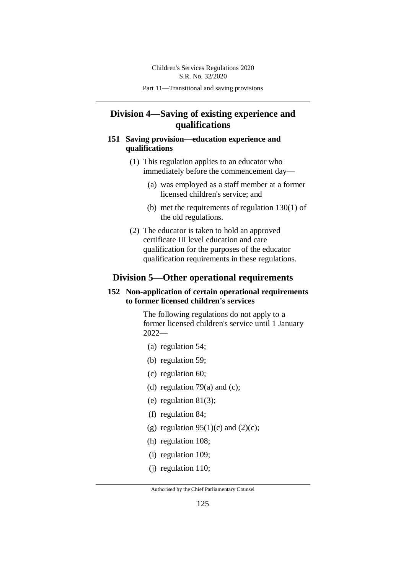Part 11—Transitional and saving provisions

## **Division 4—Saving of existing experience and qualifications**

## **151 Saving provision—education experience and qualifications**

- (1) This regulation applies to an educator who immediately before the commencement day—
	- (a) was employed as a staff member at a former licensed children's service; and
	- (b) met the requirements of regulation 130(1) of the old regulations.
- (2) The educator is taken to hold an approved certificate III level education and care qualification for the purposes of the educator qualification requirements in these regulations.

## **Division 5—Other operational requirements**

## **152 Non-application of certain operational requirements to former licensed children's services**

The following regulations do not apply to a former licensed children's service until 1 January 2022—

- (a) regulation 54;
- (b) regulation 59;
- (c) regulation 60;
- (d) regulation 79 $(a)$  and  $(c)$ ;
- (e) regulation  $81(3)$ ;
- (f) regulation 84;
- (g) regulation  $95(1)(c)$  and  $(2)(c)$ ;
- (h) regulation 108;
- (i) regulation 109;
- (j) regulation 110;

Authorised by the Chief Parliamentary Counsel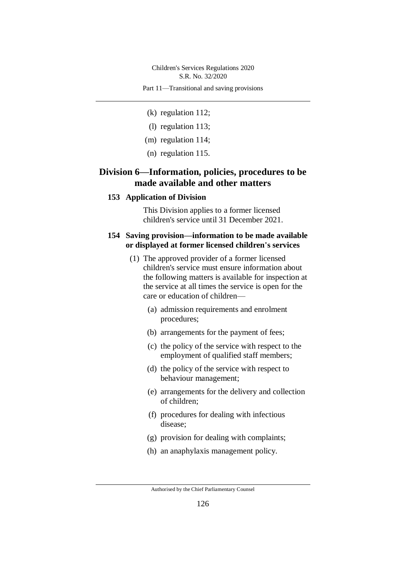Part 11—Transitional and saving provisions

- (k) regulation 112;
- (l) regulation 113;
- (m) regulation 114;
- (n) regulation 115.

## **Division 6—Information, policies, procedures to be made available and other matters**

#### **153 Application of Division**

This Division applies to a former licensed children's service until 31 December 2021.

### **154 Saving provision—information to be made available or displayed at former licensed children's services**

- (1) The approved provider of a former licensed children's service must ensure information about the following matters is available for inspection at the service at all times the service is open for the care or education of children—
	- (a) admission requirements and enrolment procedures;
	- (b) arrangements for the payment of fees;
	- (c) the policy of the service with respect to the employment of qualified staff members;
	- (d) the policy of the service with respect to behaviour management;
	- (e) arrangements for the delivery and collection of children;
	- (f) procedures for dealing with infectious disease;
	- (g) provision for dealing with complaints;
	- (h) an anaphylaxis management policy.

Authorised by the Chief Parliamentary Counsel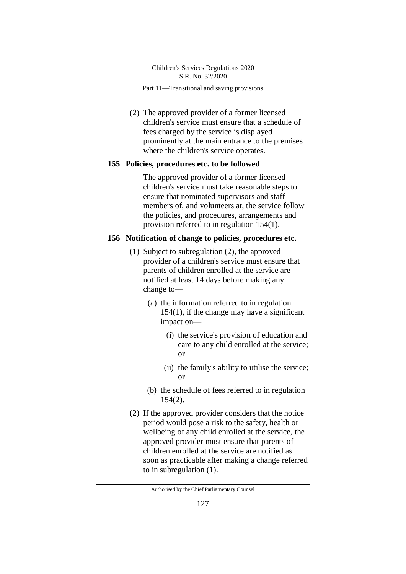Part 11—Transitional and saving provisions

(2) The approved provider of a former licensed children's service must ensure that a schedule of fees charged by the service is displayed prominently at the main entrance to the premises where the children's service operates.

#### **155 Policies, procedures etc. to be followed**

The approved provider of a former licensed children's service must take reasonable steps to ensure that nominated supervisors and staff members of, and volunteers at, the service follow the policies, and procedures, arrangements and provision referred to in regulation 154(1).

## **156 Notification of change to policies, procedures etc.**

- (1) Subject to subregulation (2), the approved provider of a children's service must ensure that parents of children enrolled at the service are notified at least 14 days before making any change to—
	- (a) the information referred to in regulation 154(1), if the change may have a significant impact on—
		- (i) the service's provision of education and care to any child enrolled at the service; or
		- (ii) the family's ability to utilise the service; or
	- (b) the schedule of fees referred to in regulation 154(2).
- (2) If the approved provider considers that the notice period would pose a risk to the safety, health or wellbeing of any child enrolled at the service, the approved provider must ensure that parents of children enrolled at the service are notified as soon as practicable after making a change referred to in subregulation (1).

Authorised by the Chief Parliamentary Counsel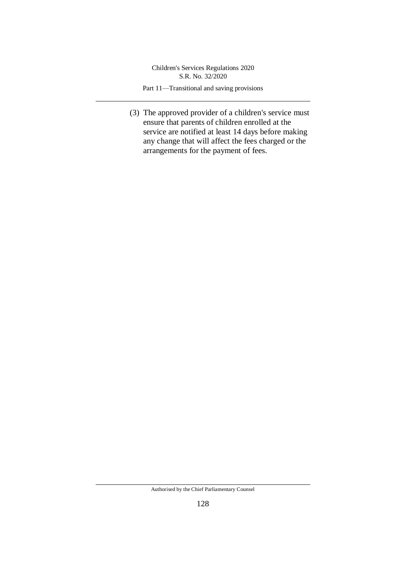Part 11—Transitional and saving provisions

(3) The approved provider of a children's service must ensure that parents of children enrolled at the service are notified at least 14 days before making any change that will affect the fees charged or the arrangements for the payment of fees.

Authorised by the Chief Parliamentary Counsel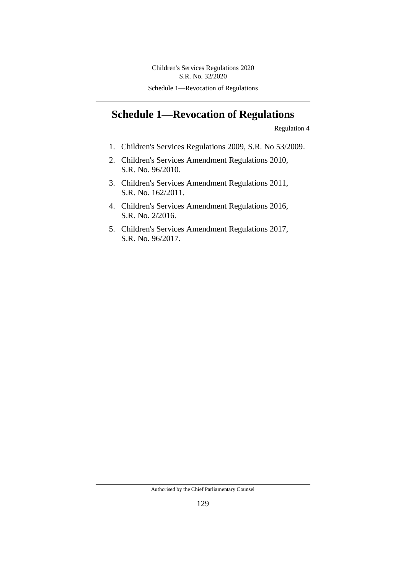Schedule 1—Revocation of Regulations

# **Schedule 1—Revocation of Regulations**

Regulation 4

- 1. Children's Services Regulations 2009, S.R. No 53/2009.
- 2. Children's Services Amendment Regulations 2010, S.R. No. 96/2010.
- 3. Children's Services Amendment Regulations 2011, S.R. No. 162/2011.
- 4. Children's Services Amendment Regulations 2016, S.R. No. 2/2016.
- 5. Children's Services Amendment Regulations 2017, S.R. No. 96/2017.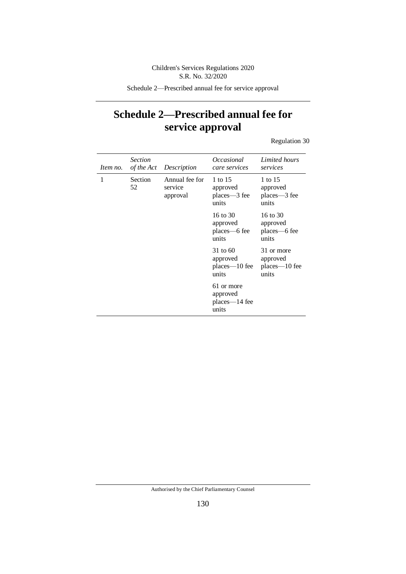Schedule 2—Prescribed annual fee for service approval

# **Schedule 2—Prescribed annual fee for service approval**

Regulation 30

| Item no. | <b>Section</b><br>of the Act | Description                           | <i>Occasional</i><br>care services                 | Limited hours<br>services                        |
|----------|------------------------------|---------------------------------------|----------------------------------------------------|--------------------------------------------------|
| 1        | Section<br>52                | Annual fee for<br>service<br>approval | 1 to 15<br>approved<br>places-3 fee<br>units       | 1 to 15<br>approved<br>places-3 fee<br>units     |
|          |                              |                                       | 16 to 30<br>approved<br>places—6 fee<br>units      | 16 to 30<br>approved<br>places—6 fee<br>units    |
|          |                              |                                       | 31 to 60<br>approved<br>$places - 10$ fee<br>units | 31 or more<br>approved<br>places-10 fee<br>units |
|          |                              |                                       | 61 or more<br>approved<br>places-14 fee<br>units   |                                                  |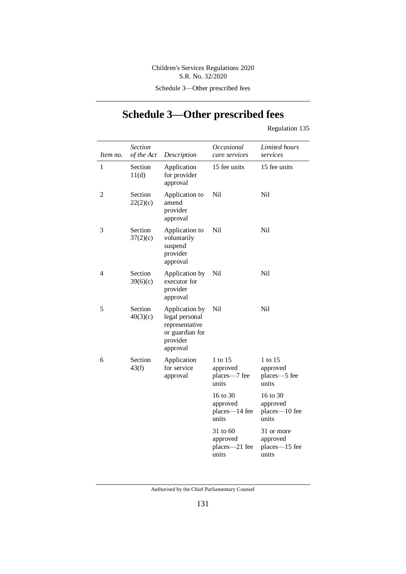Schedule 3—Other prescribed fees

# **Schedule 3—Other prescribed fees**

Regulation 135

| Item no.     | <b>Section</b><br>of the Act | Description                                                                                   | Occasional<br>care services                    | Limited hours<br>services                        |
|--------------|------------------------------|-----------------------------------------------------------------------------------------------|------------------------------------------------|--------------------------------------------------|
| $\mathbf{1}$ | Section<br>11(d)             | Application<br>for provider<br>approval                                                       | 15 fee units                                   | 15 fee units                                     |
| 2            | Section<br>22(2)(c)          | Application to<br>amend<br>provider<br>approval                                               | Nil                                            | Nil                                              |
| 3            | Section<br>37(2)(c)          | Application to<br>voluntarily<br>suspend<br>provider<br>approval                              | Nil                                            | Nil                                              |
| 4            | Section<br>39(6)(c)          | Application by<br>executor for<br>provider<br>approval                                        | Nil                                            | <b>Nil</b>                                       |
| 5            | Section<br>40(3)(c)          | Application by<br>legal personal<br>representative<br>or guardian for<br>provider<br>approval | Nil                                            | Nil                                              |
| 6            | Section<br>43(f)             | Application<br>for service<br>approval                                                        | 1 to 15<br>approved<br>places—7 fee<br>units   | 1 to 15<br>approved<br>places—5 fee<br>units     |
|              |                              |                                                                                               | 16 to 30<br>approved<br>places-14 fee<br>units | 16 to 30<br>approved<br>places-10 fee<br>units   |
|              |                              |                                                                                               | 31 to 60<br>approved<br>places-21 fee<br>units | 31 or more<br>approved<br>places-15 fee<br>units |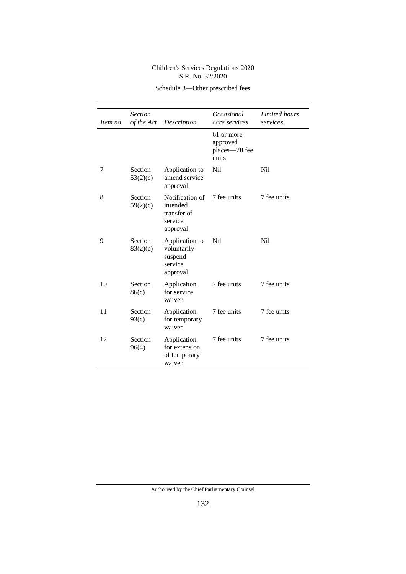Schedule 3—Other prescribed fees

| Item no. | <b>Section</b><br>of the Act | Description                                                       | <i>Occasional</i><br>care services               | Limited hours<br>services |
|----------|------------------------------|-------------------------------------------------------------------|--------------------------------------------------|---------------------------|
|          |                              |                                                                   | 61 or more<br>approved<br>places-28 fee<br>units |                           |
| 7        | Section<br>53(2)(c)          | Application to<br>amend service<br>approval                       | Nil                                              | Nil                       |
| 8        | Section<br>59(2)(c)          | Notification of<br>intended<br>transfer of<br>service<br>approval | 7 fee units                                      | 7 fee units               |
| 9        | Section<br>83(2)(c)          | Application to<br>voluntarily<br>suspend<br>service<br>approval   | Nil                                              | Nil                       |
| 10       | Section<br>86(c)             | Application<br>for service<br>waiver                              | 7 fee units                                      | 7 fee units               |
| 11       | Section<br>93(c)             | Application<br>for temporary<br>waiver                            | 7 fee units                                      | 7 fee units               |
| 12       | Section<br>96(4)             | Application<br>for extension<br>of temporary<br>waiver            | 7 fee units                                      | 7 fee units               |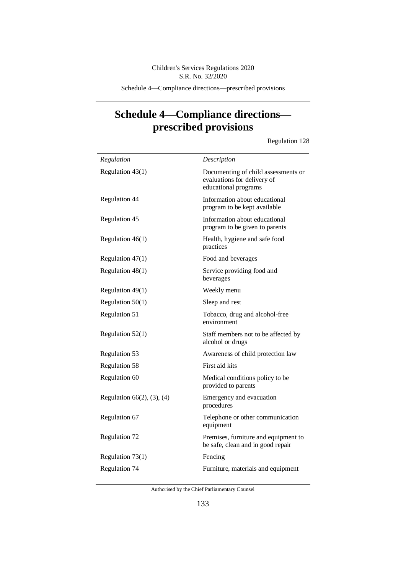Schedule 4—Compliance directions—prescribed provisions

# **Schedule 4—Compliance directions prescribed provisions**

Regulation 128

| Regulation                 | Description                                                                                |
|----------------------------|--------------------------------------------------------------------------------------------|
| Regulation 43(1)           | Documenting of child assessments or<br>evaluations for delivery of<br>educational programs |
| Regulation 44              | Information about educational<br>program to be kept available                              |
| Regulation 45              | Information about educational<br>program to be given to parents                            |
| Regulation $46(1)$         | Health, hygiene and safe food<br>practices                                                 |
| Regulation $47(1)$         | Food and beverages                                                                         |
| Regulation 48(1)           | Service providing food and<br>beverages                                                    |
| Regulation 49(1)           | Weekly menu                                                                                |
| Regulation $50(1)$         | Sleep and rest                                                                             |
| Regulation 51              | Tobacco, drug and alcohol-free<br>environment                                              |
| Regulation $52(1)$         | Staff members not to be affected by<br>alcohol or drugs                                    |
| Regulation 53              | Awareness of child protection law                                                          |
| <b>Regulation 58</b>       | First aid kits                                                                             |
| Regulation 60              | Medical conditions policy to be<br>provided to parents                                     |
| Regulation 66(2), (3), (4) | Emergency and evacuation<br>procedures                                                     |
| Regulation 67              | Telephone or other communication<br>equipment                                              |
| Regulation 72              | Premises, furniture and equipment to<br>be safe, clean and in good repair                  |
| Regulation 73(1)           | Fencing                                                                                    |
| Regulation 74              | Furniture, materials and equipment                                                         |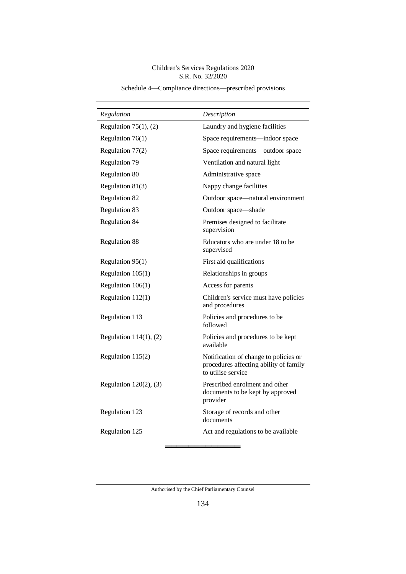Schedule 4—Compliance directions—prescribed provisions

| Regulation                  | Description                                                                                           |
|-----------------------------|-------------------------------------------------------------------------------------------------------|
| Regulation $75(1)$ , $(2)$  | Laundry and hygiene facilities                                                                        |
| Regulation $76(1)$          | Space requirements—indoor space                                                                       |
| Regulation 77(2)            | Space requirements—outdoor space                                                                      |
| Regulation 79               | Ventilation and natural light                                                                         |
| Regulation 80               | Administrative space                                                                                  |
| Regulation 81(3)            | Nappy change facilities                                                                               |
| Regulation 82               | Outdoor space—natural environment                                                                     |
| Regulation 83               | Outdoor space—shade                                                                                   |
| <b>Regulation 84</b>        | Premises designed to facilitate<br>supervision                                                        |
| <b>Regulation 88</b>        | Educators who are under 18 to be<br>supervised                                                        |
| Regulation 95(1)            | First aid qualifications                                                                              |
| Regulation 105(1)           | Relationships in groups                                                                               |
| Regulation 106(1)           | Access for parents                                                                                    |
| Regulation 112(1)           | Children's service must have policies<br>and procedures                                               |
| Regulation 113              | Policies and procedures to be<br>followed                                                             |
| Regulation $114(1)$ , $(2)$ | Policies and procedures to be kept<br>available                                                       |
| Regulation 115(2)           | Notification of change to policies or<br>procedures affecting ability of family<br>to utilise service |
| Regulation $120(2)$ , $(3)$ | Prescribed enrolment and other<br>documents to be kept by approved<br>provider                        |
| Regulation 123              | Storage of records and other<br>documents                                                             |
| Regulation 125              | Act and regulations to be available                                                                   |

═════════════════════════════